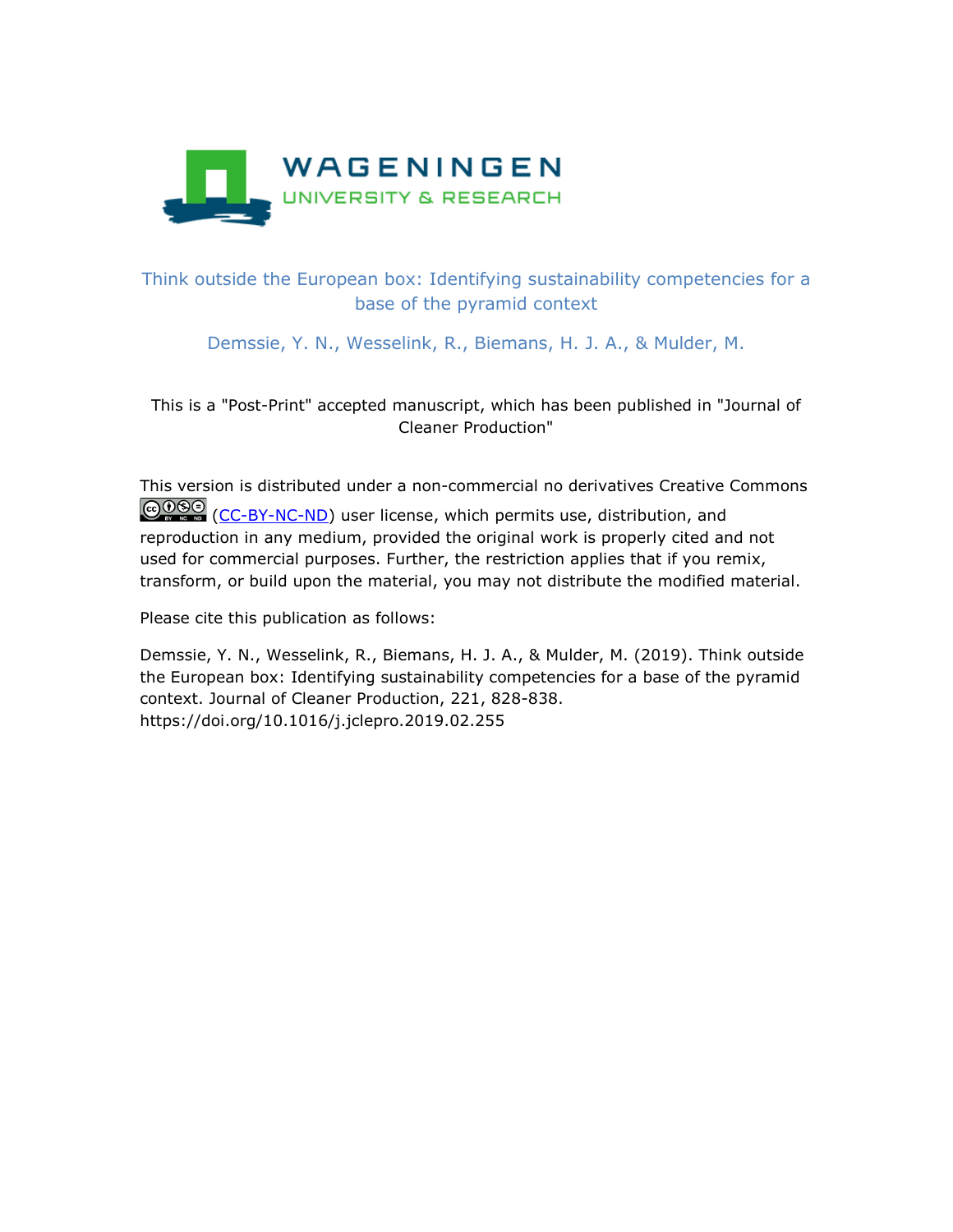

# Think outside the European box: Identifying sustainability competencies for a base of the pyramid context

Demssie, Y. N., Wesselink, R., Biemans, H. J. A., & Mulder, M.

This is a "Post-Print" accepted manuscript, which has been published in "Journal of Cleaner Production"

This version is distributed under a non-commercial no derivatives Creative Commons COSO [\(CC-BY-NC-ND\)](https://creativecommons.org/licenses/by-nc-nd/4.0/) user license, which permits use, distribution, and reproduction in any medium, provided the original work is properly cited and not used for commercial purposes. Further, the restriction applies that if you remix, transform, or build upon the material, you may not distribute the modified material.

Please cite this publication as follows:

Demssie, Y. N., Wesselink, R., Biemans, H. J. A., & Mulder, M. (2019). Think outside the European box: Identifying sustainability competencies for a base of the pyramid context. Journal of Cleaner Production, 221, 828-838. https://doi.org/10.1016/j.jclepro.2019.02.255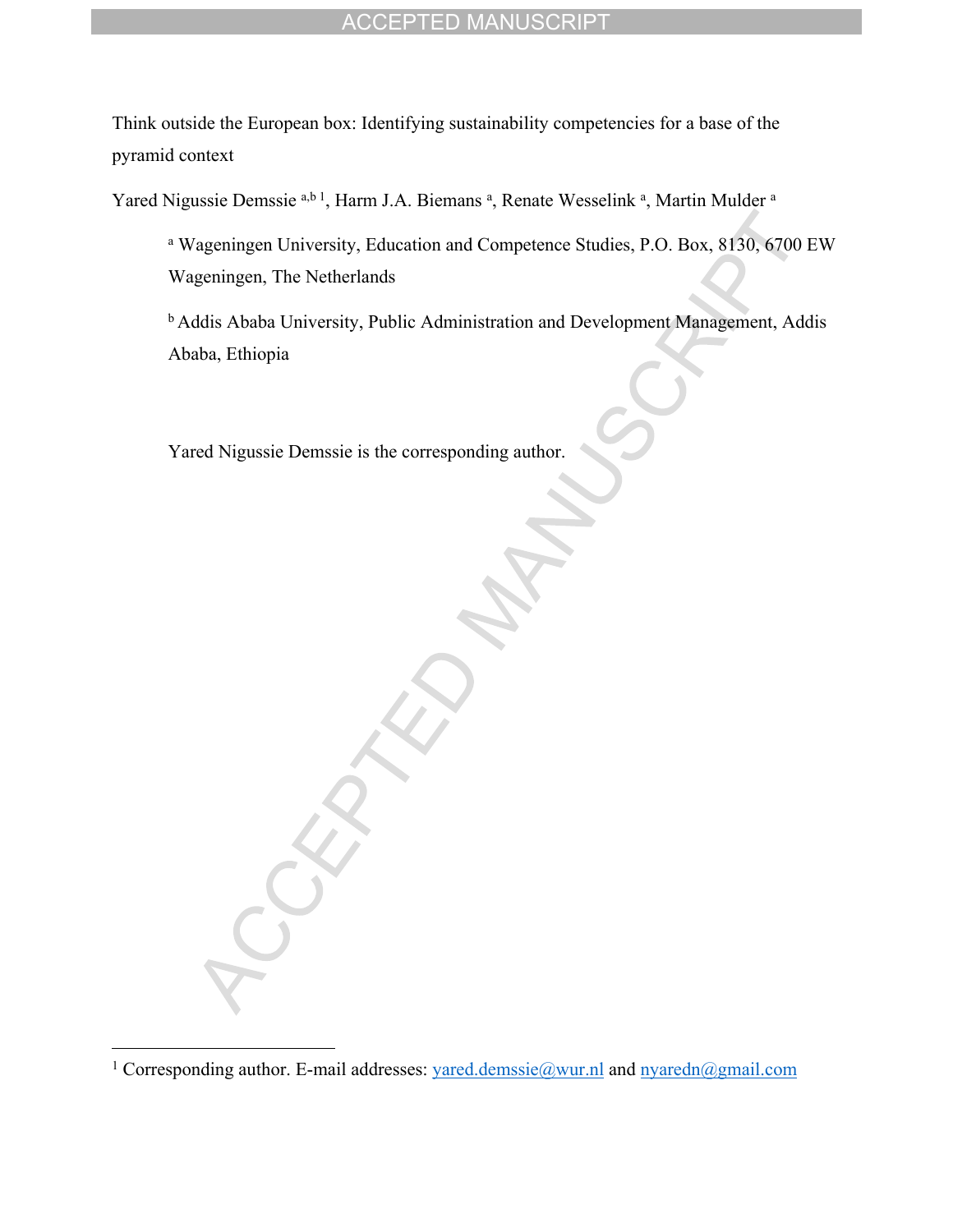Think outside the European box: Identifying sustainability competencies for a base of the pyramid context

Yared Nigussie Demssie a,b 1, Harm J.A. Biemans <sup>a</sup>, Renate Wesselink <sup>a</sup>, Martin Mulder <sup>a</sup>

a Wageningen University, Education and Competence Studies, P.O. Box, 8130, 6700 EW Wageningen, The Netherlands

<sup>b</sup> Addis Ababa University, Public Administration and Development Management, Addis Ababa, Ethiopia

Yared Nigussie Demssie is the corresponding author.

<sup>&</sup>lt;sup>1</sup> Corresponding author. E-mail addresses: [yared.demssie@wur.nl](mailto:yared.demssie@wur.nl) and [nyaredn@gmail.com](mailto:nyaredn@gmail.com)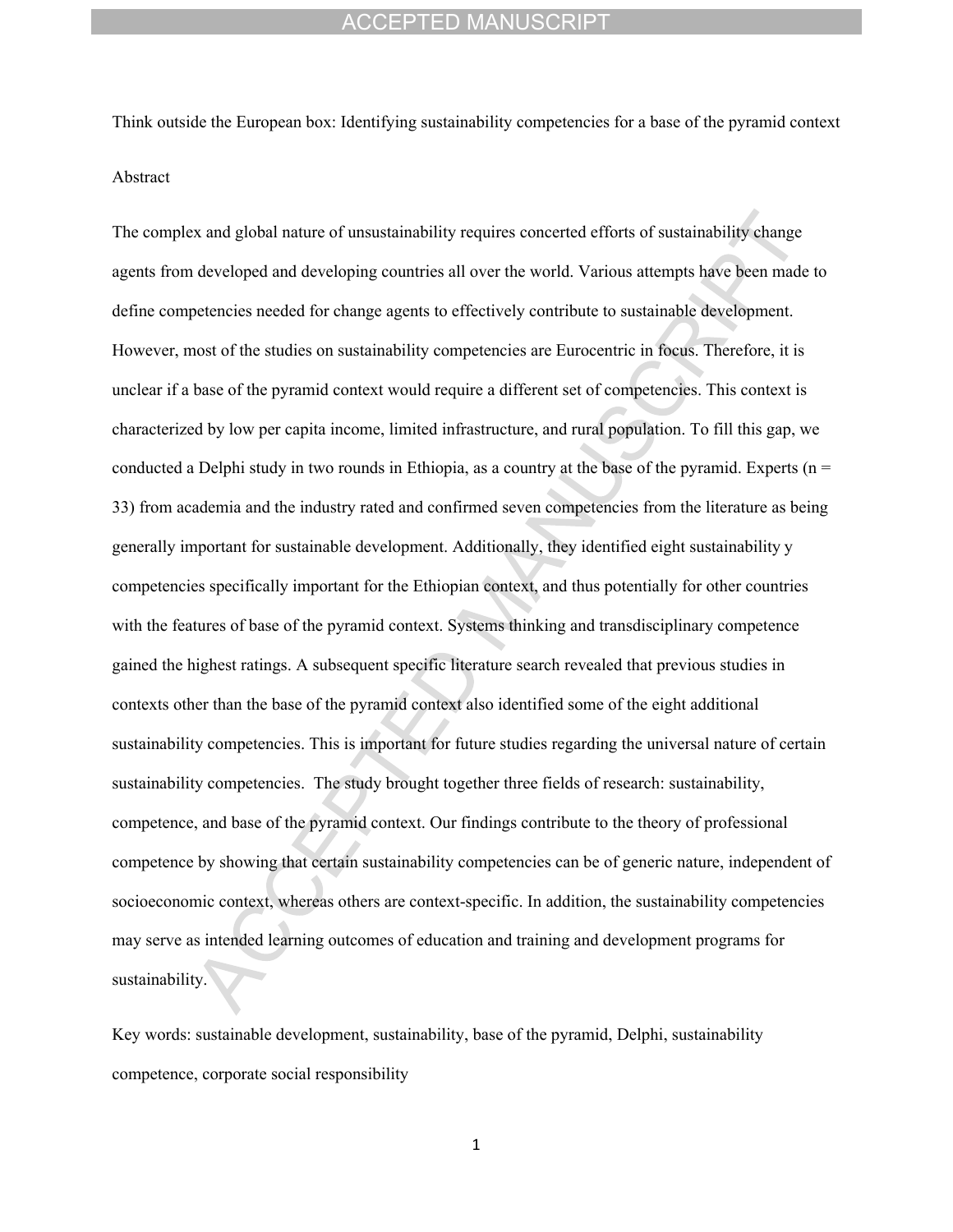Think outside the European box: Identifying sustainability competencies for a base of the pyramid context Abstract

The complex and global nature of unsustainability requires concerted efforts of sustainability change agents from developed and developing countries all over the world. Various attempts have been made to define competencies needed for change agents to effectively contribute to sustainable development. However, most of the studies on sustainability competencies are Eurocentric in focus. Therefore, it is unclear if a base of the pyramid context would require a different set of competencies. This context is characterized by low per capita income, limited infrastructure, and rural population. To fill this gap, we conducted a Delphi study in two rounds in Ethiopia, as a country at the base of the pyramid. Experts ( $n =$ 33) from academia and the industry rated and confirmed seven competencies from the literature as being generally important for sustainable development. Additionally, they identified eight sustainability y competencies specifically important for the Ethiopian context, and thus potentially for other countries with the features of base of the pyramid context. Systems thinking and transdisciplinary competence gained the highest ratings. A subsequent specific literature search revealed that previous studies in contexts other than the base of the pyramid context also identified some of the eight additional sustainability competencies. This is important for future studies regarding the universal nature of certain sustainability competencies. The study brought together three fields of research: sustainability, competence, and base of the pyramid context. Our findings contribute to the theory of professional competence by showing that certain sustainability competencies can be of generic nature, independent of socioeconomic context, whereas others are context-specific. In addition, the sustainability competencies may serve as intended learning outcomes of education and training and development programs for sustainability.

Key words: sustainable development, sustainability, base of the pyramid, Delphi, sustainability competence, corporate social responsibility

1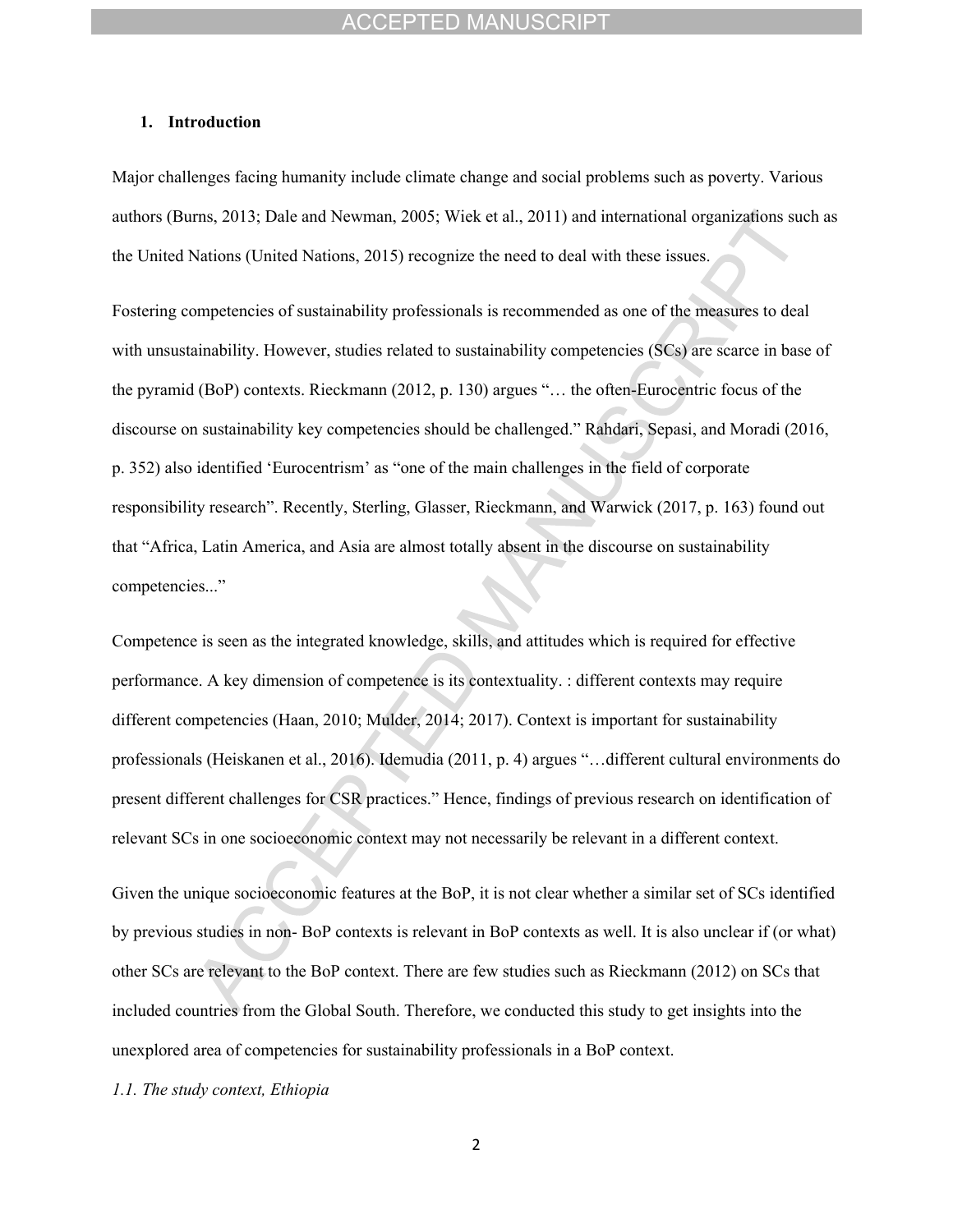#### **1. Introduction**

Major challenges facing humanity include climate change and social problems such as poverty. Various authors (Burns, 2013; Dale and Newman, 2005; Wiek et al., 2011) and international organizations such as the United Nations (United Nations, 2015) recognize the need to deal with these issues.

Fostering competencies of sustainability professionals is recommended as one of the measures to deal with unsustainability. However, studies related to sustainability competencies (SCs) are scarce in base of the pyramid (BoP) contexts. Rieckmann (2012, p. 130) argues "… the often-Eurocentric focus of the discourse on sustainability key competencies should be challenged." Rahdari, Sepasi, and Moradi (2016, p. 352) also identified 'Eurocentrism' as "one of the main challenges in the field of corporate responsibility research". Recently, Sterling, Glasser, Rieckmann, and Warwick (2017, p. 163) found out that "Africa, Latin America, and Asia are almost totally absent in the discourse on sustainability competencies..."

Competence is seen as the integrated knowledge, skills, and attitudes which is required for effective performance. A key dimension of competence is its contextuality. : different contexts may require different competencies (Haan, 2010; Mulder, 2014; 2017). Context is important for sustainability professionals (Heiskanen et al., 2016). Idemudia (2011, p. 4) argues "…different cultural environments do present different challenges for CSR practices." Hence, findings of previous research on identification of relevant SCs in one socioeconomic context may not necessarily be relevant in a different context.

Given the unique socioeconomic features at the BoP, it is not clear whether a similar set of SCs identified by previous studies in non- BoP contexts is relevant in BoP contexts as well. It is also unclear if (or what) other SCs are relevant to the BoP context. There are few studies such as Rieckmann (2012) on SCs that included countries from the Global South. Therefore, we conducted this study to get insights into the unexplored area of competencies for sustainability professionals in a BoP context.

*1.1. The study context, Ethiopia*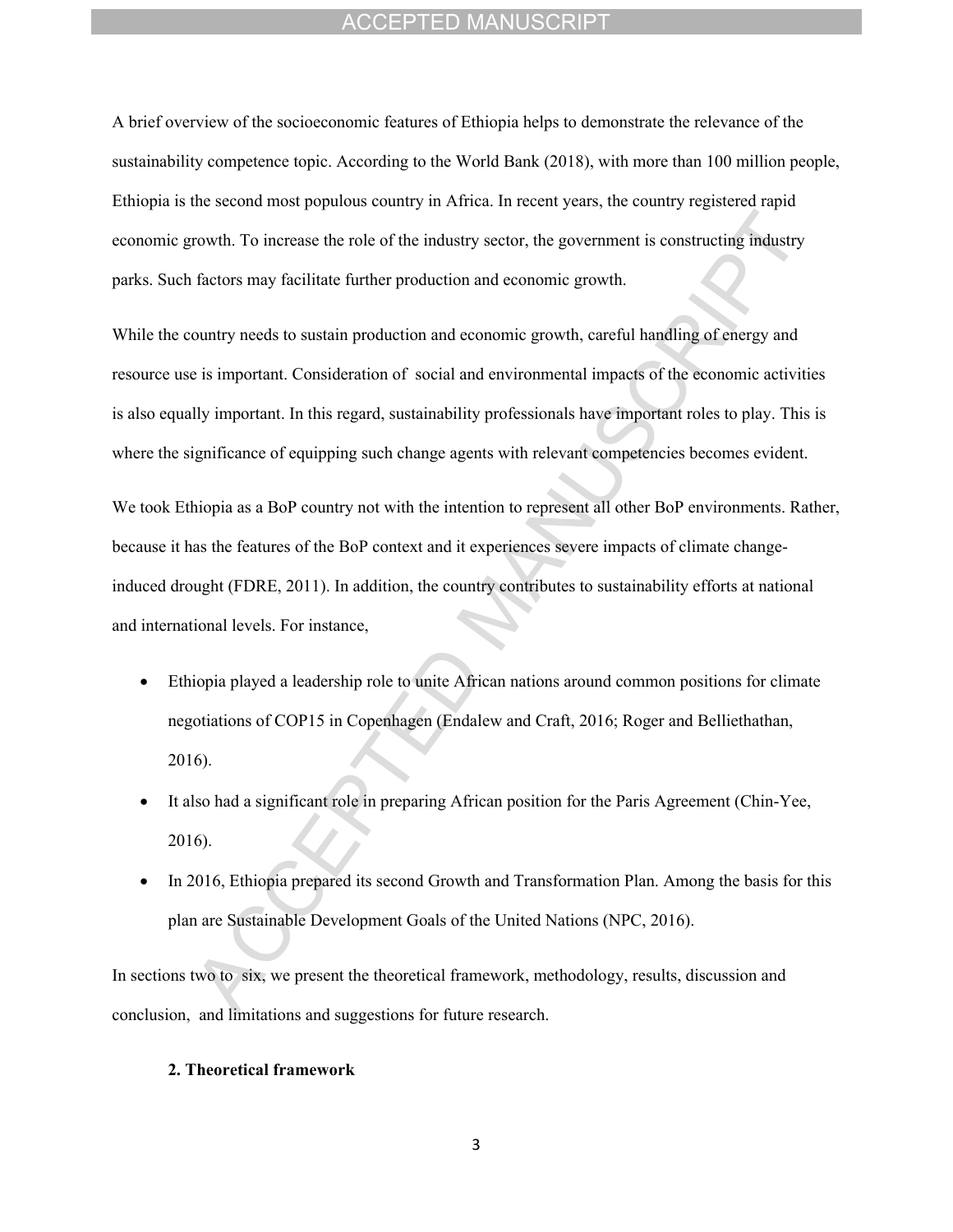A brief overview of the socioeconomic features of Ethiopia helps to demonstrate the relevance of the sustainability competence topic. According to the World Bank (2018), with more than 100 million people, Ethiopia is the second most populous country in Africa. In recent years, the country registered rapid economic growth. To increase the role of the industry sector, the government is constructing industry parks. Such factors may facilitate further production and economic growth.

While the country needs to sustain production and economic growth, careful handling of energy and resource use is important. Consideration of social and environmental impacts of the economic activities is also equally important. In this regard, sustainability professionals have important roles to play. This is where the significance of equipping such change agents with relevant competencies becomes evident.

We took Ethiopia as a BoP country not with the intention to represent all other BoP environments. Rather, because it has the features of the BoP context and it experiences severe impacts of climate changeinduced drought (FDRE, 2011). In addition, the country contributes to sustainability efforts at national and international levels. For instance,

- Ethiopia played a leadership role to unite African nations around common positions for climate negotiations of COP15 in Copenhagen (Endalew and Craft, 2016; Roger and Belliethathan, 2016).
- It also had a significant role in preparing African position for the Paris Agreement (Chin-Yee, 2016).
- In 2016, Ethiopia prepared its second Growth and Transformation Plan. Among the basis for this plan are Sustainable Development Goals of the United Nations (NPC, 2016).

In sections two to six, we present the theoretical framework, methodology, results, discussion and conclusion, and limitations and suggestions for future research.

## **2. Theoretical framework**

3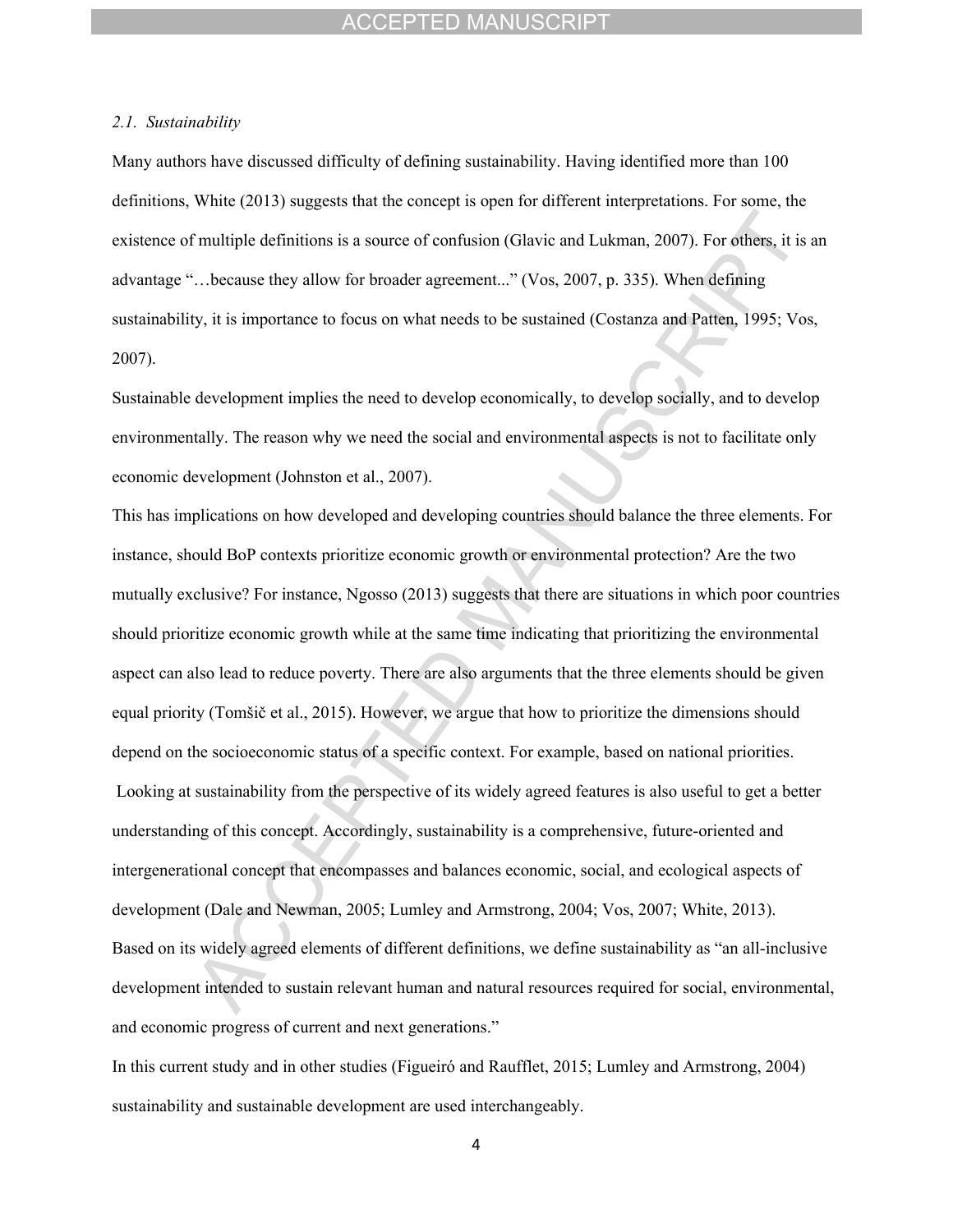#### *2.1. Sustainability*

Many authors have discussed difficulty of defining sustainability. Having identified more than 100 definitions, White (2013) suggests that the concept is open for different interpretations. For some, the existence of multiple definitions is a source of confusion (Glavic and Lukman, 2007). For others, it is an advantage "…because they allow for broader agreement..." (Vos, 2007, p. 335). When defining sustainability, it is importance to focus on what needs to be sustained (Costanza and Patten, 1995; Vos, 2007).

Sustainable development implies the need to develop economically, to develop socially, and to develop environmentally. The reason why we need the social and environmental aspects is not to facilitate only economic development (Johnston et al., 2007).

This has implications on how developed and developing countries should balance the three elements. For instance, should BoP contexts prioritize economic growth or environmental protection? Are the two mutually exclusive? For instance, Ngosso (2013) suggests that there are situations in which poor countries should prioritize economic growth while at the same time indicating that prioritizing the environmental aspect can also lead to reduce poverty. There are also arguments that the three elements should be given equal priority (Tomšič et al., 2015). However, we argue that how to prioritize the dimensions should depend on the socioeconomic status of a specific context. For example, based on national priorities. Looking at sustainability from the perspective of its widely agreed features is also useful to get a better understanding of this concept. Accordingly, sustainability is a comprehensive, future-oriented and intergenerational concept that encompasses and balances economic, social, and ecological aspects of development (Dale and Newman, 2005; Lumley and Armstrong, 2004; Vos, 2007; White, 2013). Based on its widely agreed elements of different definitions, we define sustainability as "an all-inclusive development intended to sustain relevant human and natural resources required for social, environmental, and economic progress of current and next generations."

In this current study and in other studies (Figueiró and Raufflet, 2015; Lumley and Armstrong, 2004) sustainability and sustainable development are used interchangeably.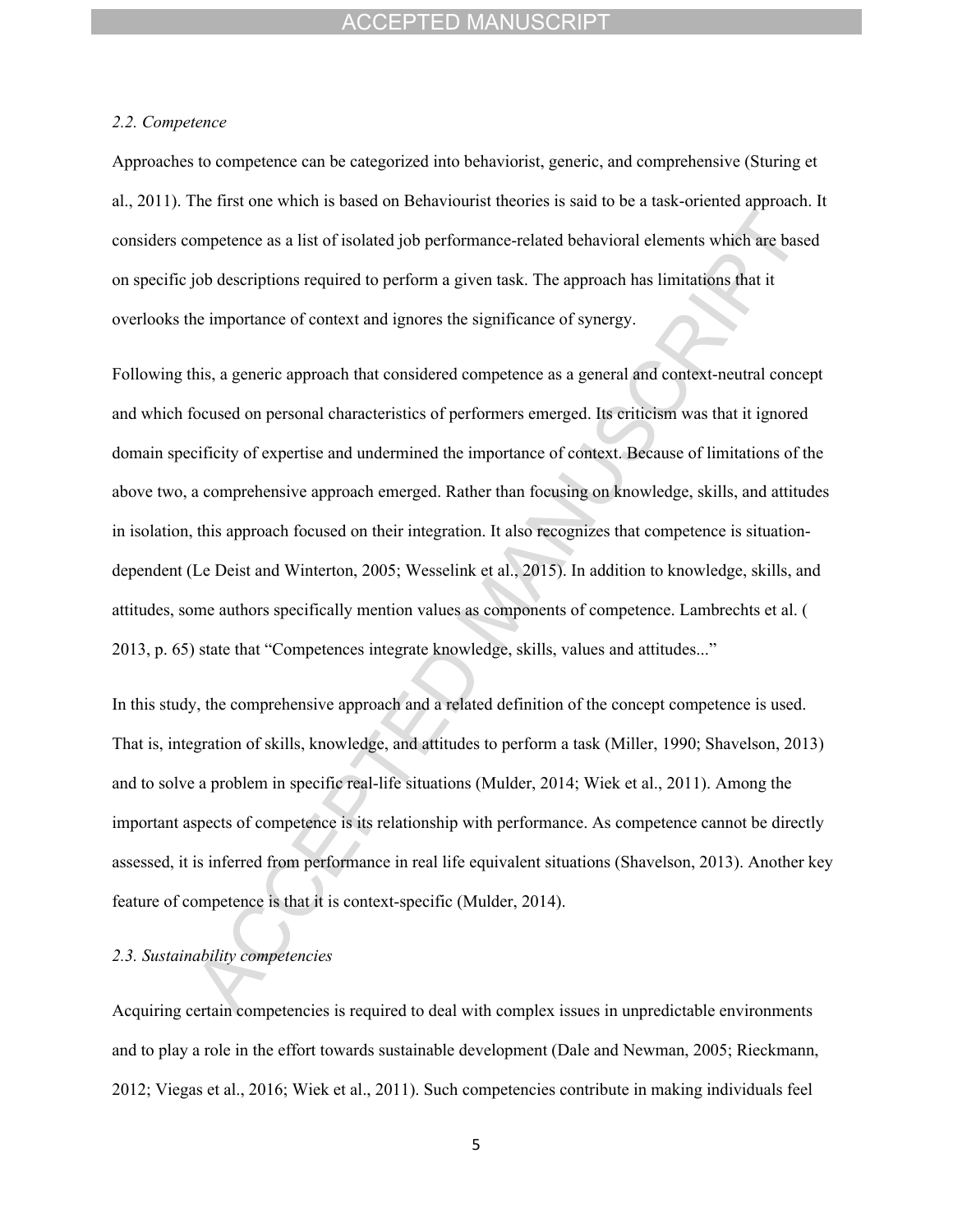#### *2.2. Competence*

Approaches to competence can be categorized into behaviorist, generic, and comprehensive (Sturing et al., 2011). The first one which is based on Behaviourist theories is said to be a task-oriented approach. It considers competence as a list of isolated job performance-related behavioral elements which are based on specific job descriptions required to perform a given task. The approach has limitations that it overlooks the importance of context and ignores the significance of synergy.

Following this, a generic approach that considered competence as a general and context-neutral concept and which focused on personal characteristics of performers emerged. Its criticism was that it ignored domain specificity of expertise and undermined the importance of context. Because of limitations of the above two, a comprehensive approach emerged. Rather than focusing on knowledge, skills, and attitudes in isolation, this approach focused on their integration. It also recognizes that competence is situationdependent (Le Deist and Winterton, 2005; Wesselink et al., 2015). In addition to knowledge, skills, and attitudes, some authors specifically mention values as components of competence. Lambrechts et al. ( 2013, p. 65) state that "Competences integrate knowledge, skills, values and attitudes..."

In this study, the comprehensive approach and a related definition of the concept competence is used. That is, integration of skills, knowledge, and attitudes to perform a task (Miller, 1990; Shavelson, 2013) and to solve a problem in specific real-life situations (Mulder, 2014; Wiek et al., 2011). Among the important aspects of competence is its relationship with performance. As competence cannot be directly assessed, it is inferred from performance in real life equivalent situations (Shavelson, 2013). Another key feature of competence is that it is context-specific (Mulder, 2014).

#### *2.3. Sustainability competencies*

Acquiring certain competencies is required to deal with complex issues in unpredictable environments and to play a role in the effort towards sustainable development (Dale and Newman, 2005; Rieckmann, 2012; Viegas et al., 2016; Wiek et al., 2011). Such competencies contribute in making individuals feel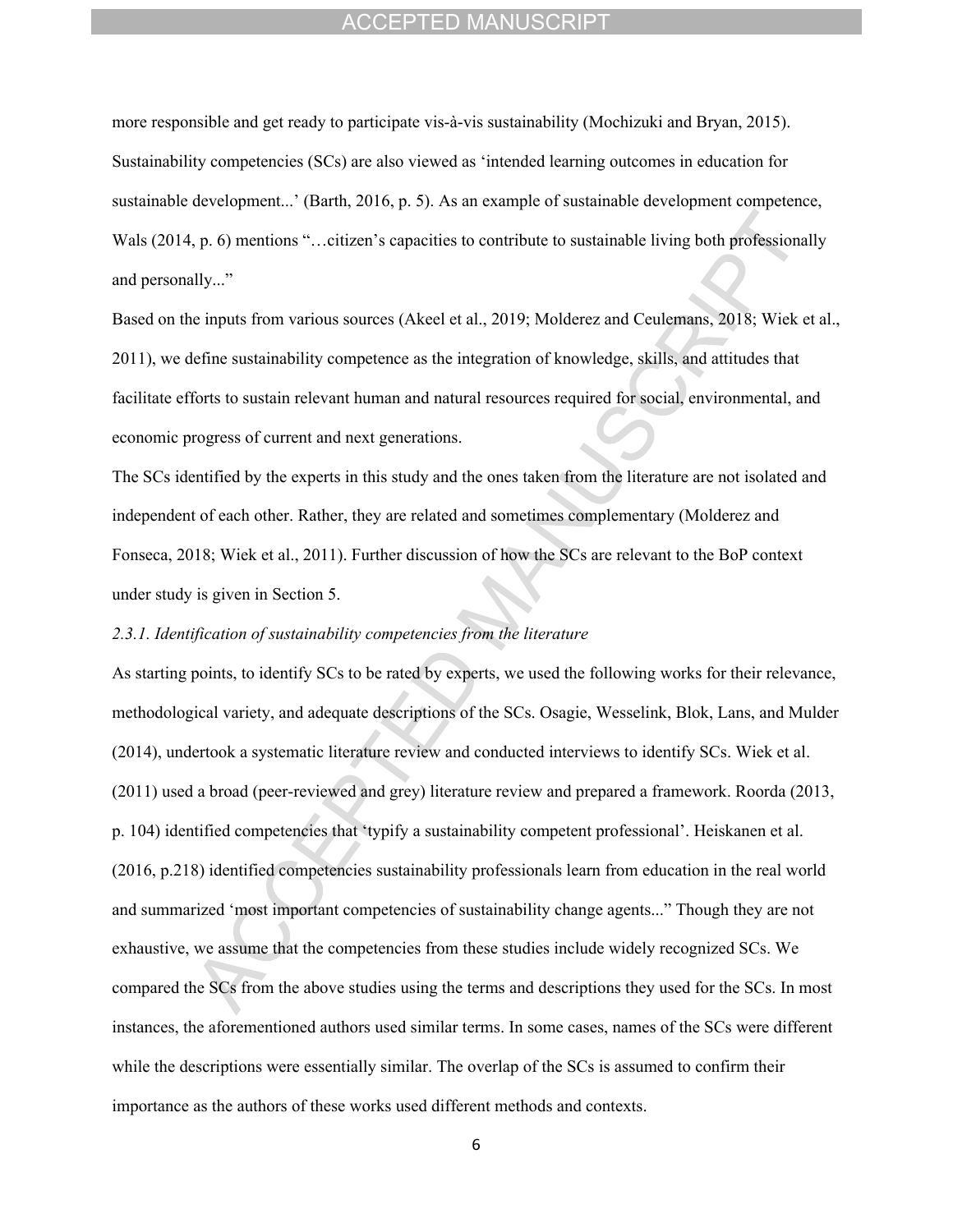more responsible and get ready to participate vis-à-vis sustainability (Mochizuki and Bryan, 2015). Sustainability competencies (SCs) are also viewed as 'intended learning outcomes in education for sustainable development...' (Barth, 2016, p. 5). As an example of sustainable development competence, Wals (2014, p. 6) mentions "... citizen's capacities to contribute to sustainable living both professionally and personally..."

Based on the inputs from various sources (Akeel et al., 2019; Molderez and Ceulemans, 2018; Wiek et al., 2011), we define sustainability competence as the integration of knowledge, skills, and attitudes that facilitate efforts to sustain relevant human and natural resources required for social, environmental, and economic progress of current and next generations.

The SCs identified by the experts in this study and the ones taken from the literature are not isolated and independent of each other. Rather, they are related and sometimes complementary (Molderez and Fonseca, 2018; Wiek et al., 2011). Further discussion of how the SCs are relevant to the BoP context under study is given in Section 5.

## *2.3.1. Identification of sustainability competencies from the literature*

As starting points, to identify SCs to be rated by experts, we used the following works for their relevance, methodological variety, and adequate descriptions of the SCs. Osagie, Wesselink, Blok, Lans, and Mulder (2014), undertook a systematic literature review and conducted interviews to identify SCs. Wiek et al. (2011) used a broad (peer-reviewed and grey) literature review and prepared a framework. Roorda (2013, p. 104) identified competencies that 'typify a sustainability competent professional'. Heiskanen et al. (2016, p.218) identified competencies sustainability professionals learn from education in the real world and summarized 'most important competencies of sustainability change agents..." Though they are not exhaustive, we assume that the competencies from these studies include widely recognized SCs. We compared the SCs from the above studies using the terms and descriptions they used for the SCs. In most instances, the aforementioned authors used similar terms. In some cases, names of the SCs were different while the descriptions were essentially similar. The overlap of the SCs is assumed to confirm their importance as the authors of these works used different methods and contexts.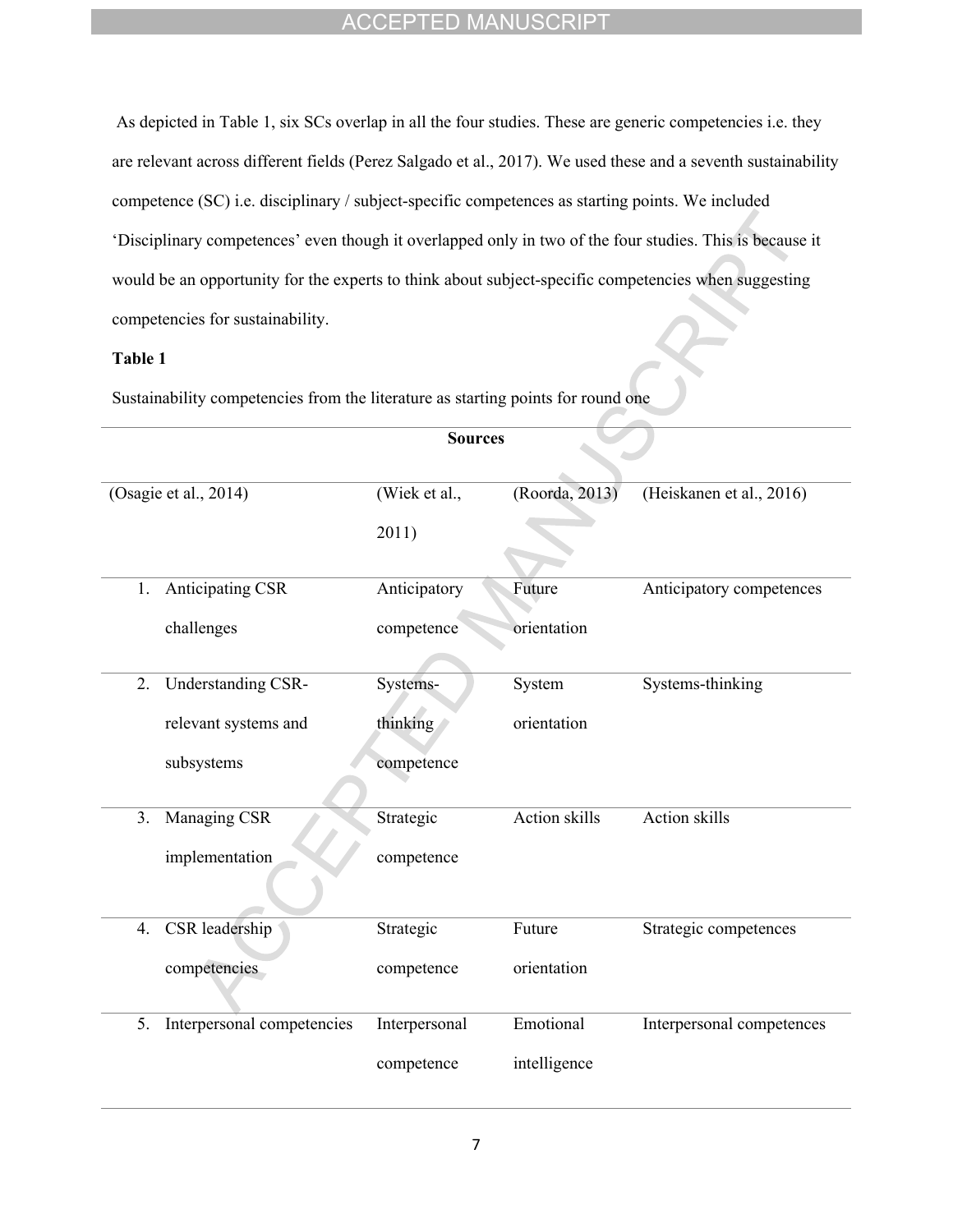As depicted in Table 1, six SCs overlap in all the four studies. These are generic competencies i.e. they are relevant across different fields (Perez Salgado et al., 2017). We used these and a seventh sustainability competence (SC) i.e. disciplinary / subject-specific competences as starting points. We included 'Disciplinary competences' even though it overlapped only in two of the four studies. This is because it would be an opportunity for the experts to think about subject-specific competencies when suggesting competencies for sustainability.

## **Table 1**

Sustainability competencies from the literature as starting points for round one

|    | <b>Sources</b>             |               |                      |                           |  |
|----|----------------------------|---------------|----------------------|---------------------------|--|
|    | (Osagie et al., 2014)      | (Wiek et al., | (Roorda, 2013)       | (Heiskanen et al., 2016)  |  |
|    |                            | 2011)         |                      |                           |  |
| 1. | <b>Anticipating CSR</b>    | Anticipatory  | Future               | Anticipatory competences  |  |
|    | challenges                 | competence    | orientation          |                           |  |
| 2. | Understanding CSR-         | Systems-      | System               | Systems-thinking          |  |
|    | relevant systems and       | thinking      | orientation          |                           |  |
|    | subsystems                 | competence    |                      |                           |  |
| 3. | Managing CSR               | Strategic     | <b>Action skills</b> | <b>Action skills</b>      |  |
|    | implementation             | competence    |                      |                           |  |
| 4. | CSR leadership             | Strategic     | Future               | Strategic competences     |  |
|    | competencies               | competence    | orientation          |                           |  |
| 5. | Interpersonal competencies | Interpersonal | Emotional            | Interpersonal competences |  |
|    |                            | competence    | intelligence         |                           |  |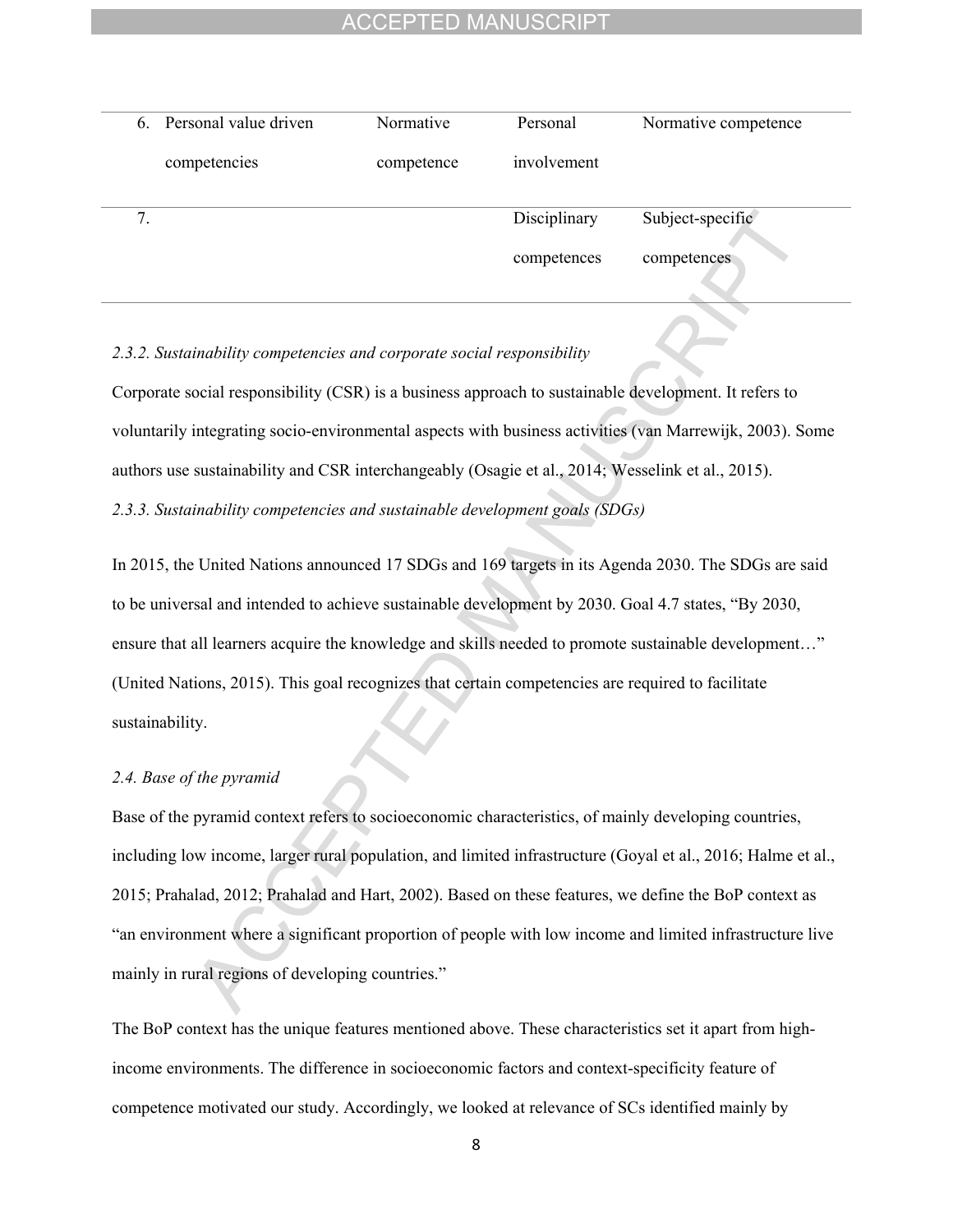|    | 6. Personal value driven | Normative  | Personal     | Normative competence |
|----|--------------------------|------------|--------------|----------------------|
|    | competencies             | competence | involvement  |                      |
| 7. |                          |            | Disciplinary | Subject-specific     |
|    |                          |            | competences  | competences          |

## *2.3.2. Sustainability competencies and corporate social responsibility*

Corporate social responsibility (CSR) is a business approach to sustainable development. It refers to voluntarily integrating socio-environmental aspects with business activities (van Marrewijk, 2003). Some authors use sustainability and CSR interchangeably (Osagie et al., 2014; Wesselink et al., 2015).

*2.3.3. Sustainability competencies and sustainable development goals (SDGs)* 

In 2015, the United Nations announced 17 SDGs and 169 targets in its Agenda 2030. The SDGs are said to be universal and intended to achieve sustainable development by 2030. Goal 4.7 states, "By 2030, ensure that all learners acquire the knowledge and skills needed to promote sustainable development…" (United Nations, 2015). This goal recognizes that certain competencies are required to facilitate sustainability.

#### *2.4. Base of the pyramid*

Base of the pyramid context refers to socioeconomic characteristics, of mainly developing countries, including low income, larger rural population, and limited infrastructure (Goyal et al., 2016; Halme et al., 2015; Prahalad, 2012; Prahalad and Hart, 2002). Based on these features, we define the BoP context as "an environment where a significant proportion of people with low income and limited infrastructure live mainly in rural regions of developing countries."

The BoP context has the unique features mentioned above. These characteristics set it apart from highincome environments. The difference in socioeconomic factors and context-specificity feature of competence motivated our study. Accordingly, we looked at relevance of SCs identified mainly by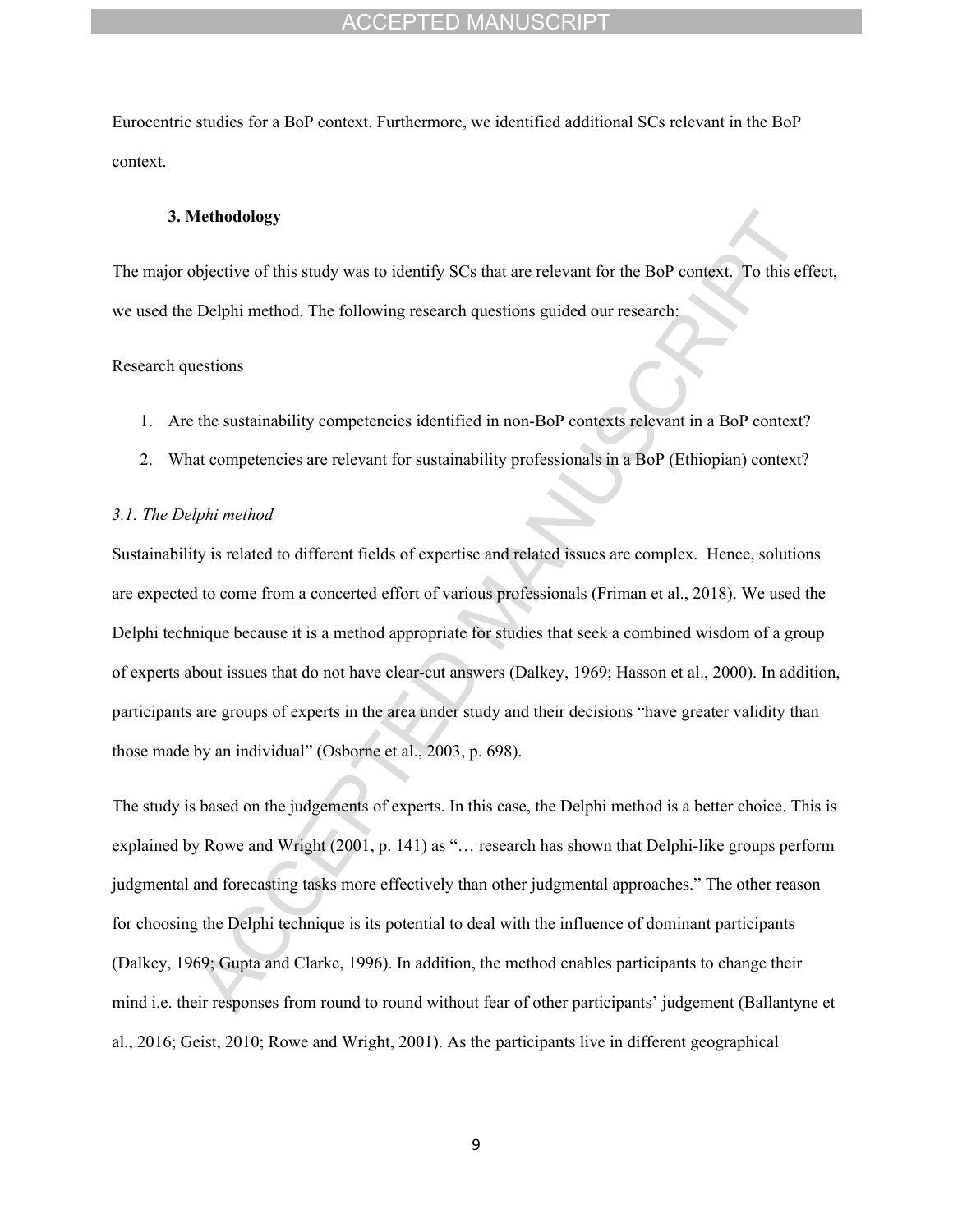Eurocentric studies for a BoP context. Furthermore, we identified additional SCs relevant in the BoP context.

### **3. Methodology**

The major objective of this study was to identify SCs that are relevant for the BoP context. To this effect, we used the Delphi method. The following research questions guided our research:

#### Research questions

- 1. Are the sustainability competencies identified in non-BoP contexts relevant in a BoP context?
- 2. What competencies are relevant for sustainability professionals in a BoP (Ethiopian) context?

### *3.1. The Delphi method*

Sustainability is related to different fields of expertise and related issues are complex. Hence, solutions are expected to come from a concerted effort of various professionals (Friman et al., 2018). We used the Delphi technique because it is a method appropriate for studies that seek a combined wisdom of a group of experts about issues that do not have clear-cut answers (Dalkey, 1969; Hasson et al., 2000). In addition, participants are groups of experts in the area under study and their decisions "have greater validity than those made by an individual" (Osborne et al., 2003, p. 698).

The study is based on the judgements of experts. In this case, the Delphi method is a better choice. This is explained by Rowe and Wright (2001, p. 141) as "… research has shown that Delphi-like groups perform judgmental and forecasting tasks more effectively than other judgmental approaches." The other reason for choosing the Delphi technique is its potential to deal with the influence of dominant participants (Dalkey, 1969; Gupta and Clarke, 1996). In addition, the method enables participants to change their mind i.e. their responses from round to round without fear of other participants' judgement (Ballantyne et al., 2016; Geist, 2010; Rowe and Wright, 2001). As the participants live in different geographical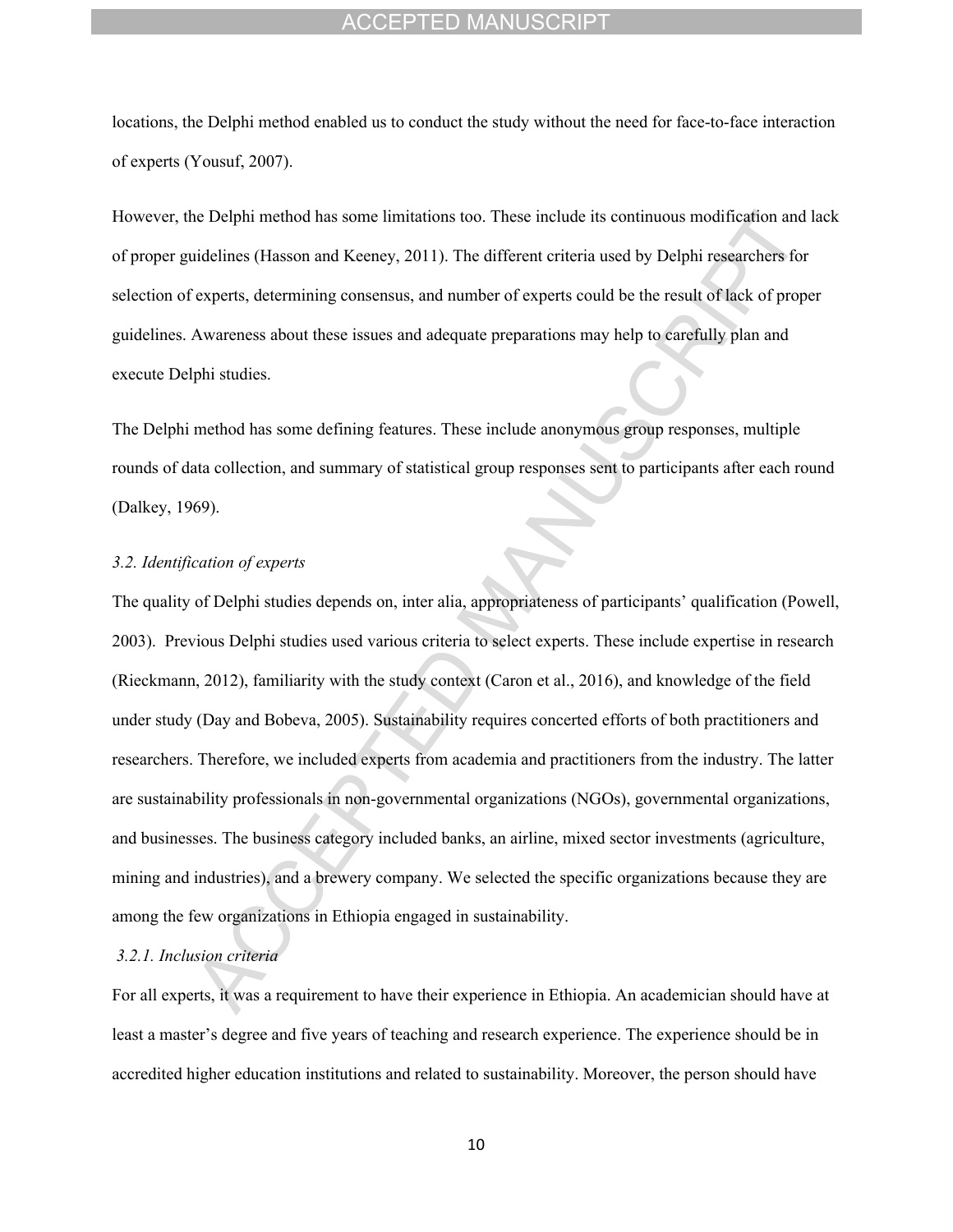locations, the Delphi method enabled us to conduct the study without the need for face-to-face interaction of experts (Yousuf, 2007).

However, the Delphi method has some limitations too. These include its continuous modification and lack of proper guidelines (Hasson and Keeney, 2011). The different criteria used by Delphi researchers for selection of experts, determining consensus, and number of experts could be the result of lack of proper guidelines. Awareness about these issues and adequate preparations may help to carefully plan and execute Delphi studies.

The Delphi method has some defining features. These include anonymous group responses, multiple rounds of data collection, and summary of statistical group responses sent to participants after each round (Dalkey, 1969).

#### *3.2. Identification of experts*

The quality of Delphi studies depends on, inter alia, appropriateness of participants' qualification (Powell, 2003). Previous Delphi studies used various criteria to select experts. These include expertise in research (Rieckmann, 2012), familiarity with the study context (Caron et al., 2016), and knowledge of the field under study (Day and Bobeva, 2005). Sustainability requires concerted efforts of both practitioners and researchers. Therefore, we included experts from academia and practitioners from the industry. The latter are sustainability professionals in non-governmental organizations (NGOs), governmental organizations, and businesses. The business category included banks, an airline, mixed sector investments (agriculture, mining and industries), and a brewery company. We selected the specific organizations because they are among the few organizations in Ethiopia engaged in sustainability.

#### *3.2.1. Inclusion criteria*

For all experts, it was a requirement to have their experience in Ethiopia. An academician should have at least a master's degree and five years of teaching and research experience. The experience should be in accredited higher education institutions and related to sustainability. Moreover, the person should have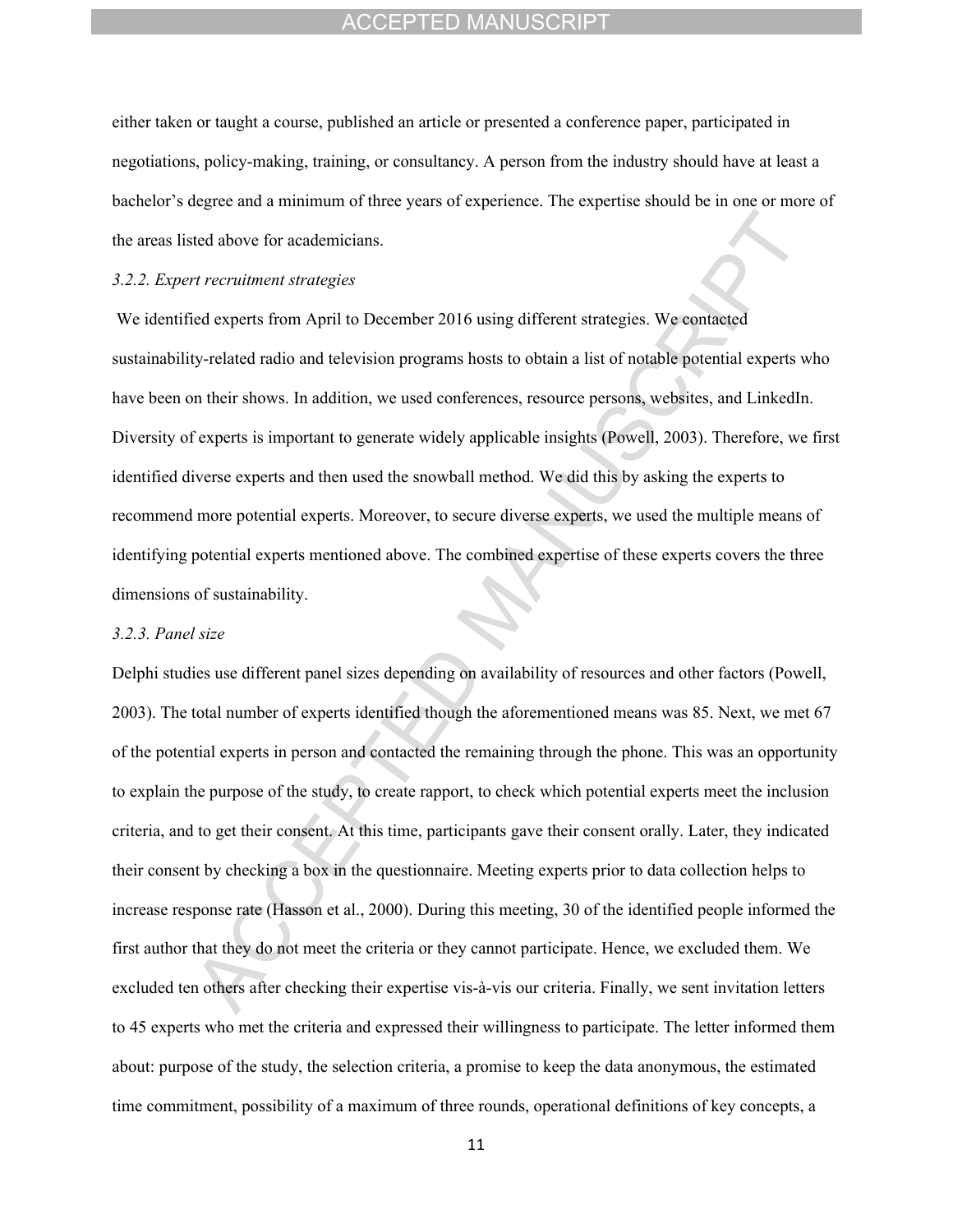either taken or taught a course, published an article or presented a conference paper, participated in negotiations, policy-making, training, or consultancy. A person from the industry should have at least a bachelor's degree and a minimum of three years of experience. The expertise should be in one or more of the areas listed above for academicians.

#### *3.2.2. Expert recruitment strategies*

 We identified experts from April to December 2016 using different strategies. We contacted sustainability-related radio and television programs hosts to obtain a list of notable potential experts who have been on their shows. In addition, we used conferences, resource persons, websites, and LinkedIn. Diversity of experts is important to generate widely applicable insights (Powell, 2003). Therefore, we first identified diverse experts and then used the snowball method. We did this by asking the experts to recommend more potential experts. Moreover, to secure diverse experts, we used the multiple means of identifying potential experts mentioned above. The combined expertise of these experts covers the three dimensions of sustainability.

#### *3.2.3. Panel size*

Delphi studies use different panel sizes depending on availability of resources and other factors (Powell, 2003). The total number of experts identified though the aforementioned means was 85. Next, we met 67 of the potential experts in person and contacted the remaining through the phone. This was an opportunity to explain the purpose of the study, to create rapport, to check which potential experts meet the inclusion criteria, and to get their consent. At this time, participants gave their consent orally. Later, they indicated their consent by checking a box in the questionnaire. Meeting experts prior to data collection helps to increase response rate (Hasson et al., 2000). During this meeting, 30 of the identified people informed the first author that they do not meet the criteria or they cannot participate. Hence, we excluded them. We excluded ten others after checking their expertise vis-à-vis our criteria. Finally, we sent invitation letters to 45 experts who met the criteria and expressed their willingness to participate. The letter informed them about: purpose of the study, the selection criteria, a promise to keep the data anonymous, the estimated time commitment, possibility of a maximum of three rounds, operational definitions of key concepts, a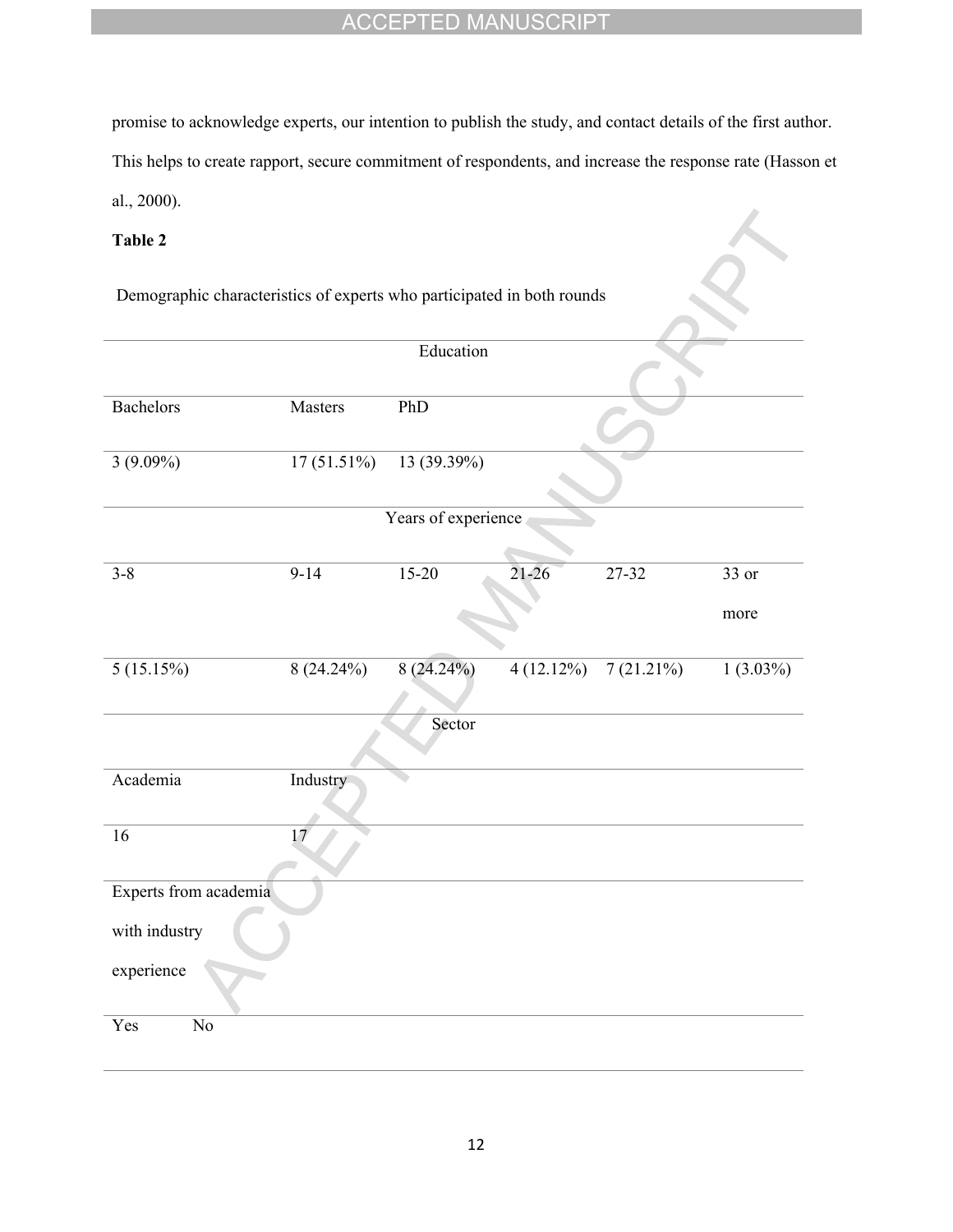promise to acknowledge experts, our intention to publish the study, and contact details of the first author.

This helps to create rapport, secure commitment of respondents, and increase the response rate (Hasson et

 $\delta$ 

al., 2000).

# **Table 2**

Demographic characteristics of experts who participated in both rounds

|                       |                 | Education           |           |           |             |
|-----------------------|-----------------|---------------------|-----------|-----------|-------------|
|                       |                 |                     |           |           |             |
| <b>Bachelors</b>      | Masters         | PhD                 |           |           |             |
| $3(9.09\%)$           | $17(51.51\%)$   | 13 (39.39%)         |           |           |             |
|                       |                 | Years of experience |           |           |             |
| $3 - 8$               | $9 - 14$        | $15 - 20$           | 21-26     | 27-32     | 33 or       |
|                       |                 |                     |           |           | more        |
| 5(15.15%)             | $8(24.24\%)$    | $8(24.24\%)$        | 4(12.12%) | 7(21.21%) | $1(3.03\%)$ |
|                       |                 | Sector              |           |           |             |
| Academia              | Industry        |                     |           |           |             |
| 16                    | $\overline{17}$ |                     |           |           |             |
| Experts from academia |                 |                     |           |           |             |
| with industry         |                 |                     |           |           |             |
| experience            |                 |                     |           |           |             |
| Yes<br>No             |                 |                     |           |           |             |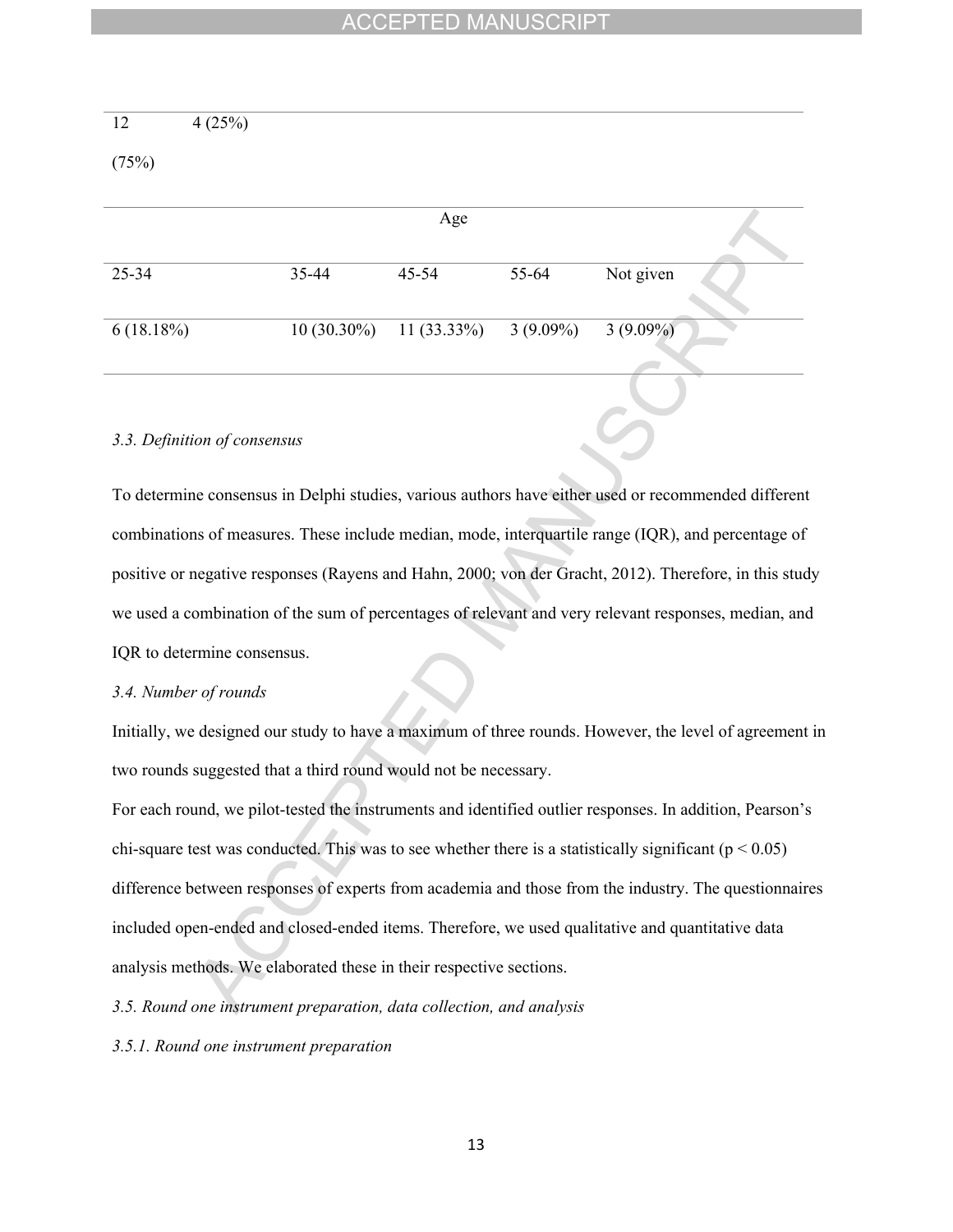| 12        | 4(25%) |               |               |             |             |
|-----------|--------|---------------|---------------|-------------|-------------|
| (75%)     |        |               |               |             |             |
|           |        |               |               |             |             |
|           |        |               | Age           |             |             |
| 25-34     |        | 35-44         | 45-54         | 55-64       | Not given   |
| 6(18.18%) |        | $10(30.30\%)$ | $11(33.33\%)$ | $3(9.09\%)$ | $3(9.09\%)$ |

## *3.3. Definition of consensus*

To determine consensus in Delphi studies, various authors have either used or recommended different combinations of measures. These include median, mode, interquartile range (IQR), and percentage of positive or negative responses (Rayens and Hahn, 2000; von der Gracht, 2012). Therefore, in this study we used a combination of the sum of percentages of relevant and very relevant responses, median, and IQR to determine consensus.

#### *3.4. Number of rounds*

Initially, we designed our study to have a maximum of three rounds. However, the level of agreement in two rounds suggested that a third round would not be necessary.

For each round, we pilot-tested the instruments and identified outlier responses. In addition, Pearson's chi-square test was conducted. This was to see whether there is a statistically significant ( $p < 0.05$ ) difference between responses of experts from academia and those from the industry. The questionnaires included open-ended and closed-ended items. Therefore, we used qualitative and quantitative data analysis methods. We elaborated these in their respective sections.

*3.5. Round one instrument preparation, data collection, and analysis*

*3.5.1. Round one instrument preparation*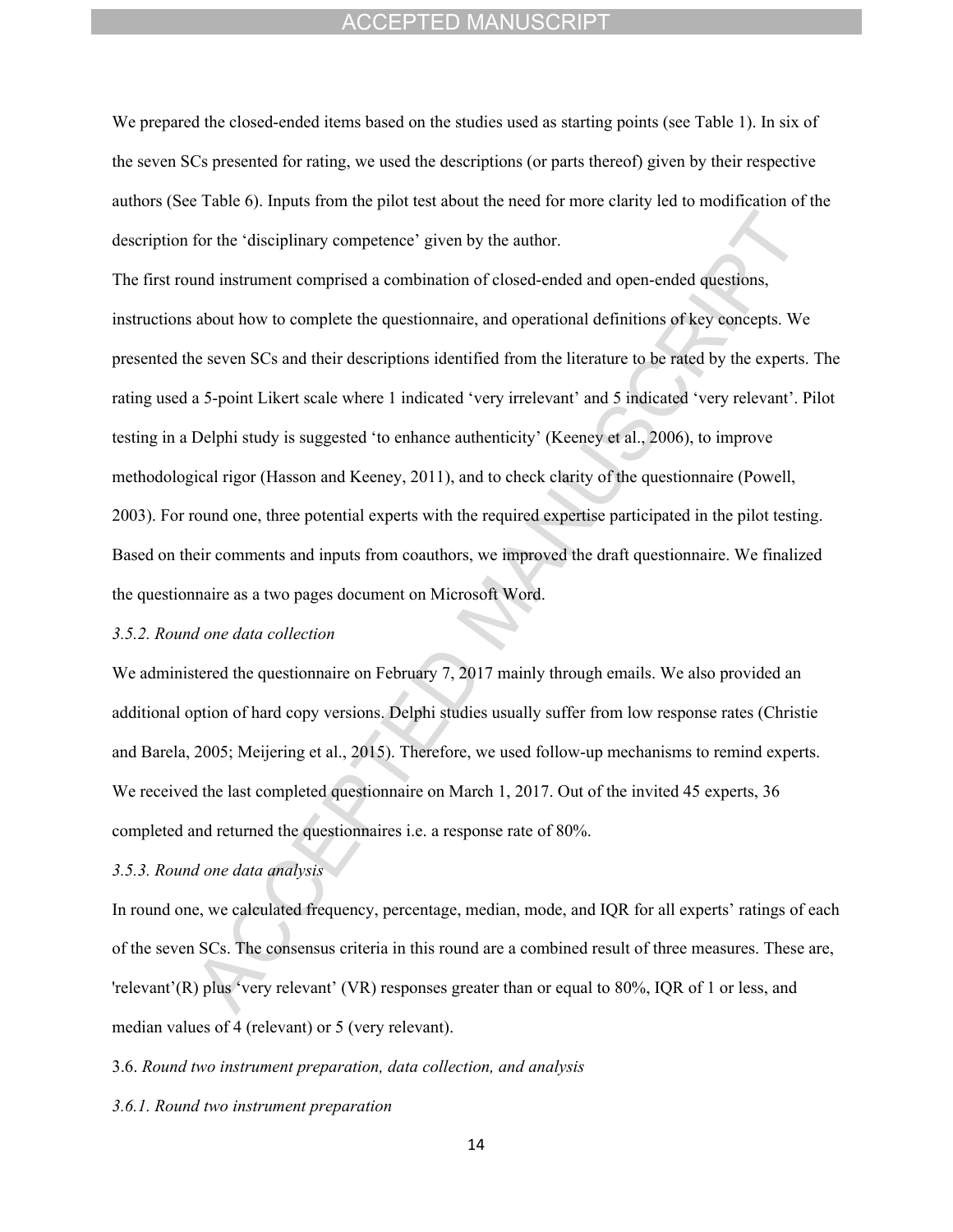We prepared the closed-ended items based on the studies used as starting points (see Table 1). In six of the seven SCs presented for rating, we used the descriptions (or parts thereof) given by their respective authors (See Table 6). Inputs from the pilot test about the need for more clarity led to modification of the description for the 'disciplinary competence' given by the author.

The first round instrument comprised a combination of closed-ended and open-ended questions, instructions about how to complete the questionnaire, and operational definitions of key concepts. We presented the seven SCs and their descriptions identified from the literature to be rated by the experts. The rating used a 5-point Likert scale where 1 indicated 'very irrelevant' and 5 indicated 'very relevant'. Pilot testing in a Delphi study is suggested 'to enhance authenticity' (Keeney et al., 2006), to improve methodological rigor (Hasson and Keeney, 2011), and to check clarity of the questionnaire (Powell, 2003). For round one, three potential experts with the required expertise participated in the pilot testing. Based on their comments and inputs from coauthors, we improved the draft questionnaire. We finalized the questionnaire as a two pages document on Microsoft Word.

#### *3.5.2. Round one data collection*

We administered the questionnaire on February 7, 2017 mainly through emails. We also provided an additional option of hard copy versions. Delphi studies usually suffer from low response rates (Christie and Barela, 2005; Meijering et al., 2015). Therefore, we used follow-up mechanisms to remind experts. We received the last completed questionnaire on March 1, 2017. Out of the invited 45 experts, 36 completed and returned the questionnaires i.e. a response rate of 80%.

## *3.5.3. Round one data analysis*

In round one, we calculated frequency, percentage, median, mode, and IQR for all experts' ratings of each of the seven SCs. The consensus criteria in this round are a combined result of three measures. These are, 'relevant'(R) plus 'very relevant' (VR) responses greater than or equal to 80%, IQR of 1 or less, and median values of 4 (relevant) or 5 (very relevant).

3.6. *Round two instrument preparation, data collection, and analysis*

*3.6.1. Round two instrument preparation*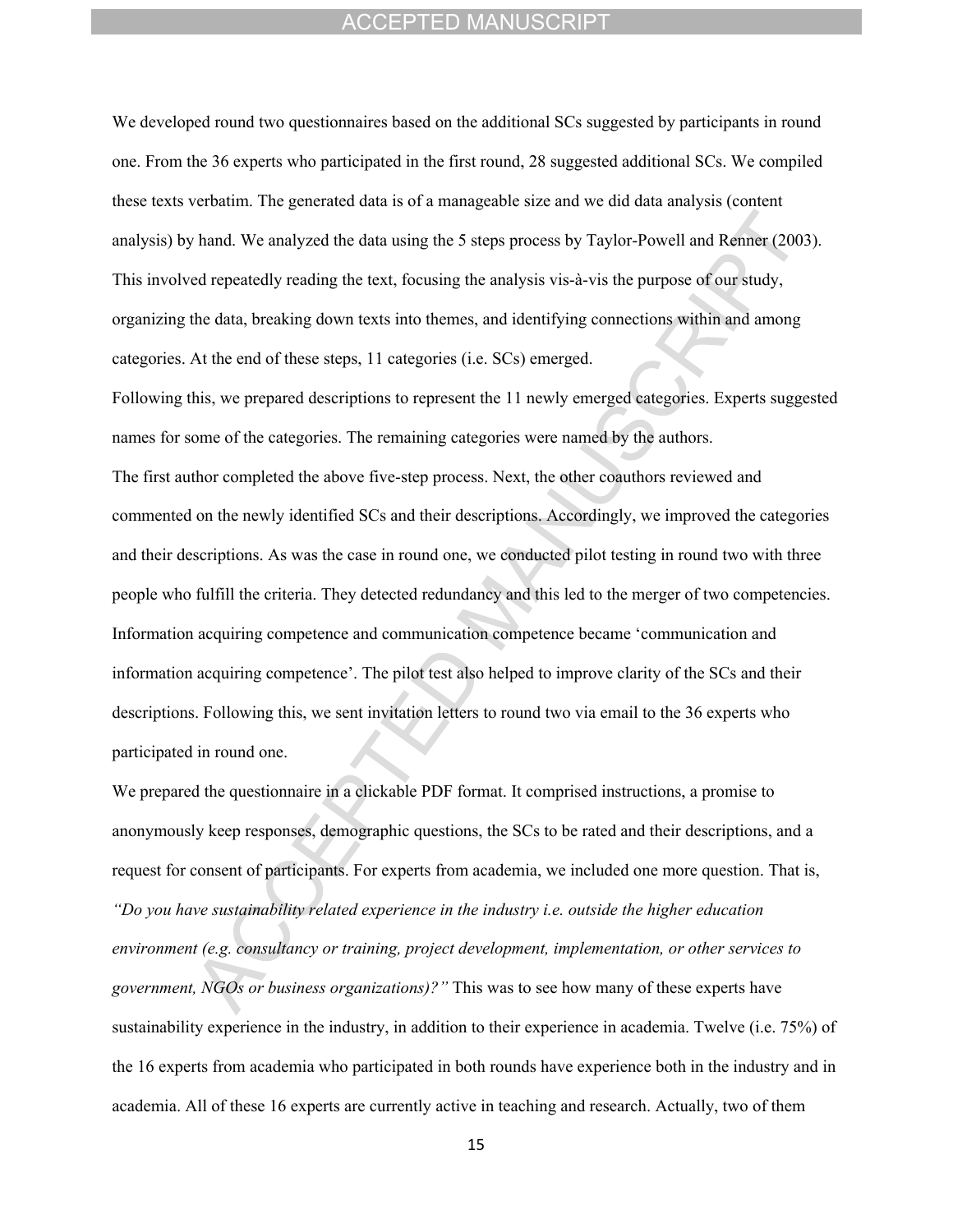We developed round two questionnaires based on the additional SCs suggested by participants in round one. From the 36 experts who participated in the first round, 28 suggested additional SCs. We compiled these texts verbatim. The generated data is of a manageable size and we did data analysis (content analysis) by hand. We analyzed the data using the 5 steps process by Taylor-Powell and Renner (2003). This involved repeatedly reading the text, focusing the analysis vis-à-vis the purpose of our study, organizing the data, breaking down texts into themes, and identifying connections within and among categories. At the end of these steps, 11 categories (i.e. SCs) emerged.

Following this, we prepared descriptions to represent the 11 newly emerged categories. Experts suggested names for some of the categories. The remaining categories were named by the authors. The first author completed the above five-step process. Next, the other coauthors reviewed and commented on the newly identified SCs and their descriptions. Accordingly, we improved the categories and their descriptions. As was the case in round one, we conducted pilot testing in round two with three people who fulfill the criteria. They detected redundancy and this led to the merger of two competencies. Information acquiring competence and communication competence became 'communication and information acquiring competence'. The pilot test also helped to improve clarity of the SCs and their descriptions. Following this, we sent invitation letters to round two via email to the 36 experts who participated in round one.

We prepared the questionnaire in a clickable PDF format. It comprised instructions, a promise to anonymously keep responses, demographic questions, the SCs to be rated and their descriptions, and a request for consent of participants. For experts from academia, we included one more question. That is, *"Do you have sustainability related experience in the industry i.e. outside the higher education environment (e.g. consultancy or training, project development, implementation, or other services to government, NGOs or business organizations)?"* This was to see how many of these experts have sustainability experience in the industry, in addition to their experience in academia. Twelve (i.e. 75%) of the 16 experts from academia who participated in both rounds have experience both in the industry and in academia. All of these 16 experts are currently active in teaching and research. Actually, two of them

15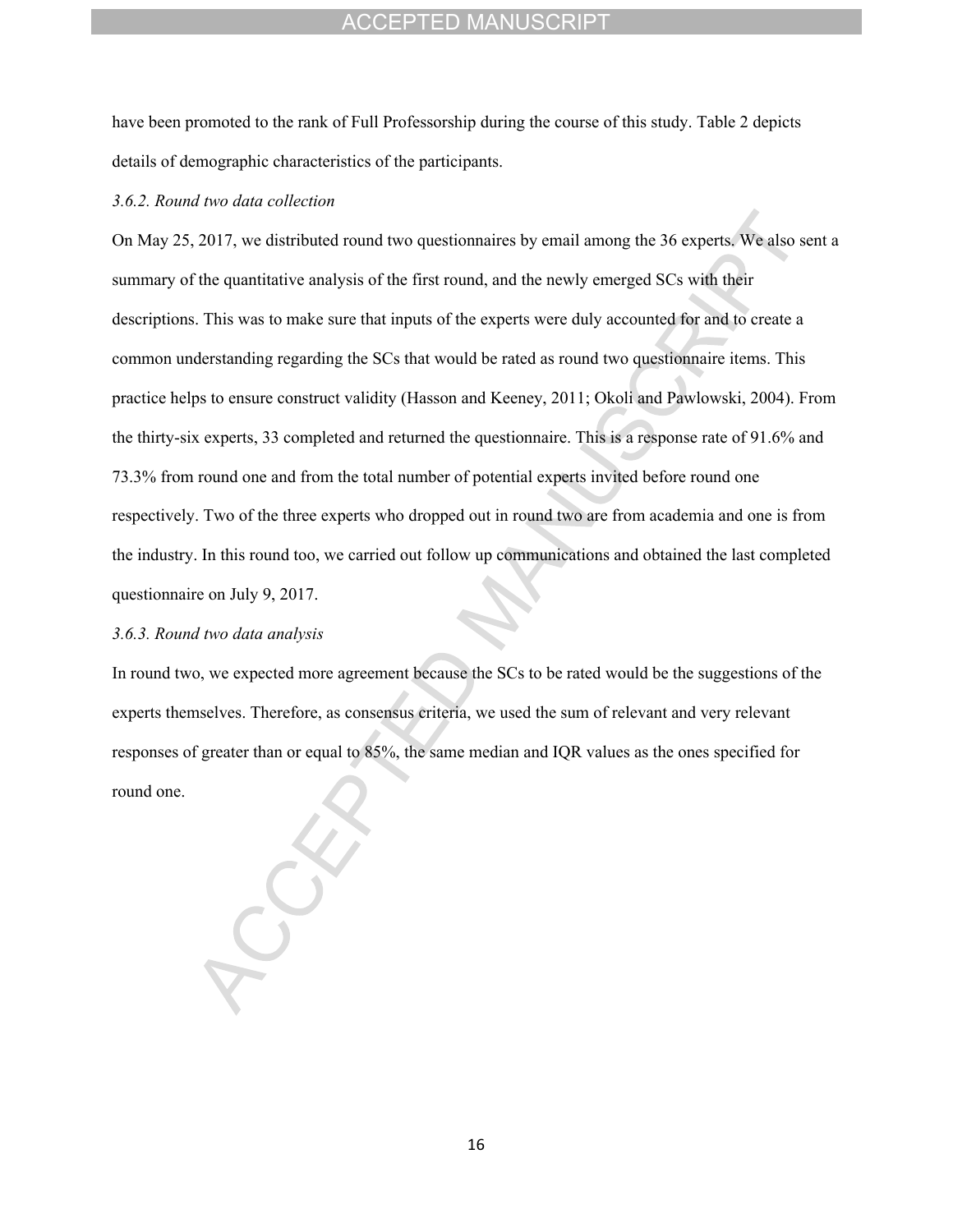have been promoted to the rank of Full Professorship during the course of this study. Table 2 depicts details of demographic characteristics of the participants.

#### *3.6.2. Round two data collection*

On May 25, 2017, we distributed round two questionnaires by email among the 36 experts. We also sent a summary of the quantitative analysis of the first round, and the newly emerged SCs with their descriptions. This was to make sure that inputs of the experts were duly accounted for and to create a common understanding regarding the SCs that would be rated as round two questionnaire items. This practice helps to ensure construct validity (Hasson and Keeney, 2011; Okoli and Pawlowski, 2004). From the thirty-six experts, 33 completed and returned the questionnaire. This is a response rate of 91.6% and 73.3% from round one and from the total number of potential experts invited before round one respectively. Two of the three experts who dropped out in round two are from academia and one is from the industry. In this round too, we carried out follow up communications and obtained the last completed questionnaire on July 9, 2017.

#### *3.6.3. Round two data analysis*

In round two, we expected more agreement because the SCs to be rated would be the suggestions of the experts themselves. Therefore, as consensus criteria, we used the sum of relevant and very relevant responses of greater than or equal to 85%, the same median and IQR values as the ones specified for round one.

16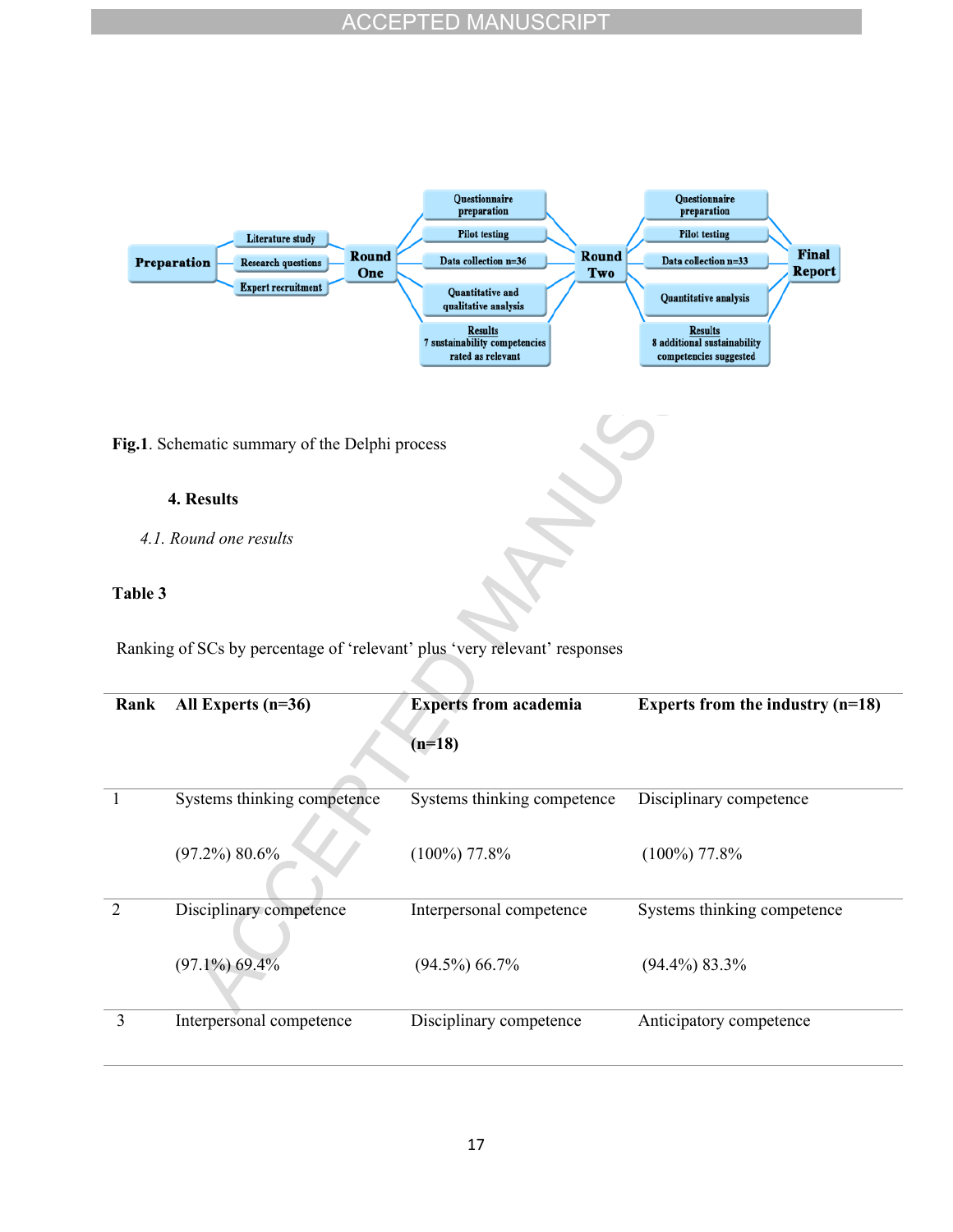

**Fig.1**. Schematic summary of the Delphi process

## **4. Results**

*4.1. Round one results*

## **Table 3**

Ranking of SCs by percentage of 'relevant' plus 'very relevant' responses

| Rank          | All Experts $(n=36)$        | <b>Experts from academia</b><br>$(n=18)$ | Experts from the industry $(n=18)$ |
|---------------|-----------------------------|------------------------------------------|------------------------------------|
| 1             | Systems thinking competence | Systems thinking competence              | Disciplinary competence            |
|               | $(97.2\%) 80.6\%$           | $(100\%)$ 77.8%                          | $(100\%)$ 77.8%                    |
| $\mathcal{L}$ | Disciplinary competence     | Interpersonal competence                 | Systems thinking competence        |
|               | $(97.1\%) 69.4\%$           | $(94.5\%) 66.7\%$                        | $(94.4\%) 83.3\%$                  |
| 3             | Interpersonal competence    | Disciplinary competence                  | Anticipatory competence            |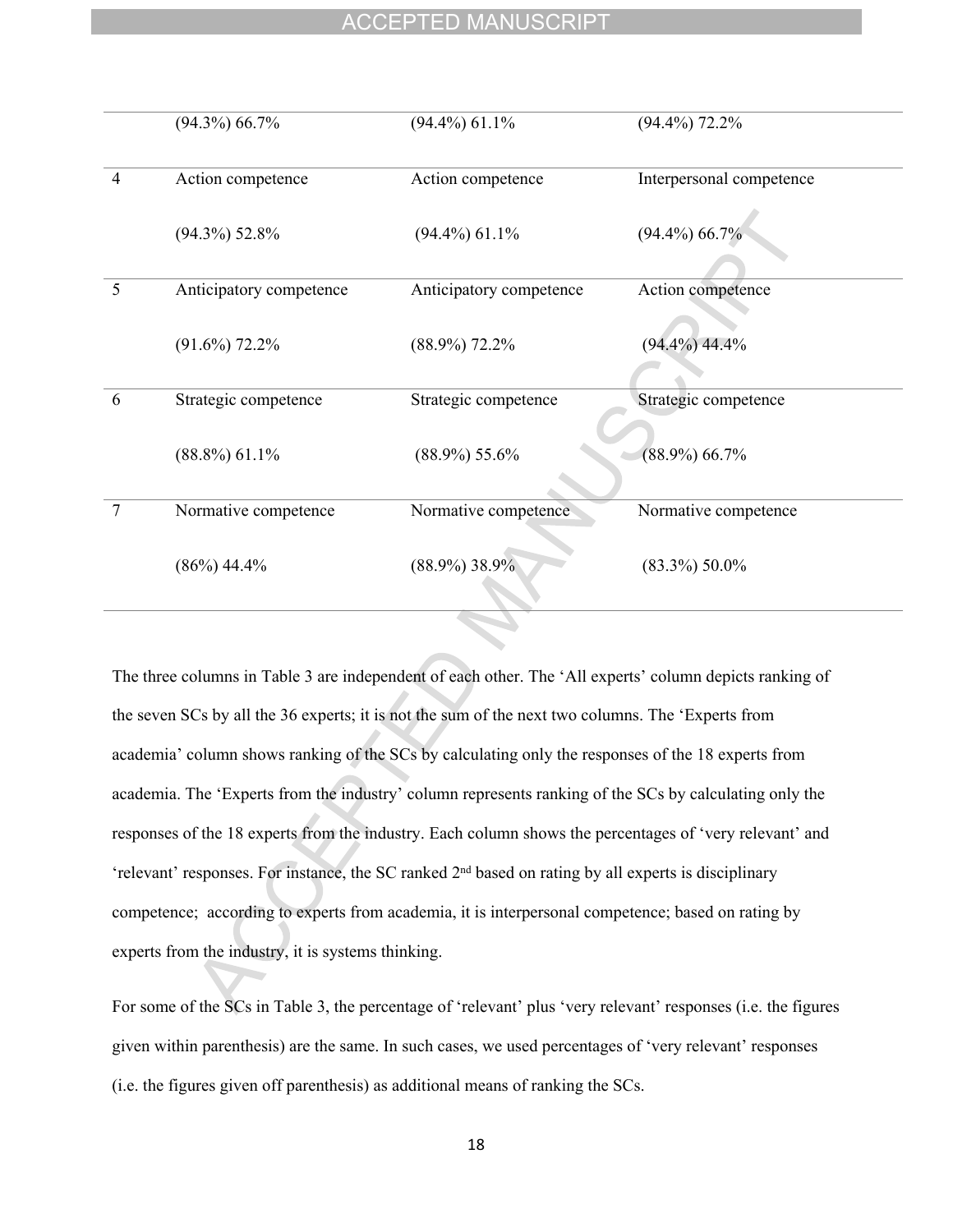|   | $(94.3\%) 66.7\%$       | $(94.4\%) 61.1\%$       | $(94.4\%)$ 72.2%         |
|---|-------------------------|-------------------------|--------------------------|
| 4 | Action competence       | Action competence       | Interpersonal competence |
|   | $(94.3\%) 52.8\%$       | $(94.4\%)$ 61.1%        | $(94.4\%) 66.7\%$        |
| 5 | Anticipatory competence | Anticipatory competence | Action competence        |
|   | $(91.6\%)$ 72.2%        | $(88.9\%)$ 72.2%        | $(94.4\%) 44.4\%$        |
| 6 | Strategic competence    | Strategic competence    | Strategic competence     |
|   | $(88.8\%) 61.1\%$       | $(88.9\%) 55.6\%$       | $(88.9\%) 66.7\%$        |
| 7 | Normative competence    | Normative competence    | Normative competence     |
|   | $(86\%) 44.4\%$         | $(88.9\%)$ 38.9%        | $(83.3\%) 50.0\%$        |

The three columns in Table 3 are independent of each other. The 'All experts' column depicts ranking of the seven SCs by all the 36 experts; it is not the sum of the next two columns. The 'Experts from academia' column shows ranking of the SCs by calculating only the responses of the 18 experts from academia. The 'Experts from the industry' column represents ranking of the SCs by calculating only the responses of the 18 experts from the industry. Each column shows the percentages of 'very relevant' and 'relevant' responses. For instance, the SC ranked 2nd based on rating by all experts is disciplinary competence; according to experts from academia, it is interpersonal competence; based on rating by experts from the industry, it is systems thinking.

For some of the SCs in Table 3, the percentage of 'relevant' plus 'very relevant' responses (i.e. the figures given within parenthesis) are the same. In such cases, we used percentages of 'very relevant' responses (i.e. the figures given off parenthesis) as additional means of ranking the SCs.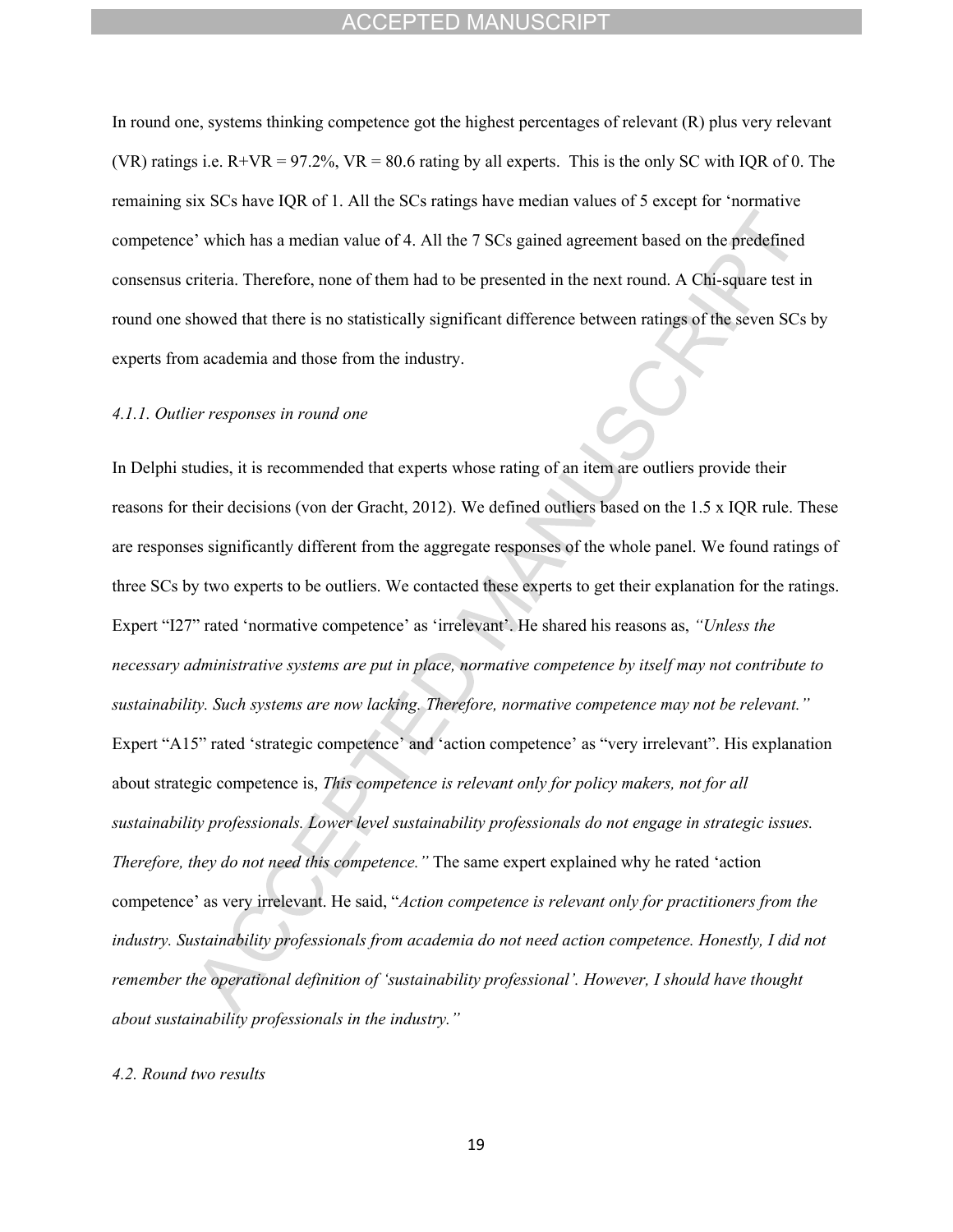In round one, systems thinking competence got the highest percentages of relevant (R) plus very relevant (VR) ratings i.e.  $R+VR = 97.2\%$ ,  $VR = 80.6$  rating by all experts. This is the only SC with IQR of 0. The remaining six SCs have IQR of 1. All the SCs ratings have median values of 5 except for 'normative competence' which has a median value of 4. All the 7 SCs gained agreement based on the predefined consensus criteria. Therefore, none of them had to be presented in the next round. A Chi-square test in round one showed that there is no statistically significant difference between ratings of the seven SCs by experts from academia and those from the industry.

#### *4.1.1. Outlier responses in round one*

In Delphi studies, it is recommended that experts whose rating of an item are outliers provide their reasons for their decisions (von der Gracht, 2012). We defined outliers based on the 1.5 x IQR rule. These are responses significantly different from the aggregate responses of the whole panel. We found ratings of three SCs by two experts to be outliers. We contacted these experts to get their explanation for the ratings. Expert "I27" rated 'normative competence' as 'irrelevant'. He shared his reasons as, *"Unless the necessary administrative systems are put in place, normative competence by itself may not contribute to sustainability. Such systems are now lacking. Therefore, normative competence may not be relevant."* Expert "A15" rated 'strategic competence' and 'action competence' as "very irrelevant". His explanation about strategic competence is, *This competence is relevant only for policy makers, not for all sustainability professionals. Lower level sustainability professionals do not engage in strategic issues. Therefore, they do not need this competence."* The same expert explained why he rated 'action competence' as very irrelevant. He said, "*Action competence is relevant only for practitioners from the industry. Sustainability professionals from academia do not need action competence. Honestly, I did not remember the operational definition of 'sustainability professional'. However, I should have thought about sustainability professionals in the industry."*

#### *4.2. Round two results*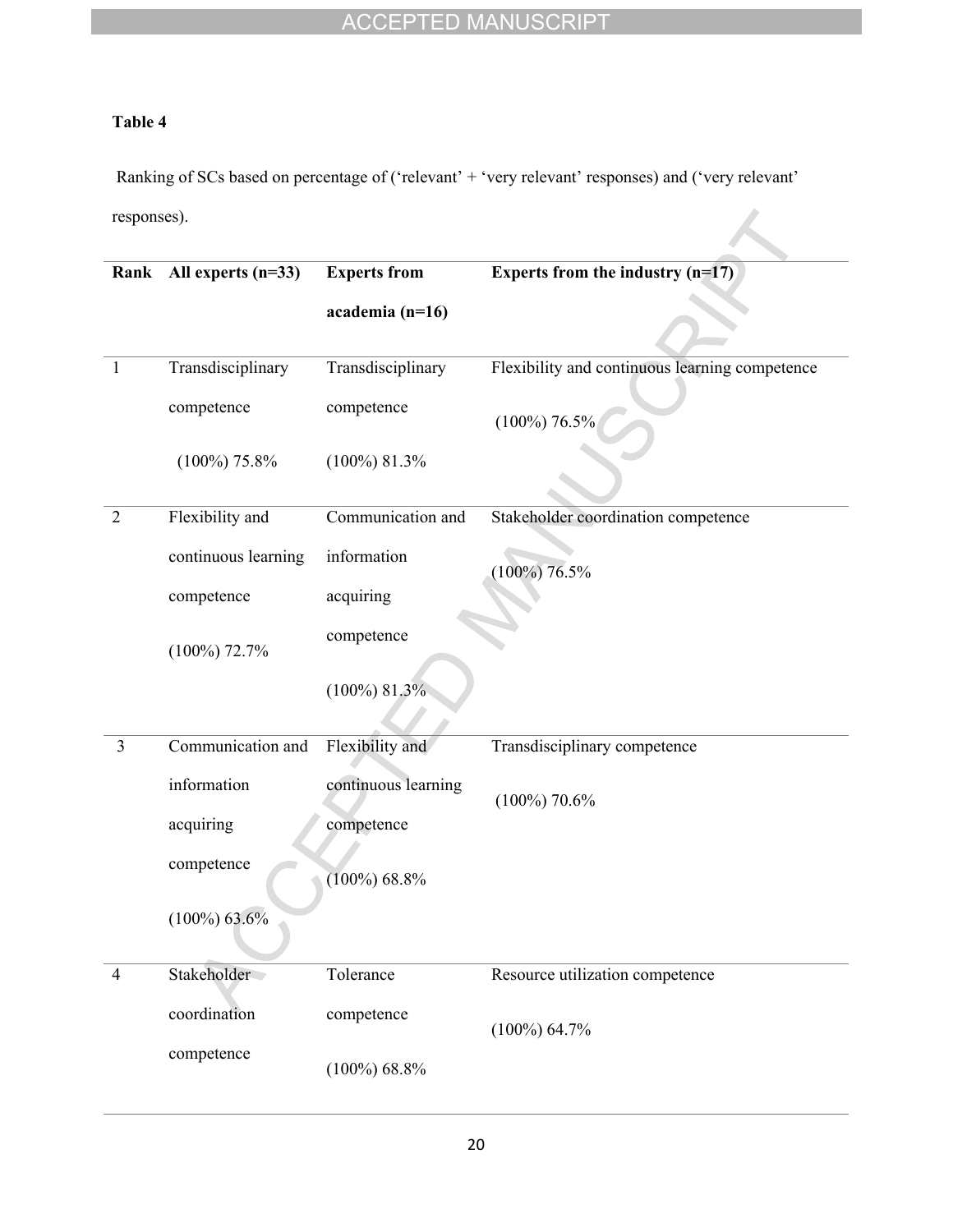# **Table 4**

Ranking of SCs based on percentage of ('relevant' + 'very relevant' responses) and ('very relevant' responses).

|                | Rank All experts (n=33) | <b>Experts from</b> | Experts from the industry $(n=17)$             |
|----------------|-------------------------|---------------------|------------------------------------------------|
|                |                         |                     |                                                |
|                |                         | academia (n=16)     |                                                |
|                |                         |                     |                                                |
| $\mathbf{1}$   | Transdisciplinary       | Transdisciplinary   | Flexibility and continuous learning competence |
|                | competence              | competence          | $(100\%)$ 76.5%                                |
|                | $(100\%)$ 75.8%         | $(100\%)$ 81.3%     |                                                |
| $\overline{2}$ | Flexibility and         | Communication and   | Stakeholder coordination competence            |
|                | continuous learning     | information         | $(100\%)$ 76.5%                                |
|                | competence              | acquiring           |                                                |
|                | $(100\%)$ 72.7%         | competence          |                                                |
|                |                         | $(100\%)$ 81.3%     |                                                |
| $\overline{3}$ | Communication and       | Flexibility and     | Transdisciplinary competence                   |
|                | information             | continuous learning | $(100\%)$ 70.6%                                |
|                | acquiring               | competence          |                                                |
|                | competence              | $(100\%) 68.8\%$    |                                                |
|                | $(100\%) 63.6\%$        |                     |                                                |
| $\overline{4}$ | Stakeholder             | Tolerance           | Resource utilization competence                |
|                | coordination            | competence          | $(100\%) 64.7\%$                               |
|                | competence              | $(100\%) 68.8\%$    |                                                |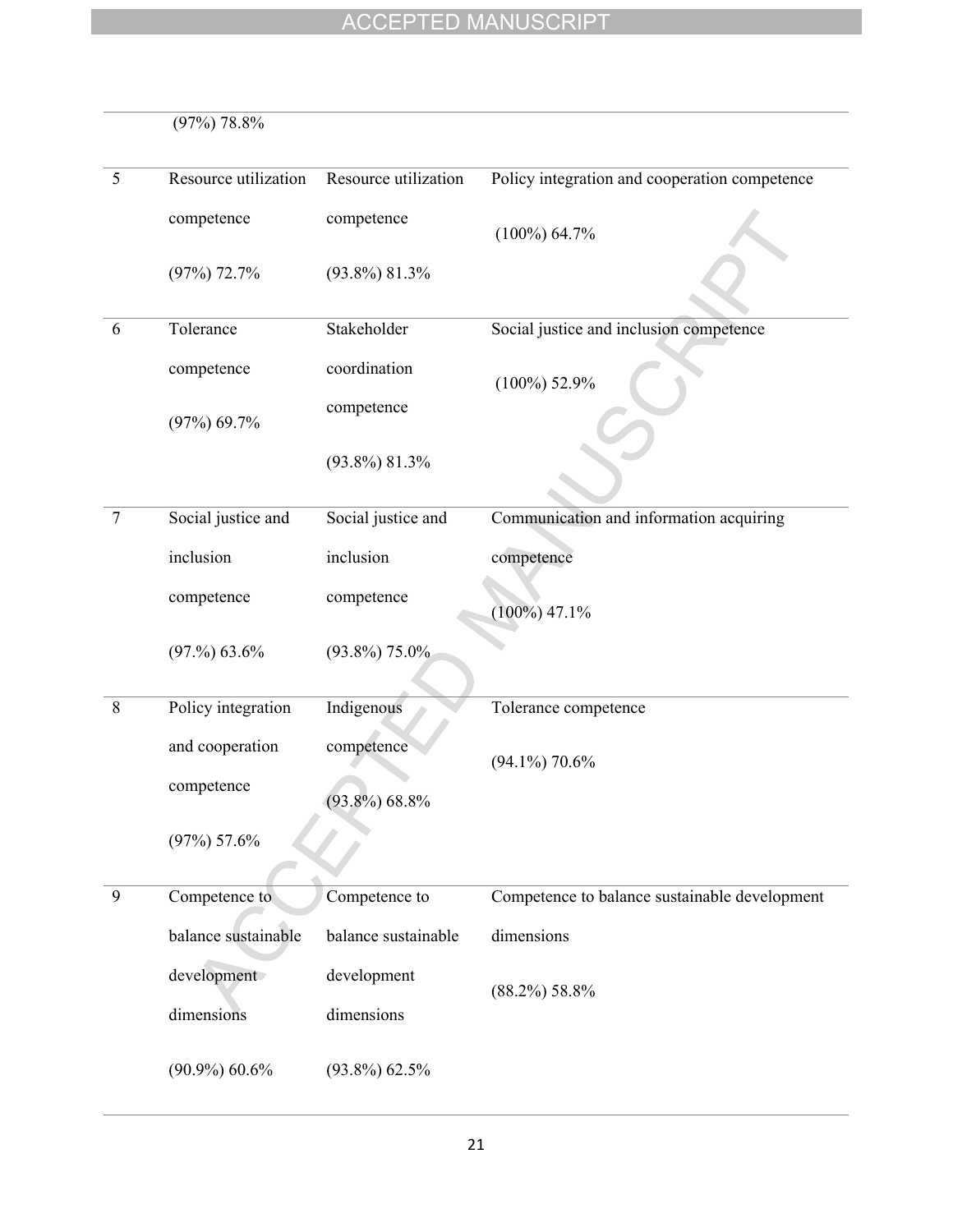|         | $(97\%)$ 78.8%       |                      |                                               |
|---------|----------------------|----------------------|-----------------------------------------------|
| 5       | Resource utilization | Resource utilization | Policy integration and cooperation competence |
|         | competence           | competence           | $(100\%) 64.7\%$                              |
|         | $(97\%)$ 72.7%       | $(93.8\%) 81.3\%$    |                                               |
| 6       | Tolerance            | Stakeholder          | Social justice and inclusion competence       |
|         | competence           | coordination         | $(100\%)$ 52.9%                               |
|         | $(97\%) 69.7\%$      | competence           |                                               |
|         |                      | $(93.8\%) 81.3\%$    |                                               |
| $\tau$  | Social justice and   | Social justice and   | Communication and information acquiring       |
|         | inclusion            | inclusion            | competence                                    |
|         | competence           | competence           | $(100\%) 47.1\%$                              |
|         | (97.%) 63.6%         | $(93.8\%)$ 75.0%     |                                               |
| $\,8\,$ | Policy integration   | Indigenous           | Tolerance competence                          |
|         | and cooperation      | competence           | $(94.1\%)$ 70.6%                              |
|         | competence           | $(93.8\%) 68.8\%$    |                                               |
|         | $(97\%) 57.6\%$      |                      |                                               |
| 9       | Competence to        | Competence to        | Competence to balance sustainable development |
|         | balance sustainable  | balance sustainable  | dimensions                                    |
|         | development          | development          | $(88.2\%) 58.8\%$                             |
|         | dimensions           | dimensions           |                                               |
|         | $(90.9\%) 60.6\%$    | $(93.8\%) 62.5\%$    |                                               |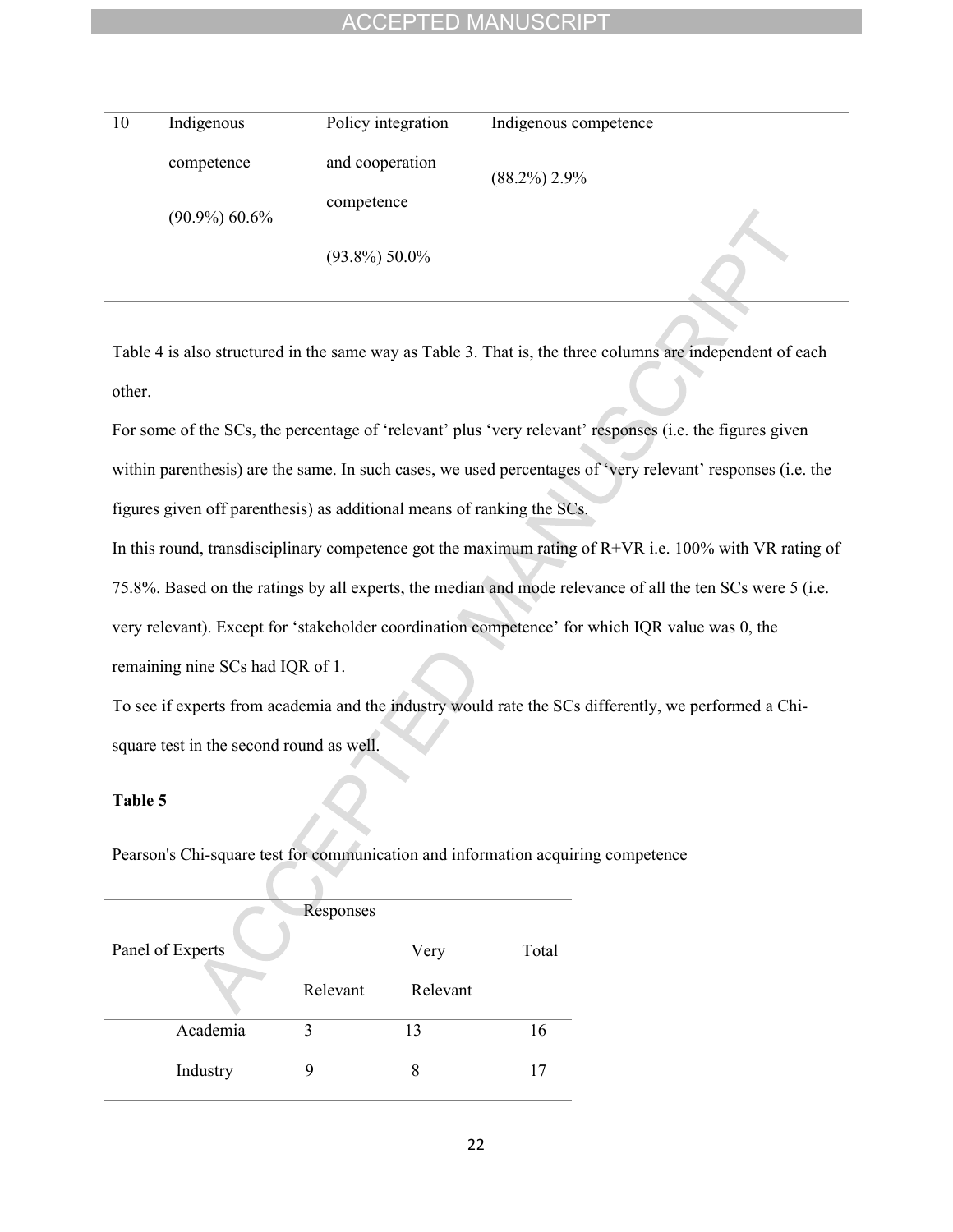| 10 | Indigenous        | Policy integration | Indigenous competence |
|----|-------------------|--------------------|-----------------------|
|    | competence        | and cooperation    | $(88.2\%) 2.9\%$      |
|    | $(90.9\%) 60.6\%$ | competence         |                       |
|    |                   | $(93.8\%) 50.0\%$  |                       |

Table 4 is also structured in the same way as Table 3. That is, the three columns are independent of each other.

For some of the SCs, the percentage of 'relevant' plus 'very relevant' responses (i.e. the figures given within parenthesis) are the same. In such cases, we used percentages of 'very relevant' responses (i.e. the figures given off parenthesis) as additional means of ranking the SCs.

In this round, transdisciplinary competence got the maximum rating of R+VR i.e. 100% with VR rating of

75.8%. Based on the ratings by all experts, the median and mode relevance of all the ten SCs were 5 (i.e.

very relevant). Except for 'stakeholder coordination competence' for which IQR value was 0, the

remaining nine SCs had IQR of 1.

To see if experts from academia and the industry would rate the SCs differently, we performed a Chisquare test in the second round as well.

## **Table 5**

Pearson's Chi-square test for communication and information acquiring competence

|                  | Responses |          |       |
|------------------|-----------|----------|-------|
| Panel of Experts |           | Very     | Total |
|                  | Relevant  | Relevant |       |
| Academia         |           | 13       | 16    |
| Industry         |           | 8        |       |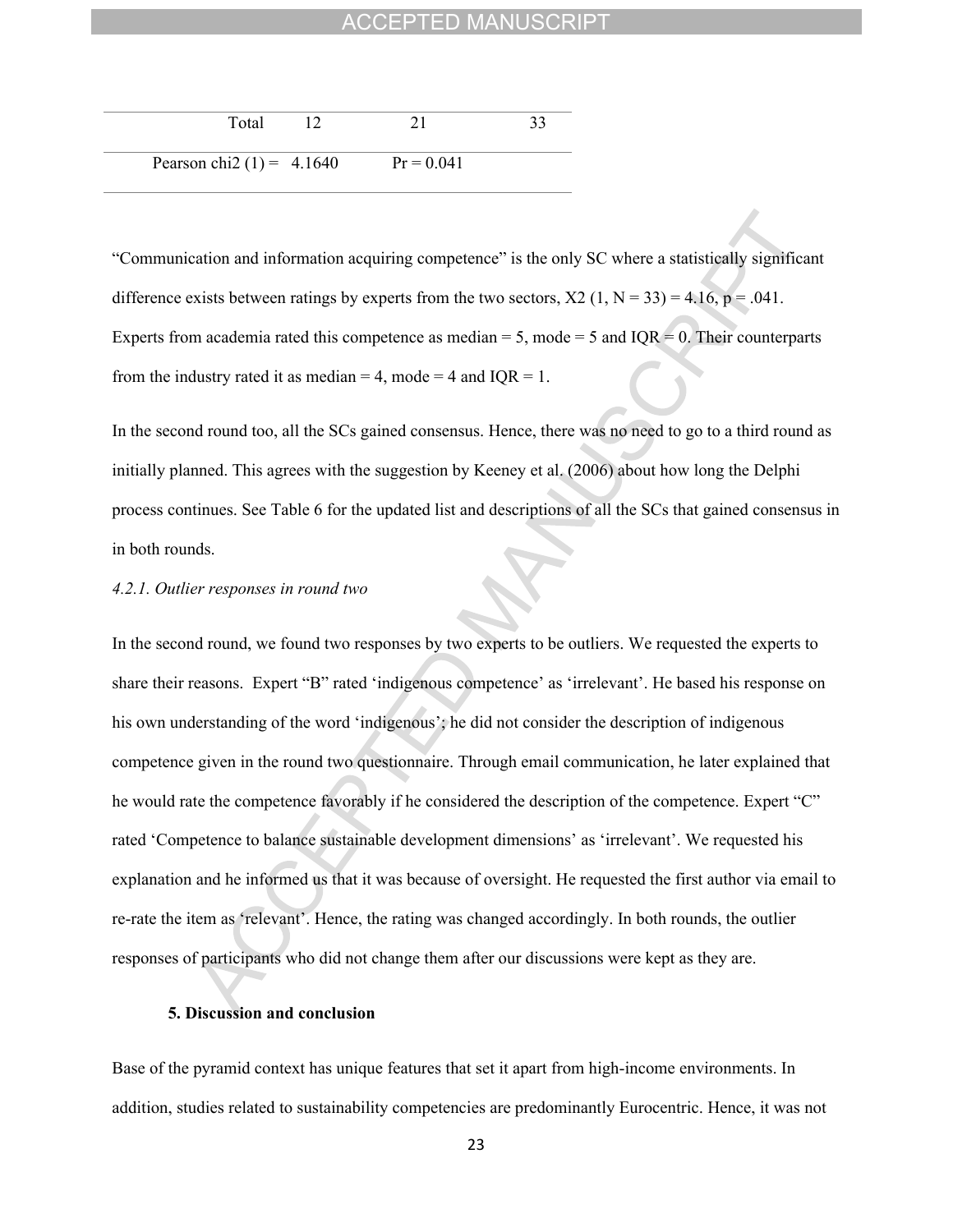| Total                       |              |  |
|-----------------------------|--------------|--|
| Pearson chi2 $(1) = 4.1640$ | $Pr = 0.041$ |  |

"Communication and information acquiring competence" is the only SC where a statistically significant difference exists between ratings by experts from the two sectors,  $X2$  (1, N = 33) = 4.16, p = .041. Experts from academia rated this competence as median  $= 5$ , mode  $= 5$  and IQR  $= 0$ . Their counterparts from the industry rated it as median = 4, mode = 4 and  $IQR = 1$ .

In the second round too, all the SCs gained consensus. Hence, there was no need to go to a third round as initially planned. This agrees with the suggestion by Keeney et al. (2006) about how long the Delphi process continues. See Table 6 for the updated list and descriptions of all the SCs that gained consensus in in both rounds.

#### *4.2.1. Outlier responses in round two*

In the second round, we found two responses by two experts to be outliers. We requested the experts to share their reasons. Expert "B" rated 'indigenous competence' as 'irrelevant'. He based his response on his own understanding of the word 'indigenous'; he did not consider the description of indigenous competence given in the round two questionnaire. Through email communication, he later explained that he would rate the competence favorably if he considered the description of the competence. Expert "C" rated 'Competence to balance sustainable development dimensions' as 'irrelevant'. We requested his explanation and he informed us that it was because of oversight. He requested the first author via email to re-rate the item as 'relevant'. Hence, the rating was changed accordingly. In both rounds, the outlier responses of participants who did not change them after our discussions were kept as they are.

#### **5. Discussion and conclusion**

Base of the pyramid context has unique features that set it apart from high-income environments. In addition, studies related to sustainability competencies are predominantly Eurocentric. Hence, it was not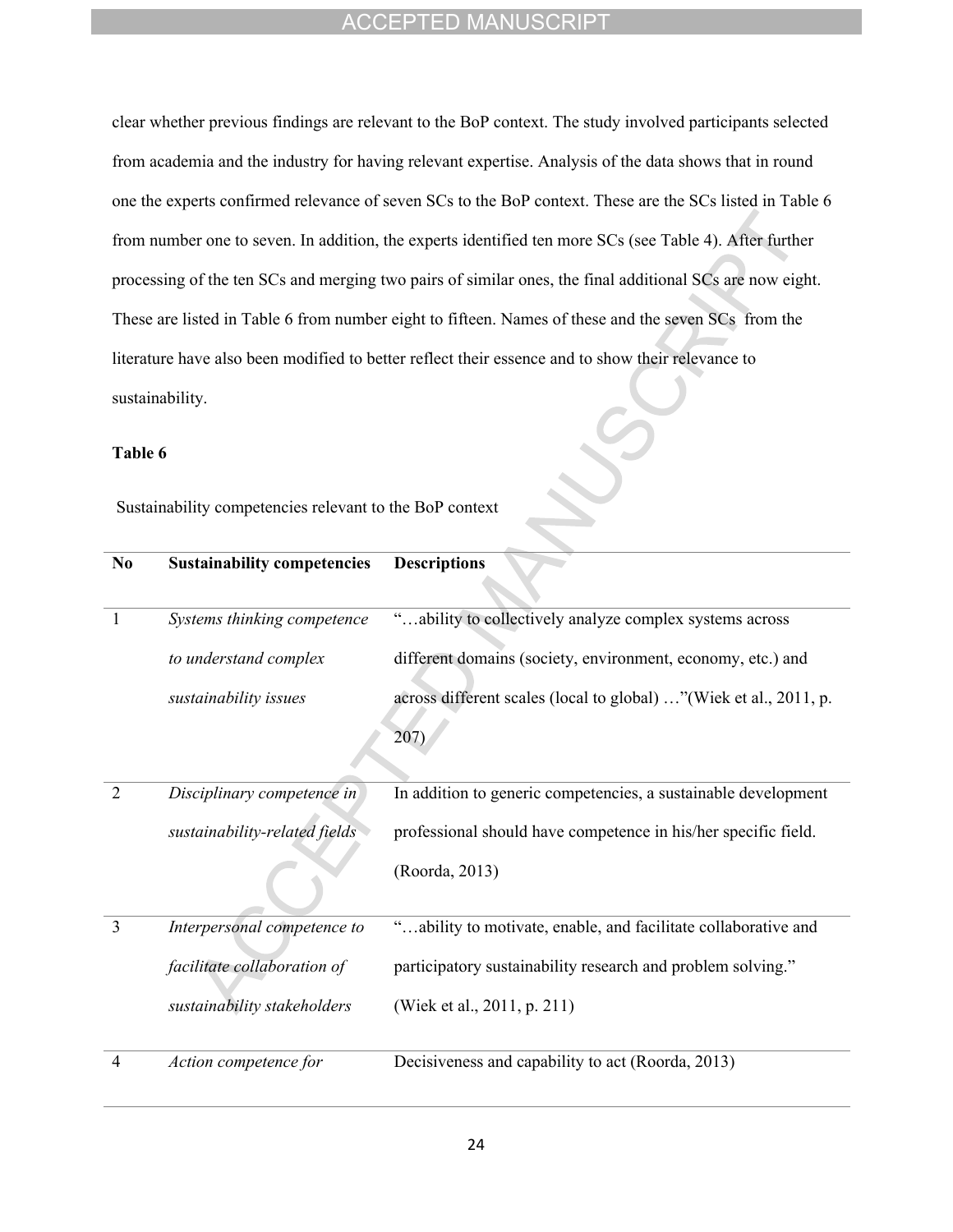clear whether previous findings are relevant to the BoP context. The study involved participants selected from academia and the industry for having relevant expertise. Analysis of the data shows that in round one the experts confirmed relevance of seven SCs to the BoP context. These are the SCs listed in Table 6 from number one to seven. In addition, the experts identified ten more SCs (see Table 4). After further processing of the ten SCs and merging two pairs of similar ones, the final additional SCs are now eight. These are listed in Table 6 from number eight to fifteen. Names of these and the seven SCs from the literature have also been modified to better reflect their essence and to show their relevance to sustainability.

### **Table 6**

Sustainability competencies relevant to the BoP context

| N <sub>0</sub> | <b>Sustainability competencies</b> | <b>Descriptions</b>                                               |
|----------------|------------------------------------|-------------------------------------------------------------------|
| 1              | Systems thinking competence        | "ability to collectively analyze complex systems across           |
|                | to understand complex              | different domains (society, environment, economy, etc.) and       |
|                | sustainability issues              | across different scales (local to global) "(Wiek et al., 2011, p. |
|                |                                    | 207                                                               |
|                |                                    |                                                                   |
| $\overline{2}$ | Disciplinary competence in         | In addition to generic competencies, a sustainable development    |
|                | sustainability-related fields      | professional should have competence in his/her specific field.    |
|                |                                    | (Roorda, 2013)                                                    |
|                |                                    |                                                                   |
| 3              | Interpersonal competence to        | "ability to motivate, enable, and facilitate collaborative and    |
|                | facilitate collaboration of        | participatory sustainability research and problem solving."       |
|                | sustainability stakeholders        | (Wiek et al., 2011, p. 211)                                       |
| 4              | Action competence for              | Decisiveness and capability to act (Roorda, 2013)                 |
|                |                                    |                                                                   |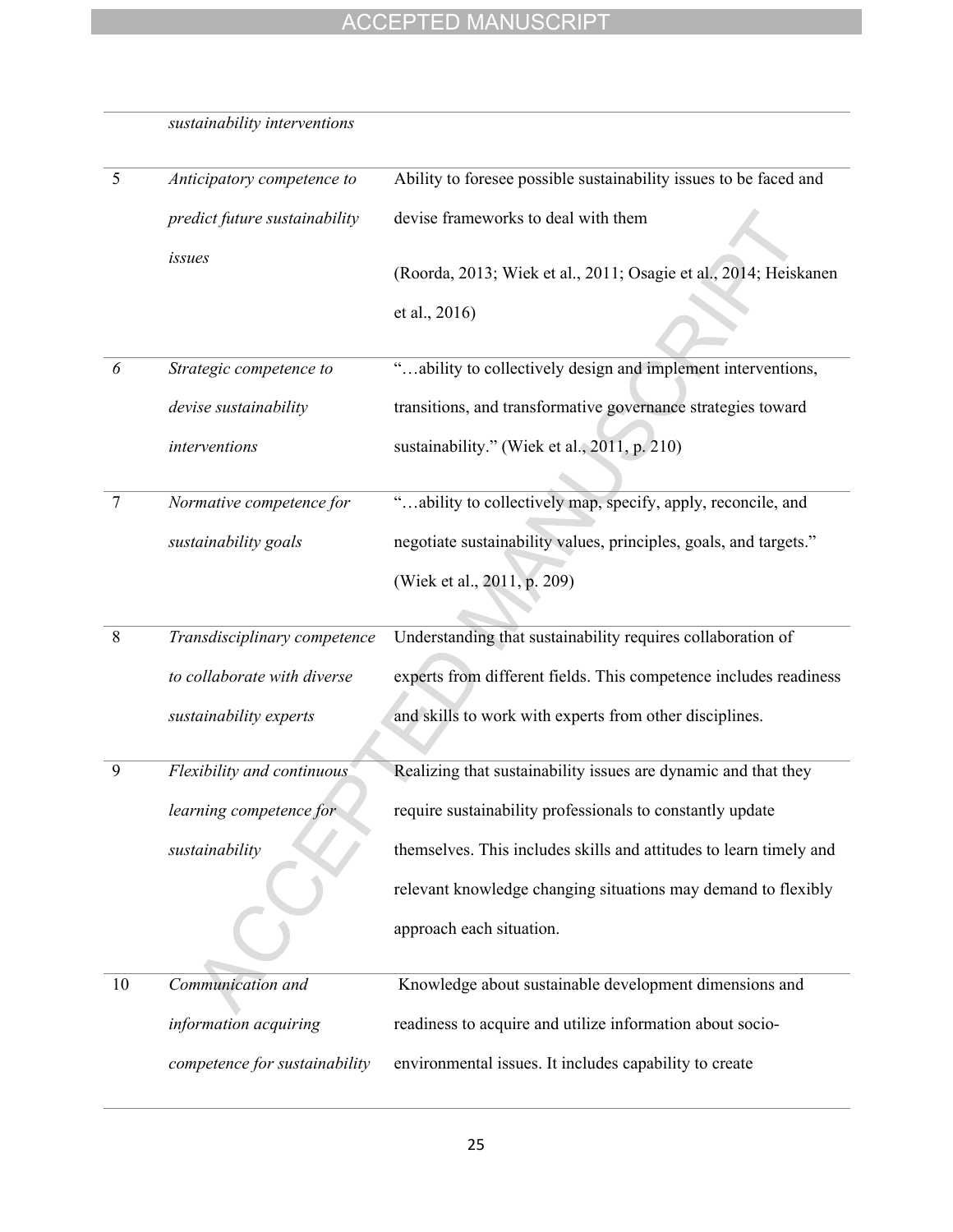| 5  | Anticipatory competence to    | Ability to foresee possible sustainability issues to be faced and  |
|----|-------------------------------|--------------------------------------------------------------------|
|    | predict future sustainability | devise frameworks to deal with them                                |
|    | issues                        | (Roorda, 2013; Wiek et al., 2011; Osagie et al., 2014; Heiskanen   |
|    |                               | et al., 2016)                                                      |
| 6  | Strategic competence to       | "ability to collectively design and implement interventions,       |
|    | devise sustainability         | transitions, and transformative governance strategies toward       |
|    | interventions                 | sustainability." (Wiek et al., 2011, p. 210)                       |
|    |                               |                                                                    |
| 7  | Normative competence for      | "ability to collectively map, specify, apply, reconcile, and       |
|    | sustainability goals          | negotiate sustainability values, principles, goals, and targets."  |
|    |                               | (Wiek et al., 2011, p. 209)                                        |
|    |                               |                                                                    |
| 8  | Transdisciplinary competence  | Understanding that sustainability requires collaboration of        |
|    | to collaborate with diverse   | experts from different fields. This competence includes readiness  |
|    | sustainability experts        | and skills to work with experts from other disciplines.            |
| 9  | Flexibility and continuous    | Realizing that sustainability issues are dynamic and that they     |
|    | learning competence for       | require sustainability professionals to constantly update          |
|    | sustainability                | themselves. This includes skills and attitudes to learn timely and |
|    |                               | relevant knowledge changing situations may demand to flexibly      |
|    |                               | approach each situation.                                           |
| 10 | Communication and             | Knowledge about sustainable development dimensions and             |
|    | information acquiring         | readiness to acquire and utilize information about socio-          |
|    | competence for sustainability | environmental issues. It includes capability to create             |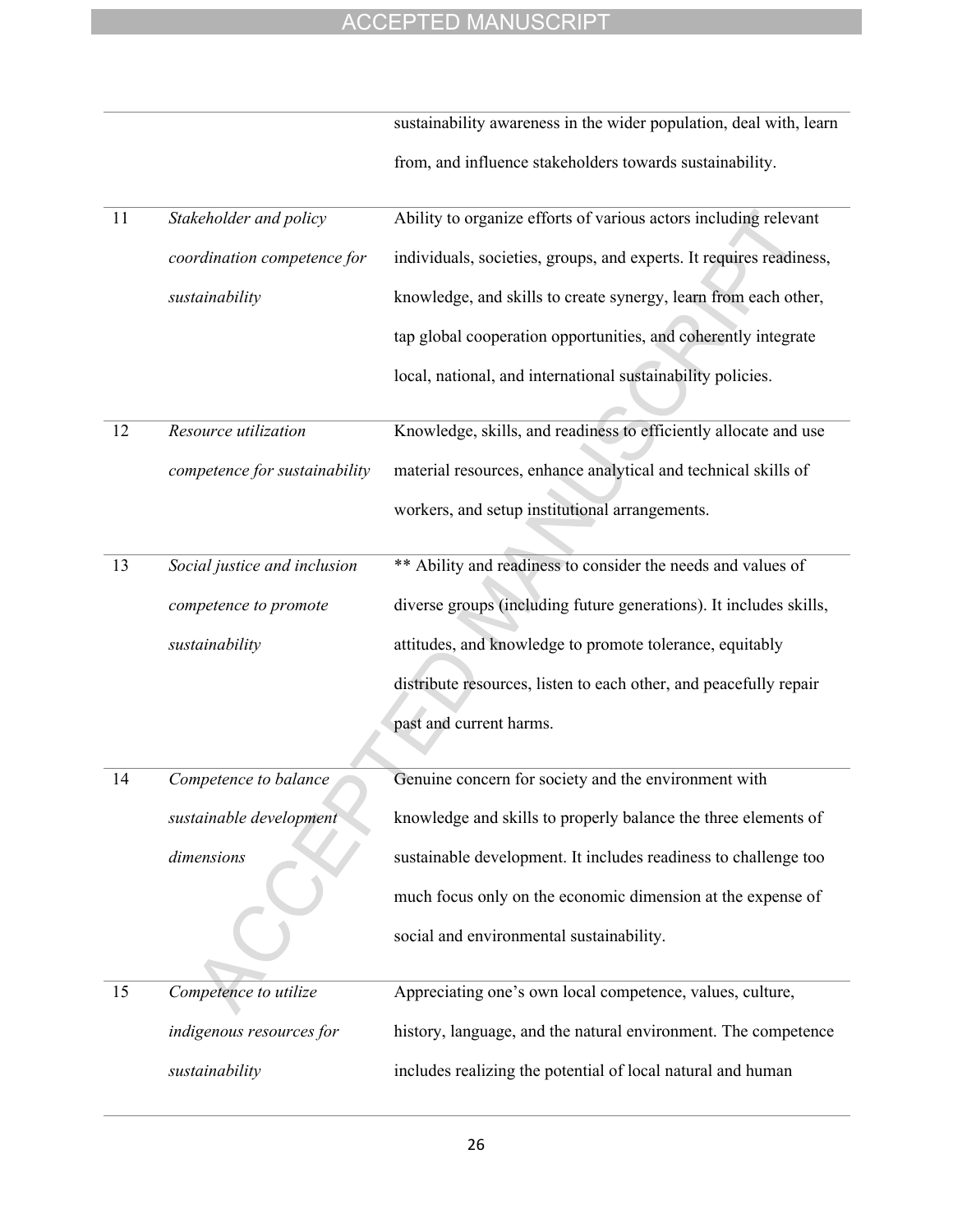|    |                               | sustainability awareness in the wider population, deal with, learn  |
|----|-------------------------------|---------------------------------------------------------------------|
|    |                               | from, and influence stakeholders towards sustainability.            |
| 11 | Stakeholder and policy        | Ability to organize efforts of various actors including relevant    |
|    | coordination competence for   | individuals, societies, groups, and experts. It requires readiness, |
|    | sustainability                | knowledge, and skills to create synergy, learn from each other,     |
|    |                               | tap global cooperation opportunities, and coherently integrate      |
|    |                               | local, national, and international sustainability policies.         |
| 12 | Resource utilization          | Knowledge, skills, and readiness to efficiently allocate and use    |
|    | competence for sustainability | material resources, enhance analytical and technical skills of      |
|    |                               | workers, and setup institutional arrangements.                      |
| 13 | Social justice and inclusion  | ** Ability and readiness to consider the needs and values of        |
|    | competence to promote         | diverse groups (including future generations). It includes skills,  |
|    | sustainability                | attitudes, and knowledge to promote tolerance, equitably            |
|    |                               | distribute resources, listen to each other, and peacefully repair   |
|    |                               | past and current harms.                                             |
| 14 | Competence to balance         | Genuine concern for society and the environment with                |
|    | sustainable development       | knowledge and skills to properly balance the three elements of      |
|    | dimensions                    | sustainable development. It includes readiness to challenge too     |
|    |                               | much focus only on the economic dimension at the expense of         |
|    |                               | social and environmental sustainability.                            |
| 15 | Competence to utilize         | Appreciating one's own local competence, values, culture,           |
|    | indigenous resources for      | history, language, and the natural environment. The competence      |
|    | sustainability                | includes realizing the potential of local natural and human         |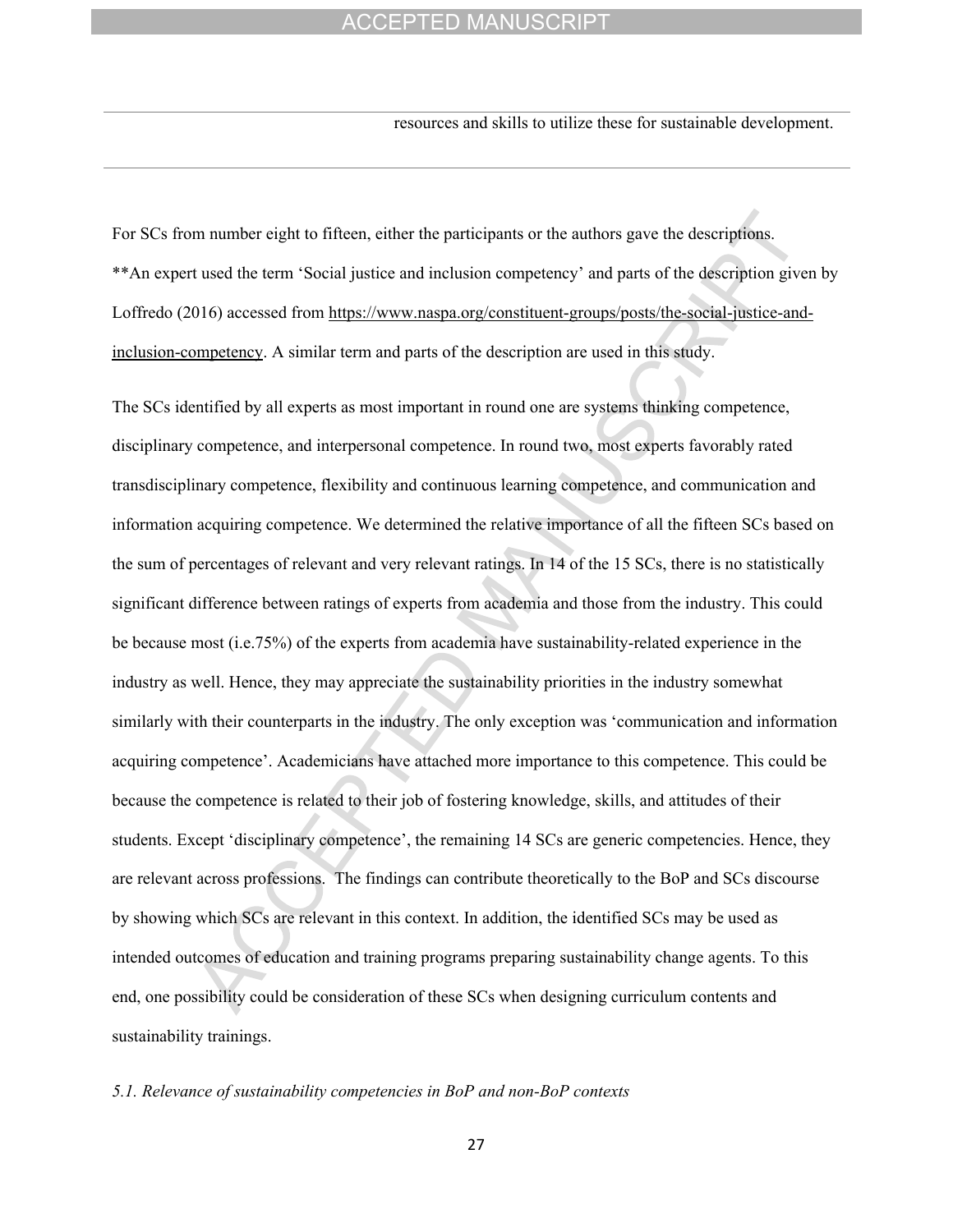resources and skills to utilize these for sustainable development.

For SCs from number eight to fifteen, either the participants or the authors gave the descriptions. \*\*An expert used the term 'Social justice and inclusion competency' and parts of the description given by Loffredo (2016) accessed from [https://www.naspa.org/constituent-groups/posts/the-social-justice-and](https://www.naspa.org/constituent-groups/posts/the-social-justice-and-inclusion-competency)[inclusion-competency](https://www.naspa.org/constituent-groups/posts/the-social-justice-and-inclusion-competency). A similar term and parts of the description are used in this study.

The SCs identified by all experts as most important in round one are systems thinking competence, disciplinary competence, and interpersonal competence. In round two, most experts favorably rated transdisciplinary competence, flexibility and continuous learning competence, and communication and information acquiring competence. We determined the relative importance of all the fifteen SCs based on the sum of percentages of relevant and very relevant ratings. In 14 of the 15 SCs, there is no statistically significant difference between ratings of experts from academia and those from the industry. This could be because most (i.e.75%) of the experts from academia have sustainability-related experience in the industry as well. Hence, they may appreciate the sustainability priorities in the industry somewhat similarly with their counterparts in the industry. The only exception was 'communication and information acquiring competence'. Academicians have attached more importance to this competence. This could be because the competence is related to their job of fostering knowledge, skills, and attitudes of their students. Except 'disciplinary competence', the remaining 14 SCs are generic competencies. Hence, they are relevant across professions. The findings can contribute theoretically to the BoP and SCs discourse by showing which SCs are relevant in this context. In addition, the identified SCs may be used as intended outcomes of education and training programs preparing sustainability change agents. To this end, one possibility could be consideration of these SCs when designing curriculum contents and sustainability trainings.

#### *5.1. Relevance of sustainability competencies in BoP and non-BoP contexts*

27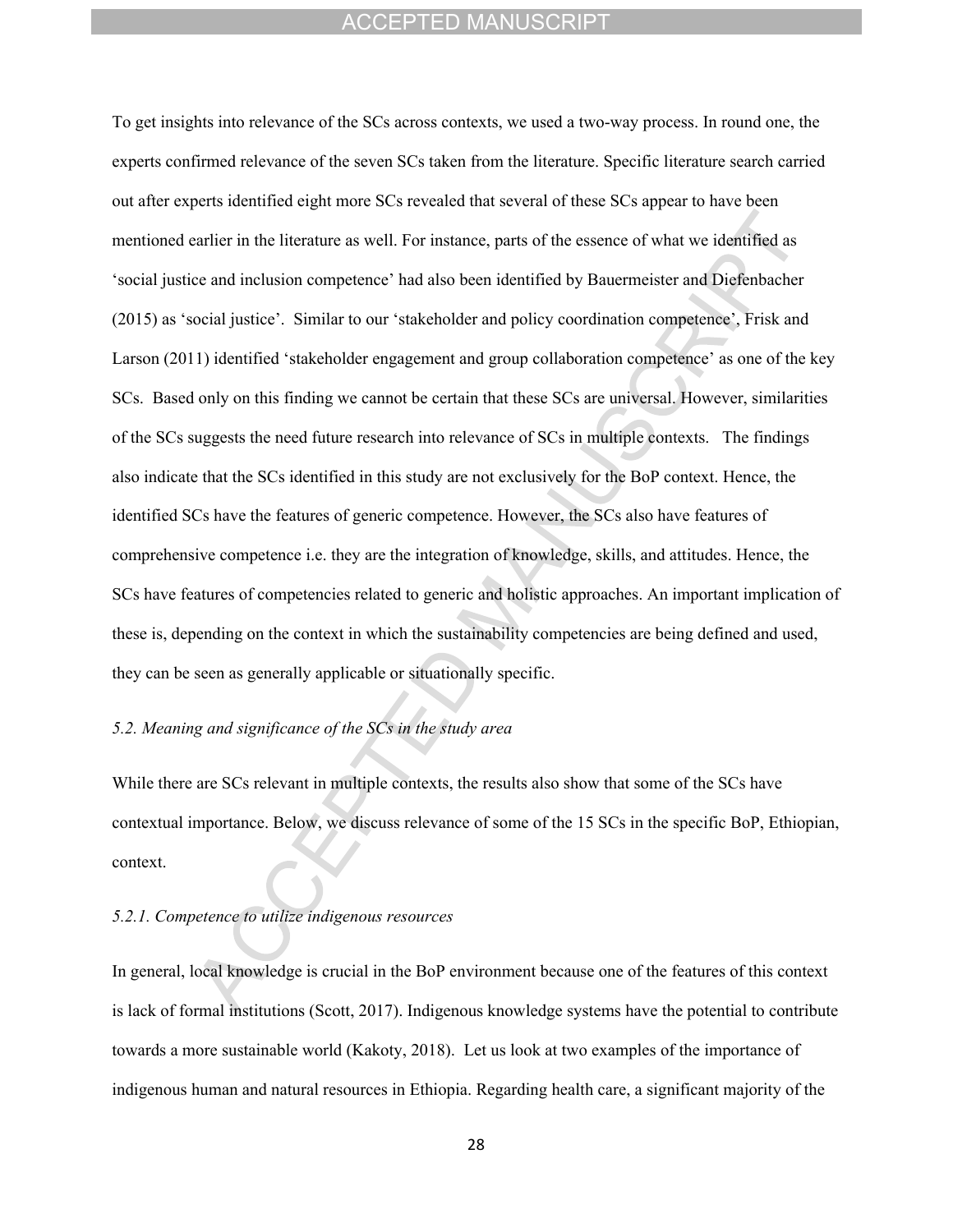To get insights into relevance of the SCs across contexts, we used a two-way process. In round one, the experts confirmed relevance of the seven SCs taken from the literature. Specific literature search carried out after experts identified eight more SCs revealed that several of these SCs appear to have been mentioned earlier in the literature as well. For instance, parts of the essence of what we identified as 'social justice and inclusion competence' had also been identified by Bauermeister and Diefenbacher (2015) as 'social justice'. Similar to our 'stakeholder and policy coordination competence', Frisk and Larson (2011) identified 'stakeholder engagement and group collaboration competence' as one of the key SCs. Based only on this finding we cannot be certain that these SCs are universal. However, similarities of the SCs suggests the need future research into relevance of SCs in multiple contexts. The findings also indicate that the SCs identified in this study are not exclusively for the BoP context. Hence, the identified SCs have the features of generic competence. However, the SCs also have features of comprehensive competence i.e. they are the integration of knowledge, skills, and attitudes. Hence, the SCs have features of competencies related to generic and holistic approaches. An important implication of these is, depending on the context in which the sustainability competencies are being defined and used, they can be seen as generally applicable or situationally specific.

## *5.2. Meaning and significance of the SCs in the study area*

While there are SCs relevant in multiple contexts, the results also show that some of the SCs have contextual importance. Below, we discuss relevance of some of the 15 SCs in the specific BoP, Ethiopian, context.

## *5.2.1. Competence to utilize indigenous resources*

In general, local knowledge is crucial in the BoP environment because one of the features of this context is lack of formal institutions (Scott, 2017). Indigenous knowledge systems have the potential to contribute towards a more sustainable world (Kakoty, 2018). Let us look at two examples of the importance of indigenous human and natural resources in Ethiopia. Regarding health care, a significant majority of the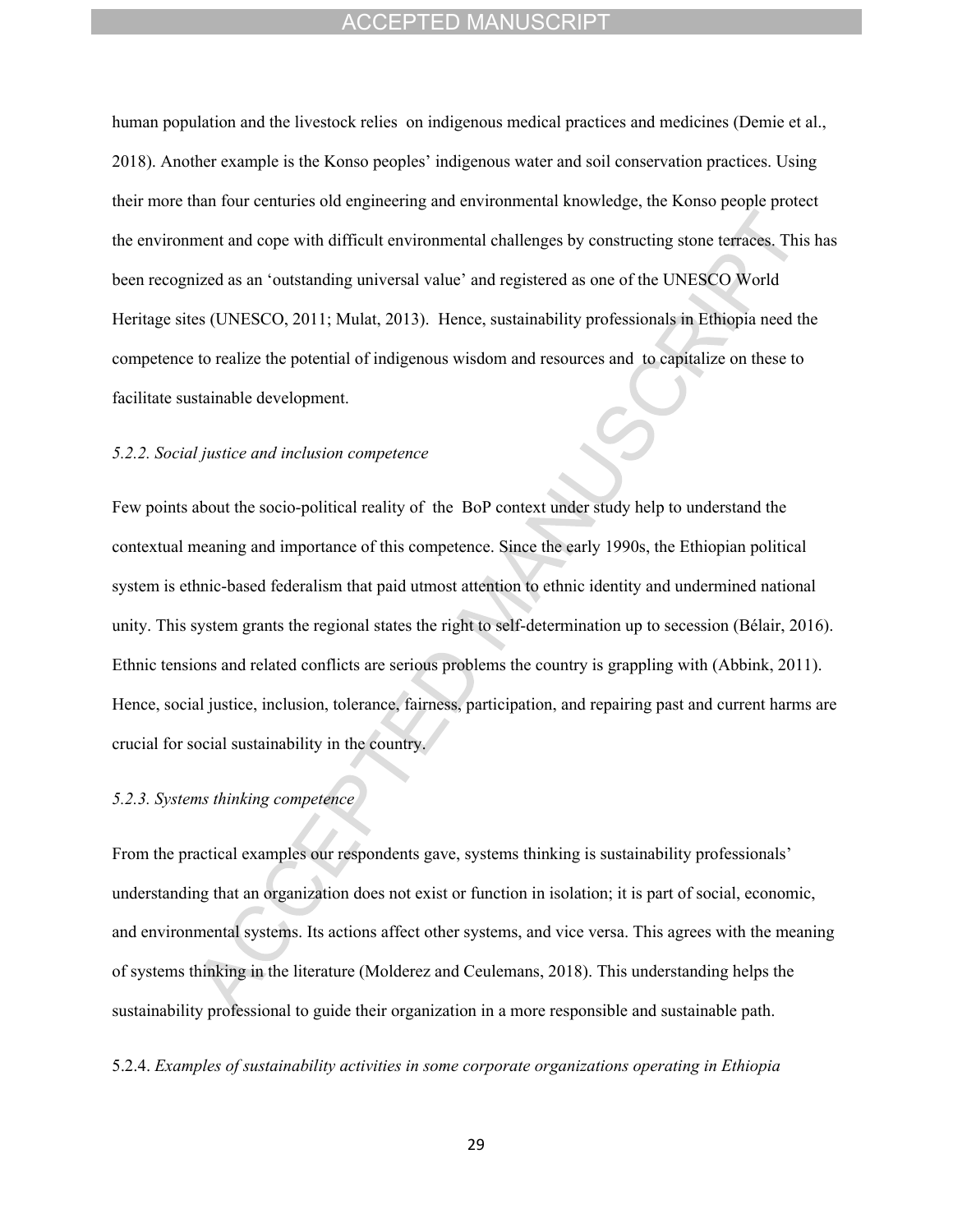human population and the livestock relies on indigenous medical practices and medicines (Demie et al., 2018). Another example is the Konso peoples' indigenous water and soil conservation practices. Using their more than four centuries old engineering and environmental knowledge, the Konso people protect the environment and cope with difficult environmental challenges by constructing stone terraces. This has been recognized as an 'outstanding universal value' and registered as one of the UNESCO World Heritage sites (UNESCO, 2011; Mulat, 2013). Hence, sustainability professionals in Ethiopia need the competence to realize the potential of indigenous wisdom and resources and to capitalize on these to facilitate sustainable development.

## *5.2.2. Social justice and inclusion competence*

Few points about the socio-political reality of the BoP context under study help to understand the contextual meaning and importance of this competence. Since the early 1990s, the Ethiopian political system is ethnic-based federalism that paid utmost attention to ethnic identity and undermined national unity. This system grants the regional states the right to self-determination up to secession (Bélair, 2016). Ethnic tensions and related conflicts are serious problems the country is grappling with (Abbink, 2011). Hence, social justice, inclusion, tolerance, fairness, participation, and repairing past and current harms are crucial for social sustainability in the country.

## *5.2.3. Systems thinking competence*

From the practical examples our respondents gave, systems thinking is sustainability professionals' understanding that an organization does not exist or function in isolation; it is part of social, economic, and environmental systems. Its actions affect other systems, and vice versa. This agrees with the meaning of systems thinking in the literature (Molderez and Ceulemans, 2018). This understanding helps the sustainability professional to guide their organization in a more responsible and sustainable path.

5.2.4. *Examples of sustainability activities in some corporate organizations operating in Ethiopia*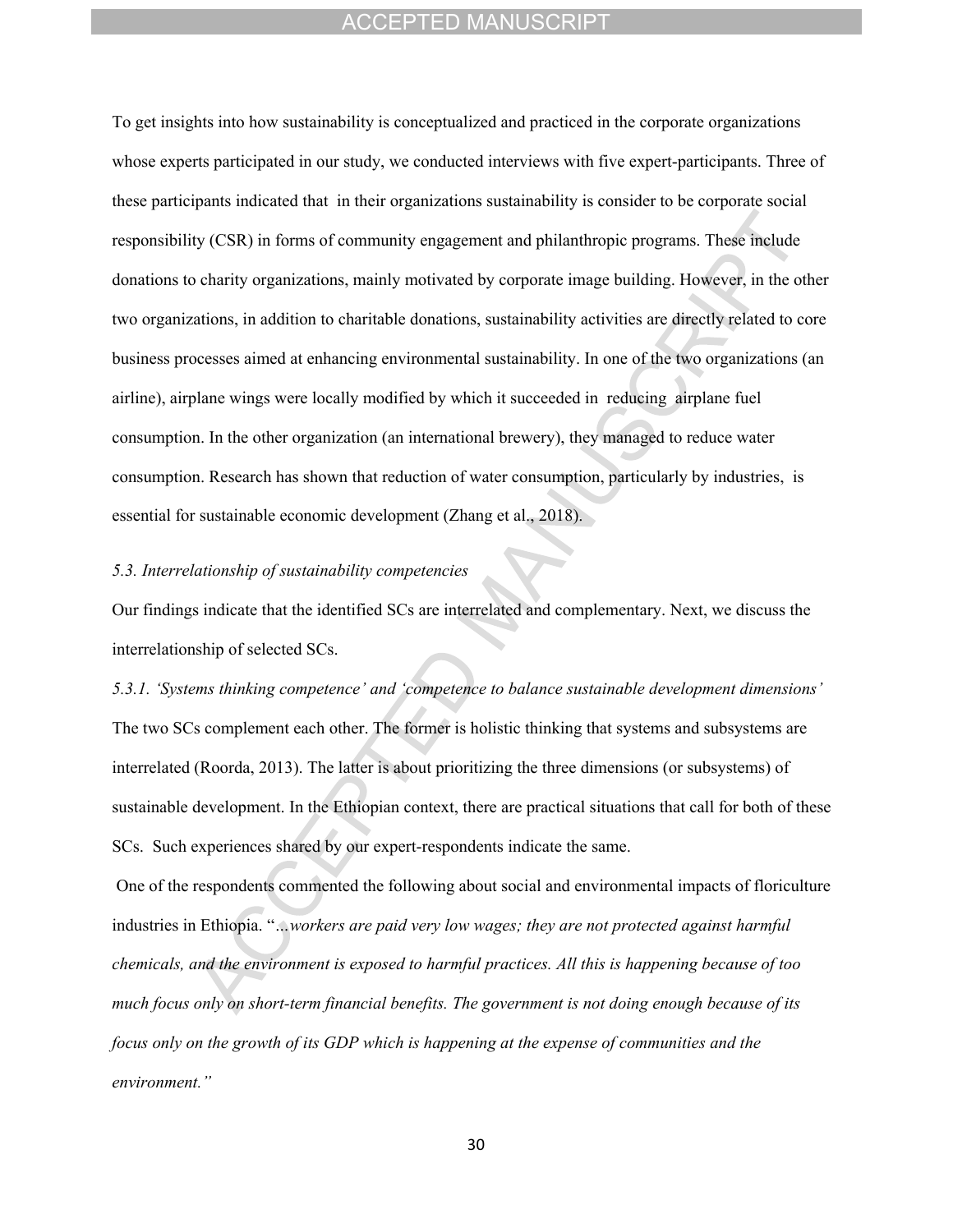To get insights into how sustainability is conceptualized and practiced in the corporate organizations whose experts participated in our study, we conducted interviews with five expert-participants. Three of these participants indicated that in their organizations sustainability is consider to be corporate social responsibility (CSR) in forms of community engagement and philanthropic programs. These include donations to charity organizations, mainly motivated by corporate image building. However, in the other two organizations, in addition to charitable donations, sustainability activities are directly related to core business processes aimed at enhancing environmental sustainability. In one of the two organizations (an airline), airplane wings were locally modified by which it succeeded in reducing airplane fuel consumption. In the other organization (an international brewery), they managed to reduce water consumption. Research has shown that reduction of water consumption, particularly by industries, is essential for sustainable economic development (Zhang et al., 2018).

#### *5.3. Interrelationship of sustainability competencies*

Our findings indicate that the identified SCs are interrelated and complementary. Next, we discuss the interrelationship of selected SCs.

*5.3.1. 'Systems thinking competence' and 'competence to balance sustainable development dimensions'*  The two SCs complement each other. The former is holistic thinking that systems and subsystems are interrelated (Roorda, 2013). The latter is about prioritizing the three dimensions (or subsystems) of sustainable development. In the Ethiopian context, there are practical situations that call for both of these SCs. Such experiences shared by our expert-respondents indicate the same.

 One of the respondents commented the following about social and environmental impacts of floriculture industries in Ethiopia. "*…workers are paid very low wages; they are not protected against harmful chemicals, and the environment is exposed to harmful practices. All this is happening because of too much focus only on short-term financial benefits. The government is not doing enough because of its focus only on the growth of its GDP which is happening at the expense of communities and the environment."*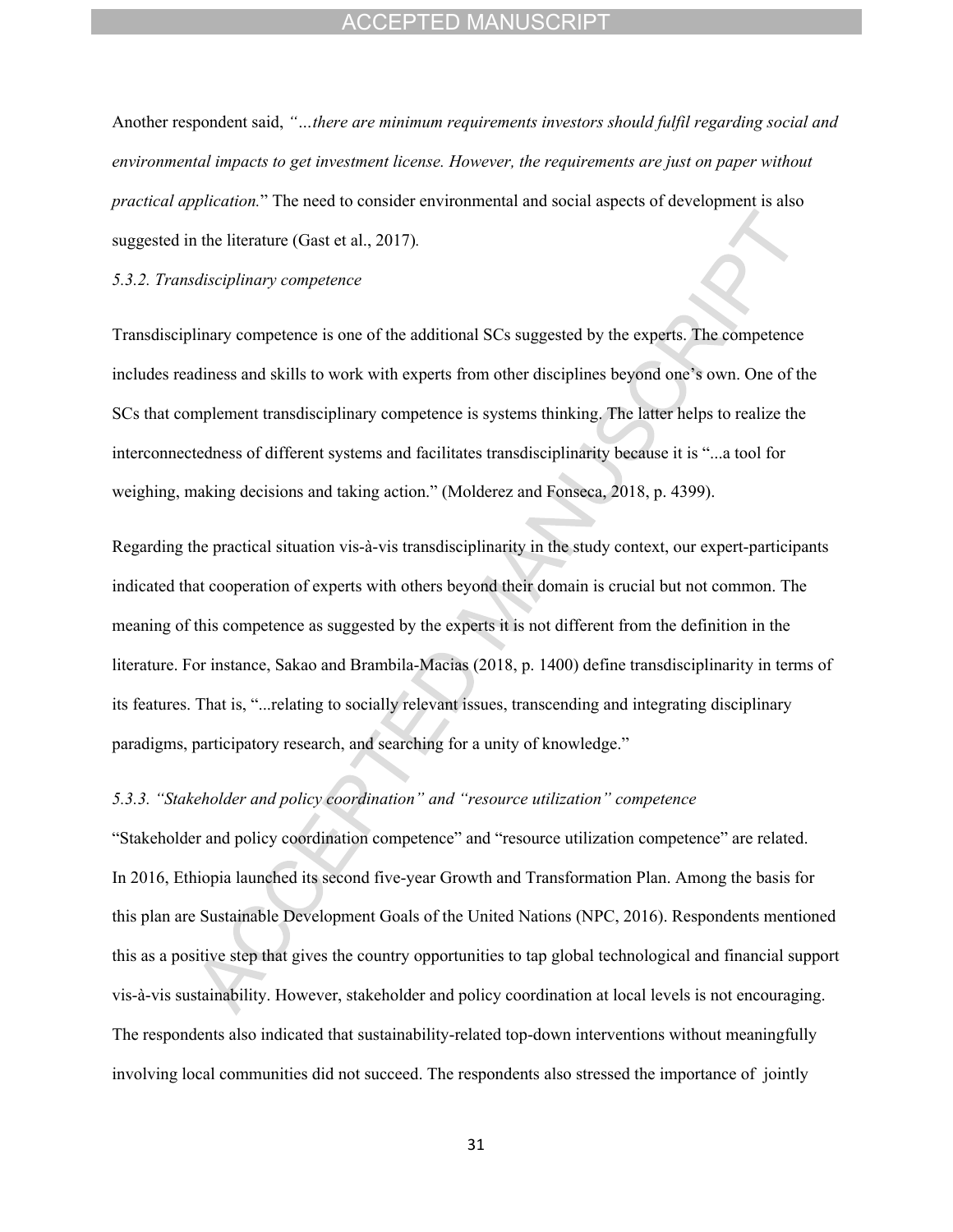Another respondent said, *"…there are minimum requirements investors should fulfil regarding social and environmental impacts to get investment license. However, the requirements are just on paper without practical application.*" The need to consider environmental and social aspects of development is also suggested in the literature (Gast et al., 2017)*.*

#### *5.3.2. Transdisciplinary competence*

Transdisciplinary competence is one of the additional SCs suggested by the experts. The competence includes readiness and skills to work with experts from other disciplines beyond one's own. One of the SCs that complement transdisciplinary competence is systems thinking. The latter helps to realize the interconnectedness of different systems and facilitates transdisciplinarity because it is "...a tool for weighing, making decisions and taking action." (Molderez and Fonseca, 2018, p. 4399).

Regarding the practical situation vis-à-vis transdisciplinarity in the study context, our expert-participants indicated that cooperation of experts with others beyond their domain is crucial but not common. The meaning of this competence as suggested by the experts it is not different from the definition in the literature. For instance, Sakao and Brambila-Macias (2018, p. 1400) define transdisciplinarity in terms of its features. That is, "...relating to socially relevant issues, transcending and integrating disciplinary paradigms, participatory research, and searching for a unity of knowledge."

## *5.3.3. "Stakeholder and policy coordination" and "resource utilization" competence*

"Stakeholder and policy coordination competence" and "resource utilization competence" are related. In 2016, Ethiopia launched its second five-year Growth and Transformation Plan. Among the basis for this plan are Sustainable Development Goals of the United Nations (NPC, 2016). Respondents mentioned this as a positive step that gives the country opportunities to tap global technological and financial support vis-à-vis sustainability. However, stakeholder and policy coordination at local levels is not encouraging. The respondents also indicated that sustainability-related top-down interventions without meaningfully involving local communities did not succeed. The respondents also stressed the importance of jointly

31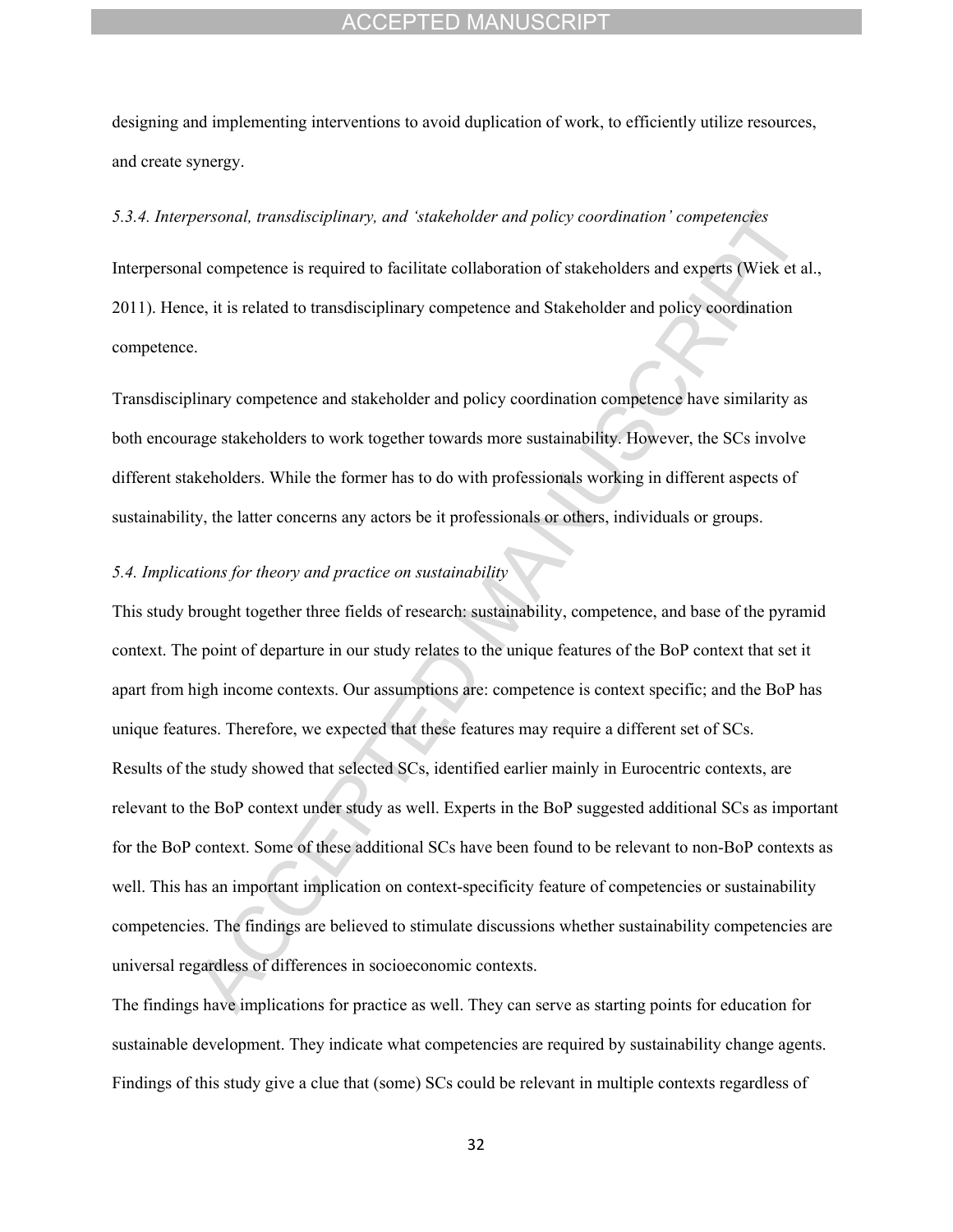designing and implementing interventions to avoid duplication of work, to efficiently utilize resources, and create synergy.

### *5.3.4. Interpersonal, transdisciplinary, and 'stakeholder and policy coordination' competencies*

Interpersonal competence is required to facilitate collaboration of stakeholders and experts (Wiek et al., 2011). Hence, it is related to transdisciplinary competence and Stakeholder and policy coordination competence.

Transdisciplinary competence and stakeholder and policy coordination competence have similarity as both encourage stakeholders to work together towards more sustainability. However, the SCs involve different stakeholders. While the former has to do with professionals working in different aspects of sustainability, the latter concerns any actors be it professionals or others, individuals or groups.

#### *5.4. Implications for theory and practice on sustainability*

This study brought together three fields of research: sustainability, competence, and base of the pyramid context. The point of departure in our study relates to the unique features of the BoP context that set it apart from high income contexts. Our assumptions are: competence is context specific; and the BoP has unique features. Therefore, we expected that these features may require a different set of SCs. Results of the study showed that selected SCs, identified earlier mainly in Eurocentric contexts, are relevant to the BoP context under study as well. Experts in the BoP suggested additional SCs as important for the BoP context. Some of these additional SCs have been found to be relevant to non-BoP contexts as well. This has an important implication on context-specificity feature of competencies or sustainability competencies. The findings are believed to stimulate discussions whether sustainability competencies are universal regardless of differences in socioeconomic contexts.

The findings have implications for practice as well. They can serve as starting points for education for sustainable development. They indicate what competencies are required by sustainability change agents. Findings of this study give a clue that (some) SCs could be relevant in multiple contexts regardless of

32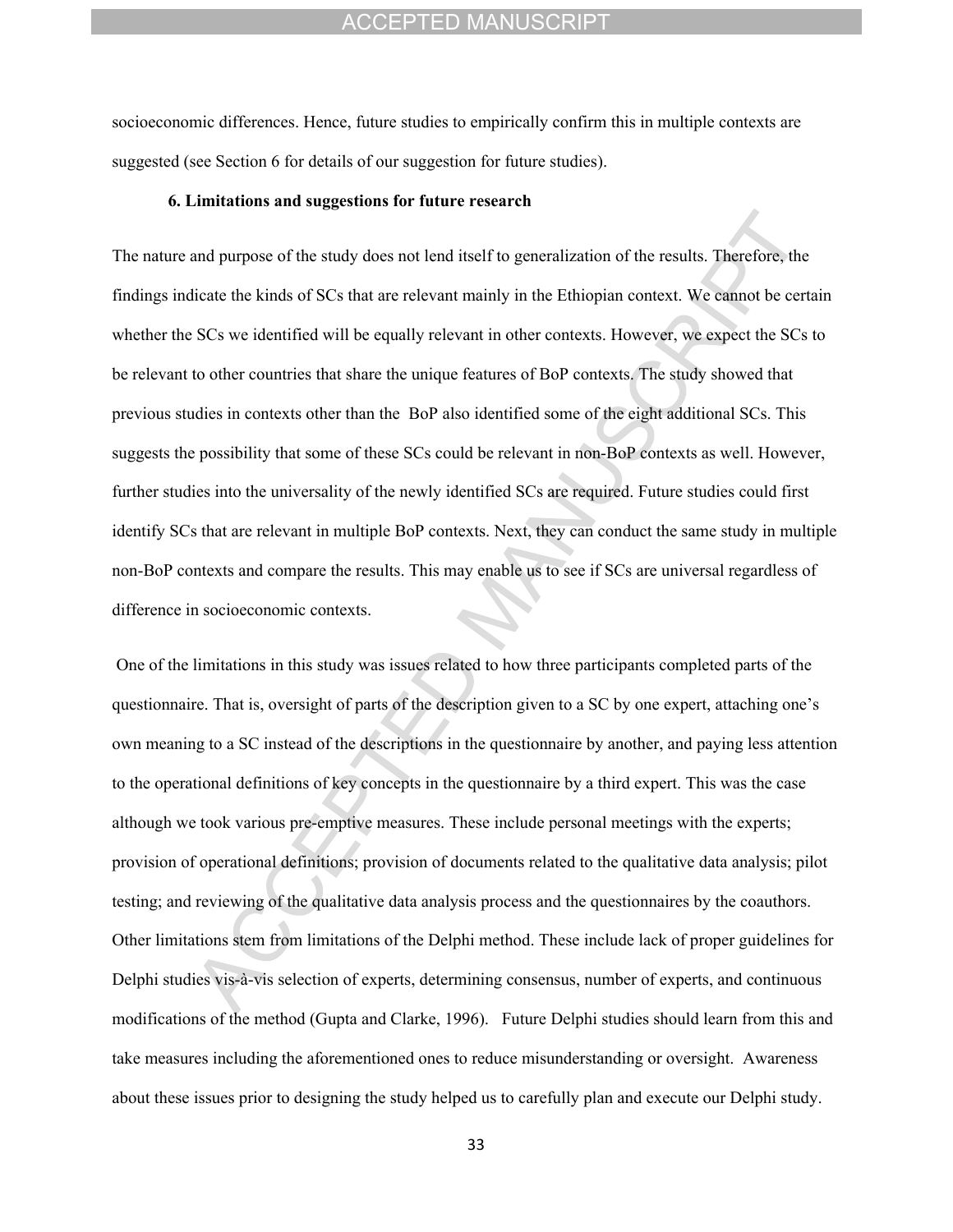socioeconomic differences. Hence, future studies to empirically confirm this in multiple contexts are suggested (see Section 6 for details of our suggestion for future studies).

#### **6. Limitations and suggestions for future research**

The nature and purpose of the study does not lend itself to generalization of the results. Therefore, the findings indicate the kinds of SCs that are relevant mainly in the Ethiopian context. We cannot be certain whether the SCs we identified will be equally relevant in other contexts. However, we expect the SCs to be relevant to other countries that share the unique features of BoP contexts. The study showed that previous studies in contexts other than the BoP also identified some of the eight additional SCs. This suggests the possibility that some of these SCs could be relevant in non-BoP contexts as well. However, further studies into the universality of the newly identified SCs are required. Future studies could first identify SCs that are relevant in multiple BoP contexts. Next, they can conduct the same study in multiple non-BoP contexts and compare the results. This may enable us to see if SCs are universal regardless of difference in socioeconomic contexts.

 One of the limitations in this study was issues related to how three participants completed parts of the questionnaire. That is, oversight of parts of the description given to a SC by one expert, attaching one's own meaning to a SC instead of the descriptions in the questionnaire by another, and paying less attention to the operational definitions of key concepts in the questionnaire by a third expert. This was the case although we took various pre-emptive measures. These include personal meetings with the experts; provision of operational definitions; provision of documents related to the qualitative data analysis; pilot testing; and reviewing of the qualitative data analysis process and the questionnaires by the coauthors. Other limitations stem from limitations of the Delphi method. These include lack of proper guidelines for Delphi studies vis-à-vis selection of experts, determining consensus, number of experts, and continuous modifications of the method (Gupta and Clarke, 1996). Future Delphi studies should learn from this and take measures including the aforementioned ones to reduce misunderstanding or oversight. Awareness about these issues prior to designing the study helped us to carefully plan and execute our Delphi study.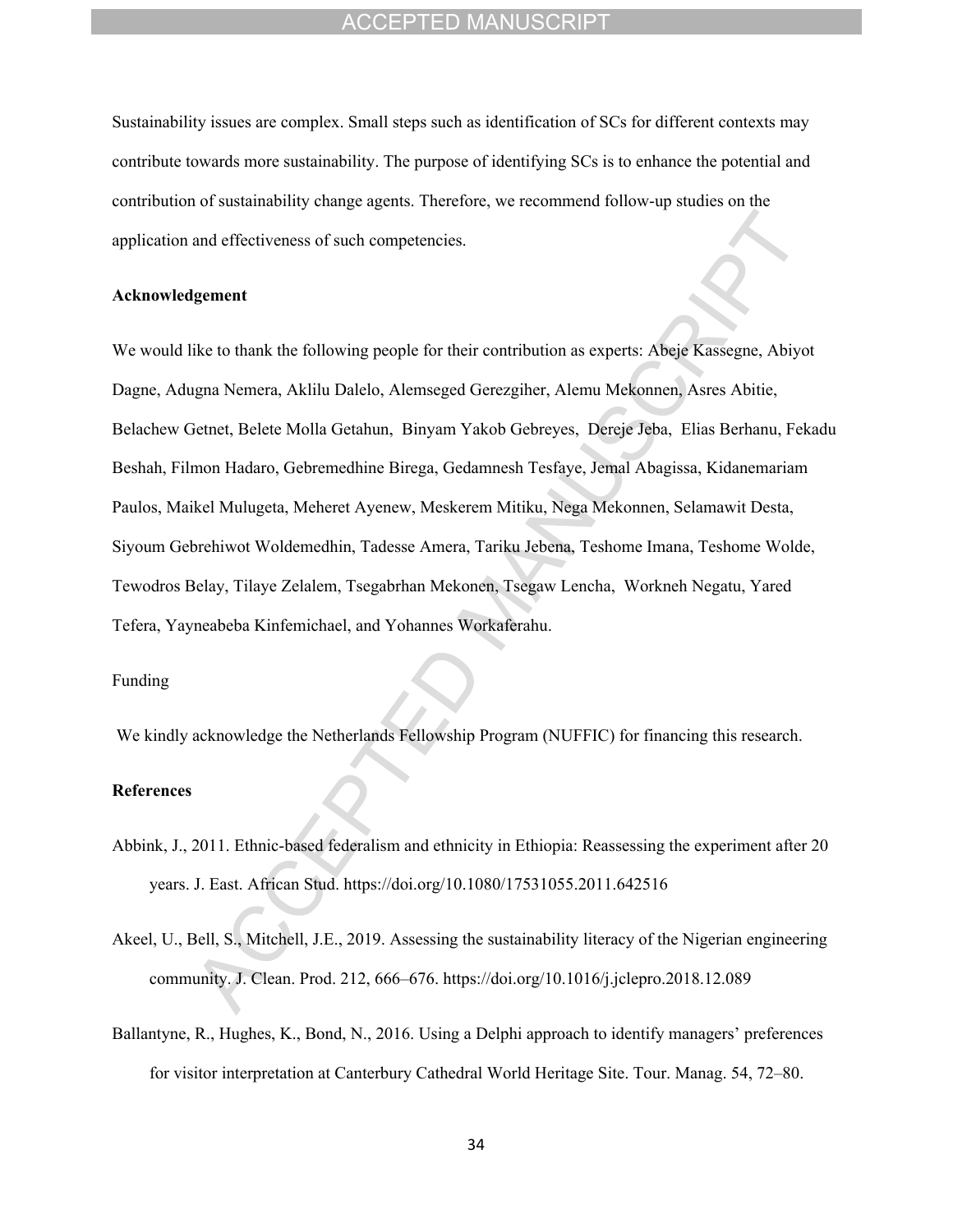Sustainability issues are complex. Small steps such as identification of SCs for different contexts may contribute towards more sustainability. The purpose of identifying SCs is to enhance the potential and contribution of sustainability change agents. Therefore, we recommend follow-up studies on the application and effectiveness of such competencies.

#### **Acknowledgement**

We would like to thank the following people for their contribution as experts: Abeje Kassegne, Abiyot Dagne, Adugna Nemera, Aklilu Dalelo, Alemseged Gerezgiher, Alemu Mekonnen, Asres Abitie, Belachew Getnet, Belete Molla Getahun, Binyam Yakob Gebreyes, Dereje Jeba, Elias Berhanu, Fekadu Beshah, Filmon Hadaro, Gebremedhine Birega, Gedamnesh Tesfaye, Jemal Abagissa, Kidanemariam Paulos, Maikel Mulugeta, Meheret Ayenew, Meskerem Mitiku, Nega Mekonnen, Selamawit Desta, Siyoum Gebrehiwot Woldemedhin, Tadesse Amera, Tariku Jebena, Teshome Imana, Teshome Wolde, Tewodros Belay, Tilaye Zelalem, Tsegabrhan Mekonen, Tsegaw Lencha, Workneh Negatu, Yared Tefera, Yayneabeba Kinfemichael, and Yohannes Workaferahu.

#### Funding

We kindly acknowledge the Netherlands Fellowship Program (NUFFIC) for financing this research.

#### **References**

- Abbink, J., 2011. Ethnic-based federalism and ethnicity in Ethiopia: Reassessing the experiment after 20 years. J. East. African Stud. https://doi.org/10.1080/17531055.2011.642516
- Akeel, U., Bell, S., Mitchell, J.E., 2019. Assessing the sustainability literacy of the Nigerian engineering community. J. Clean. Prod. 212, 666–676. https://doi.org/10.1016/j.jclepro.2018.12.089
- Ballantyne, R., Hughes, K., Bond, N., 2016. Using a Delphi approach to identify managers' preferences for visitor interpretation at Canterbury Cathedral World Heritage Site. Tour. Manag. 54, 72–80.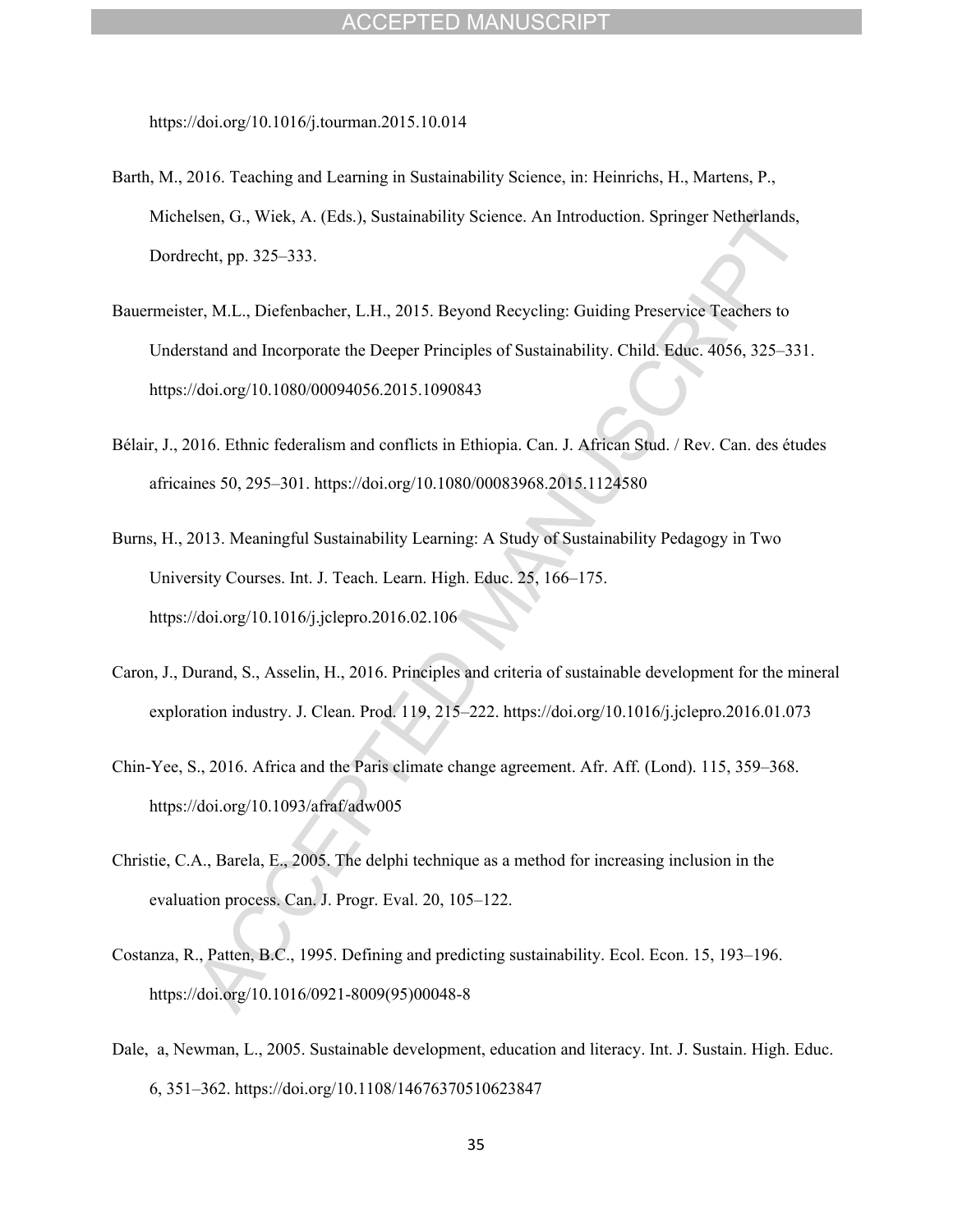https://doi.org/10.1016/j.tourman.2015.10.014

- Barth, M., 2016. Teaching and Learning in Sustainability Science, in: Heinrichs, H., Martens, P., Michelsen, G., Wiek, A. (Eds.), Sustainability Science. An Introduction. Springer Netherlands, Dordrecht, pp. 325–333.
- Bauermeister, M.L., Diefenbacher, L.H., 2015. Beyond Recycling: Guiding Preservice Teachers to Understand and Incorporate the Deeper Principles of Sustainability. Child. Educ. 4056, 325–331. https://doi.org/10.1080/00094056.2015.1090843
- Bélair, J., 2016. Ethnic federalism and conflicts in Ethiopia. Can. J. African Stud. / Rev. Can. des études africaines 50, 295–301. https://doi.org/10.1080/00083968.2015.1124580
- Burns, H., 2013. Meaningful Sustainability Learning: A Study of Sustainability Pedagogy in Two University Courses. Int. J. Teach. Learn. High. Educ. 25, 166–175. https://doi.org/10.1016/j.jclepro.2016.02.106
- Caron, J., Durand, S., Asselin, H., 2016. Principles and criteria of sustainable development for the mineral exploration industry. J. Clean. Prod. 119, 215–222. https://doi.org/10.1016/j.jclepro.2016.01.073
- Chin-Yee, S., 2016. Africa and the Paris climate change agreement. Afr. Aff. (Lond). 115, 359–368. https://doi.org/10.1093/afraf/adw005
- Christie, C.A., Barela, E., 2005. The delphi technique as a method for increasing inclusion in the evaluation process. Can. J. Progr. Eval. 20, 105–122.
- Costanza, R., Patten, B.C., 1995. Defining and predicting sustainability. Ecol. Econ. 15, 193–196. https://doi.org/10.1016/0921-8009(95)00048-8
- Dale, a, Newman, L., 2005. Sustainable development, education and literacy. Int. J. Sustain. High. Educ. 6, 351–362. https://doi.org/10.1108/14676370510623847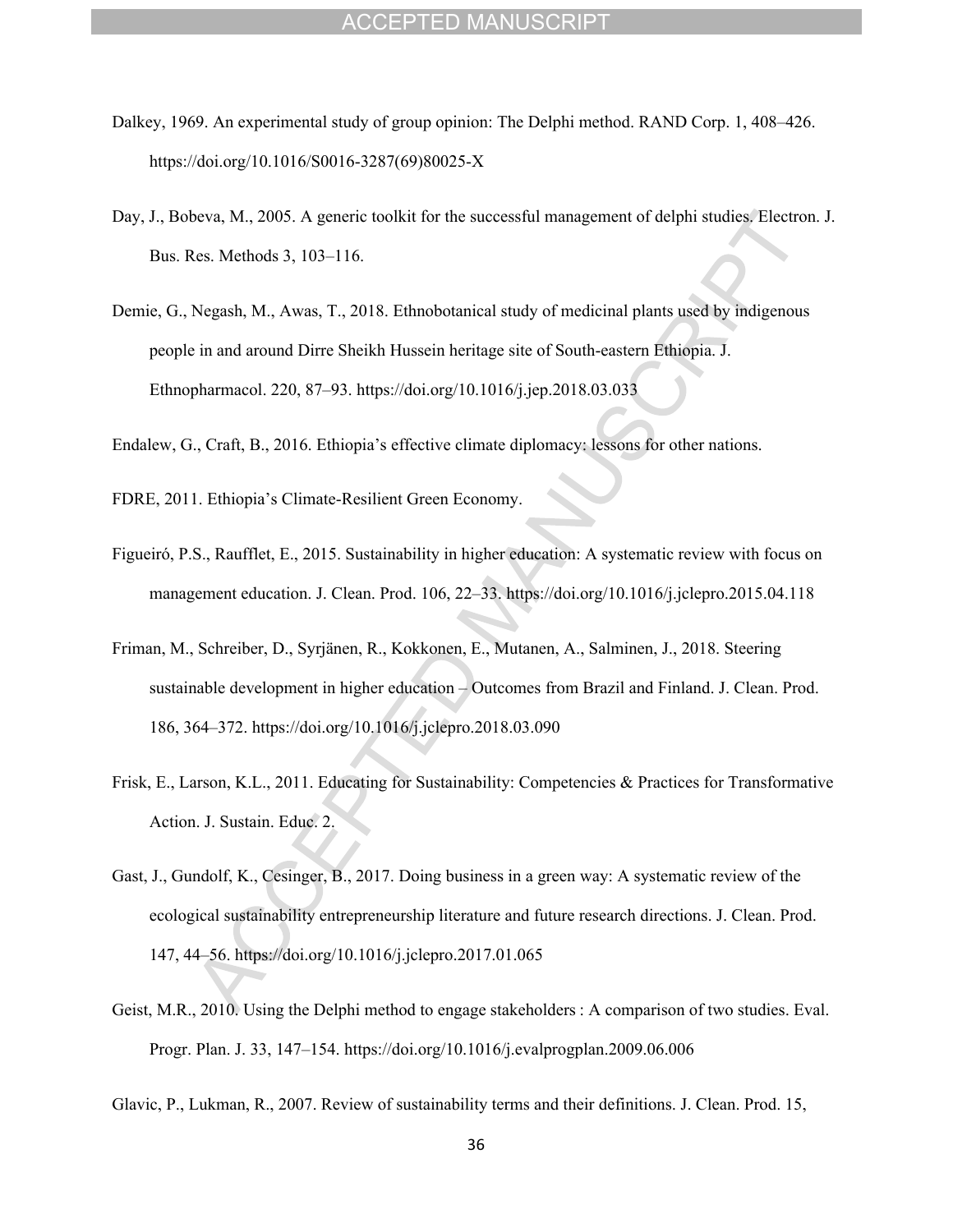- Dalkey, 1969. An experimental study of group opinion: The Delphi method. RAND Corp. 1, 408–426. https://doi.org/10.1016/S0016-3287(69)80025-X
- Day, J., Bobeva, M., 2005. A generic toolkit for the successful management of delphi studies. Electron. J. Bus. Res. Methods 3, 103–116.
- Demie, G., Negash, M., Awas, T., 2018. Ethnobotanical study of medicinal plants used by indigenous people in and around Dirre Sheikh Hussein heritage site of South-eastern Ethiopia. J. Ethnopharmacol. 220, 87–93. https://doi.org/10.1016/j.jep.2018.03.033

Endalew, G., Craft, B., 2016. Ethiopia's effective climate diplomacy: lessons for other nations.

FDRE, 2011. Ethiopia's Climate-Resilient Green Economy.

- Figueiró, P.S., Raufflet, E., 2015. Sustainability in higher education: A systematic review with focus on management education. J. Clean. Prod. 106, 22–33. https://doi.org/10.1016/j.jclepro.2015.04.118
- Friman, M., Schreiber, D., Syrjänen, R., Kokkonen, E., Mutanen, A., Salminen, J., 2018. Steering sustainable development in higher education – Outcomes from Brazil and Finland. J. Clean. Prod. 186, 364–372. https://doi.org/10.1016/j.jclepro.2018.03.090
- Frisk, E., Larson, K.L., 2011. Educating for Sustainability: Competencies & Practices for Transformative Action. J. Sustain. Educ. 2.
- Gast, J., Gundolf, K., Cesinger, B., 2017. Doing business in a green way: A systematic review of the ecological sustainability entrepreneurship literature and future research directions. J. Clean. Prod. 147, 44–56. https://doi.org/10.1016/j.jclepro.2017.01.065
- Geist, M.R., 2010. Using the Delphi method to engage stakeholders : A comparison of two studies. Eval. Progr. Plan. J. 33, 147–154. https://doi.org/10.1016/j.evalprogplan.2009.06.006
- Glavic, P., Lukman, R., 2007. Review of sustainability terms and their definitions. J. Clean. Prod. 15,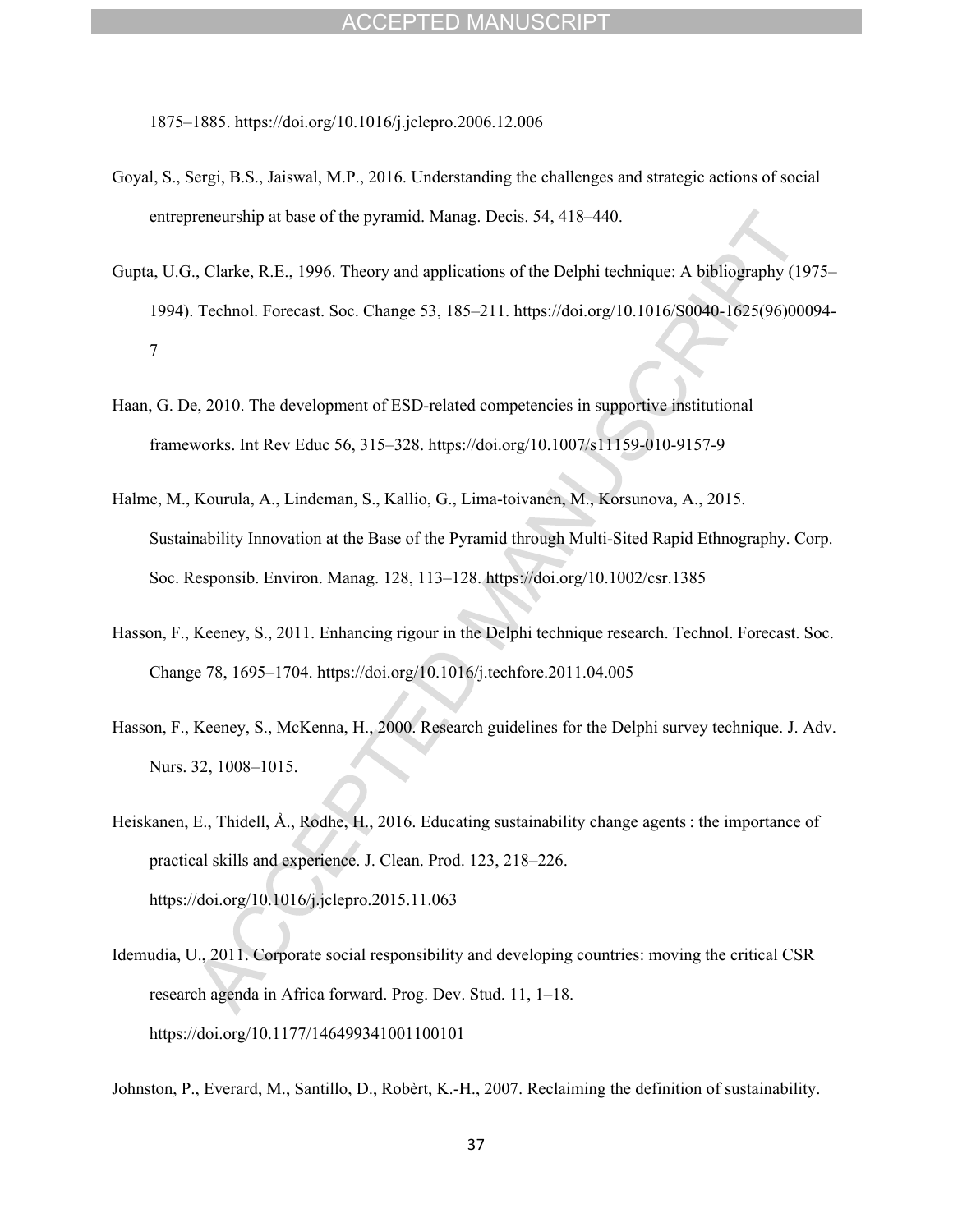1875–1885. https://doi.org/10.1016/j.jclepro.2006.12.006

- Goyal, S., Sergi, B.S., Jaiswal, M.P., 2016. Understanding the challenges and strategic actions of social entrepreneurship at base of the pyramid. Manag. Decis. 54, 418–440.
- Gupta, U.G., Clarke, R.E., 1996. Theory and applications of the Delphi technique: A bibliography (1975– 1994). Technol. Forecast. Soc. Change 53, 185–211. https://doi.org/10.1016/S0040-1625(96)00094- 7
- Haan, G. De, 2010. The development of ESD-related competencies in supportive institutional frameworks. Int Rev Educ 56, 315–328. https://doi.org/10.1007/s11159-010-9157-9
- Halme, M., Kourula, A., Lindeman, S., Kallio, G., Lima-toivanen, M., Korsunova, A., 2015. Sustainability Innovation at the Base of the Pyramid through Multi-Sited Rapid Ethnography. Corp. Soc. Responsib. Environ. Manag. 128, 113–128. https://doi.org/10.1002/csr.1385
- Hasson, F., Keeney, S., 2011. Enhancing rigour in the Delphi technique research. Technol. Forecast. Soc. Change 78, 1695–1704. https://doi.org/10.1016/j.techfore.2011.04.005
- Hasson, F., Keeney, S., McKenna, H., 2000. Research guidelines for the Delphi survey technique. J. Adv. Nurs. 32, 1008–1015.
- Heiskanen, E., Thidell, Å., Rodhe, H., 2016. Educating sustainability change agents : the importance of practical skills and experience. J. Clean. Prod. 123, 218–226. https://doi.org/10.1016/j.jclepro.2015.11.063
- Idemudia, U., 2011. Corporate social responsibility and developing countries: moving the critical CSR research agenda in Africa forward. Prog. Dev. Stud. 11, 1–18. https://doi.org/10.1177/146499341001100101

Johnston, P., Everard, M., Santillo, D., Robèrt, K.-H., 2007. Reclaiming the definition of sustainability.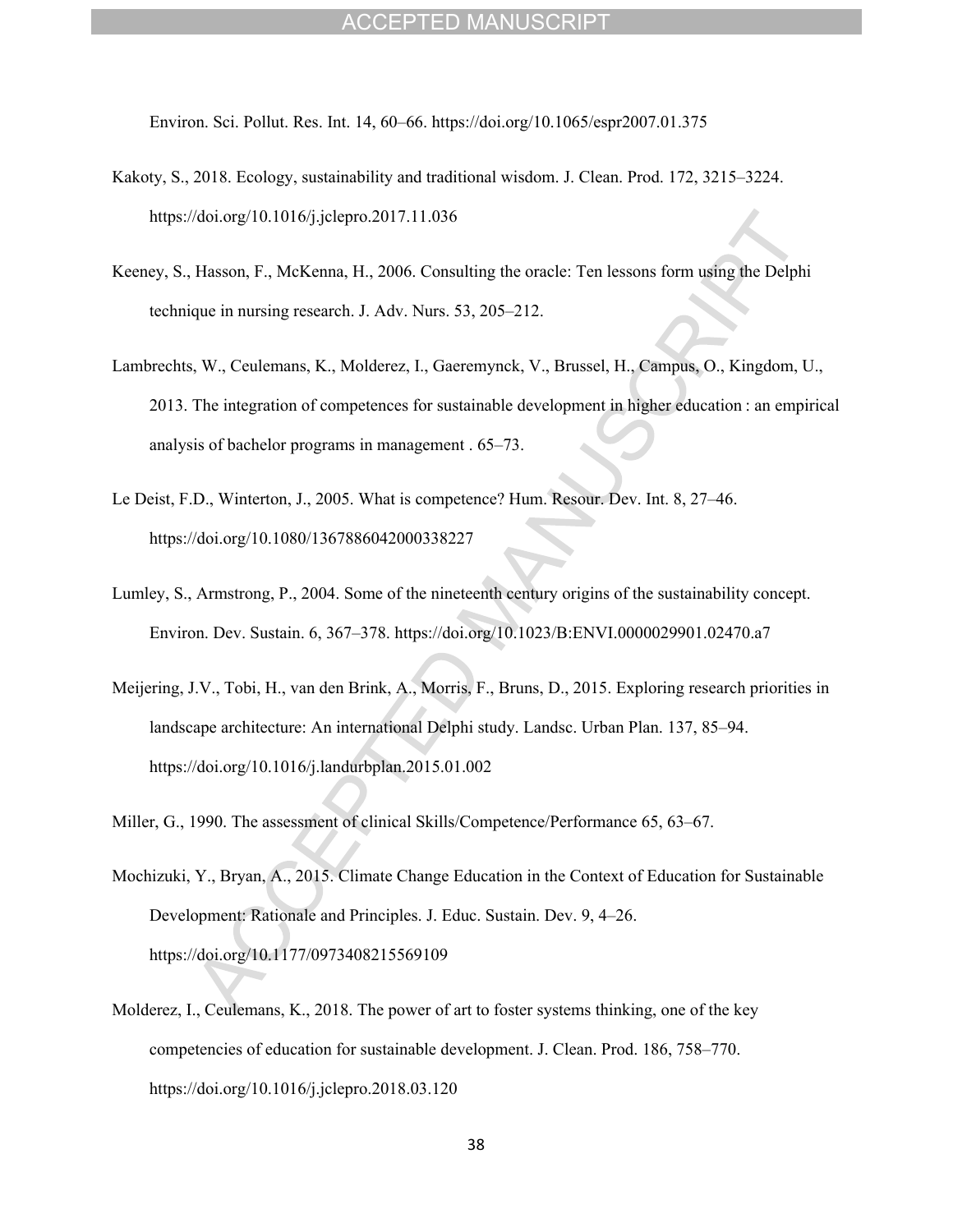Environ. Sci. Pollut. Res. Int. 14, 60–66. https://doi.org/10.1065/espr2007.01.375

- Kakoty, S., 2018. Ecology, sustainability and traditional wisdom. J. Clean. Prod. 172, 3215–3224. https://doi.org/10.1016/j.jclepro.2017.11.036
- Keeney, S., Hasson, F., McKenna, H., 2006. Consulting the oracle: Ten lessons form using the Delphi technique in nursing research. J. Adv. Nurs. 53, 205–212.
- Lambrechts, W., Ceulemans, K., Molderez, I., Gaeremynck, V., Brussel, H., Campus, O., Kingdom, U., 2013. The integration of competences for sustainable development in higher education : an empirical analysis of bachelor programs in management . 65–73.
- Le Deist, F.D., Winterton, J., 2005. What is competence? Hum. Resour. Dev. Int. 8, 27–46. https://doi.org/10.1080/1367886042000338227
- Lumley, S., Armstrong, P., 2004. Some of the nineteenth century origins of the sustainability concept. Environ. Dev. Sustain. 6, 367–378. https://doi.org/10.1023/B:ENVI.0000029901.02470.a7
- Meijering, J.V., Tobi, H., van den Brink, A., Morris, F., Bruns, D., 2015. Exploring research priorities in landscape architecture: An international Delphi study. Landsc. Urban Plan. 137, 85–94. https://doi.org/10.1016/j.landurbplan.2015.01.002

Miller, G., 1990. The assessment of clinical Skills/Competence/Performance 65, 63–67.

- Mochizuki, Y., Bryan, A., 2015. Climate Change Education in the Context of Education for Sustainable Development: Rationale and Principles. J. Educ. Sustain. Dev. 9, 4–26. https://doi.org/10.1177/0973408215569109
- Molderez, I., Ceulemans, K., 2018. The power of art to foster systems thinking, one of the key competencies of education for sustainable development. J. Clean. Prod. 186, 758–770. https://doi.org/10.1016/j.jclepro.2018.03.120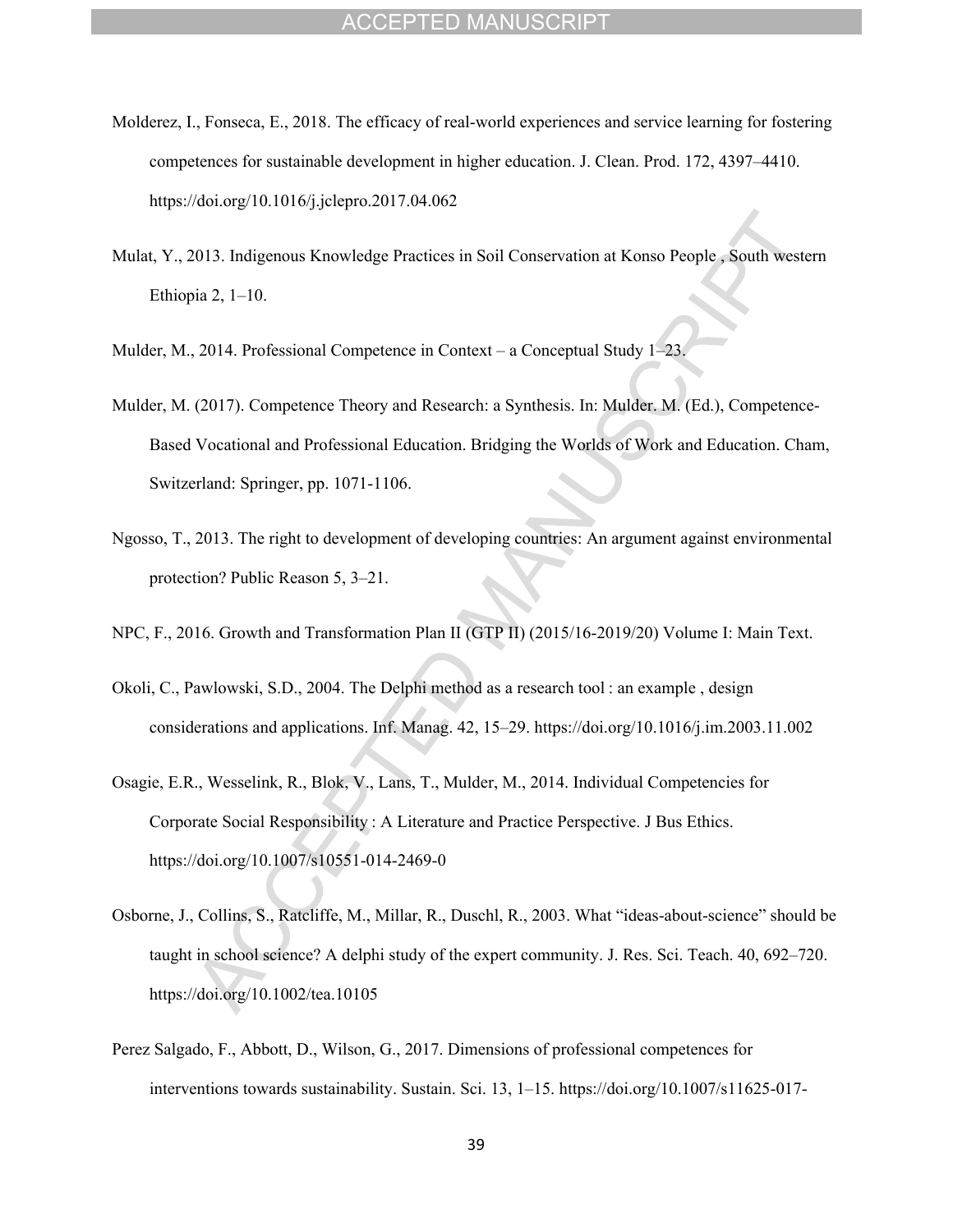- Molderez, I., Fonseca, E., 2018. The efficacy of real-world experiences and service learning for fostering competences for sustainable development in higher education. J. Clean. Prod. 172, 4397–4410. https://doi.org/10.1016/j.jclepro.2017.04.062
- Mulat, Y., 2013. Indigenous Knowledge Practices in Soil Conservation at Konso People , South western Ethiopia 2, 1–10.
- Mulder, M., 2014. Professional Competence in Context a Conceptual Study 1–23.
- Mulder, M. (2017). Competence Theory and Research: a Synthesis. In: Mulder. M. (Ed.), Competence-Based Vocational and Professional Education. Bridging the Worlds of Work and Education. Cham, Switzerland: Springer, pp. 1071-1106.
- Ngosso, T., 2013. The right to development of developing countries: An argument against environmental protection? Public Reason 5, 3–21.
- NPC, F., 2016. Growth and Transformation Plan II (GTP II) (2015/16-2019/20) Volume I: Main Text.
- Okoli, C., Pawlowski, S.D., 2004. The Delphi method as a research tool : an example , design considerations and applications. Inf. Manag. 42, 15–29. https://doi.org/10.1016/j.im.2003.11.002
- Osagie, E.R., Wesselink, R., Blok, V., Lans, T., Mulder, M., 2014. Individual Competencies for Corporate Social Responsibility : A Literature and Practice Perspective. J Bus Ethics. https://doi.org/10.1007/s10551-014-2469-0
- Osborne, J., Collins, S., Ratcliffe, M., Millar, R., Duschl, R., 2003. What "ideas-about-science" should be taught in school science? A delphi study of the expert community. J. Res. Sci. Teach. 40, 692–720. https://doi.org/10.1002/tea.10105
- Perez Salgado, F., Abbott, D., Wilson, G., 2017. Dimensions of professional competences for interventions towards sustainability. Sustain. Sci. 13, 1–15. https://doi.org/10.1007/s11625-017-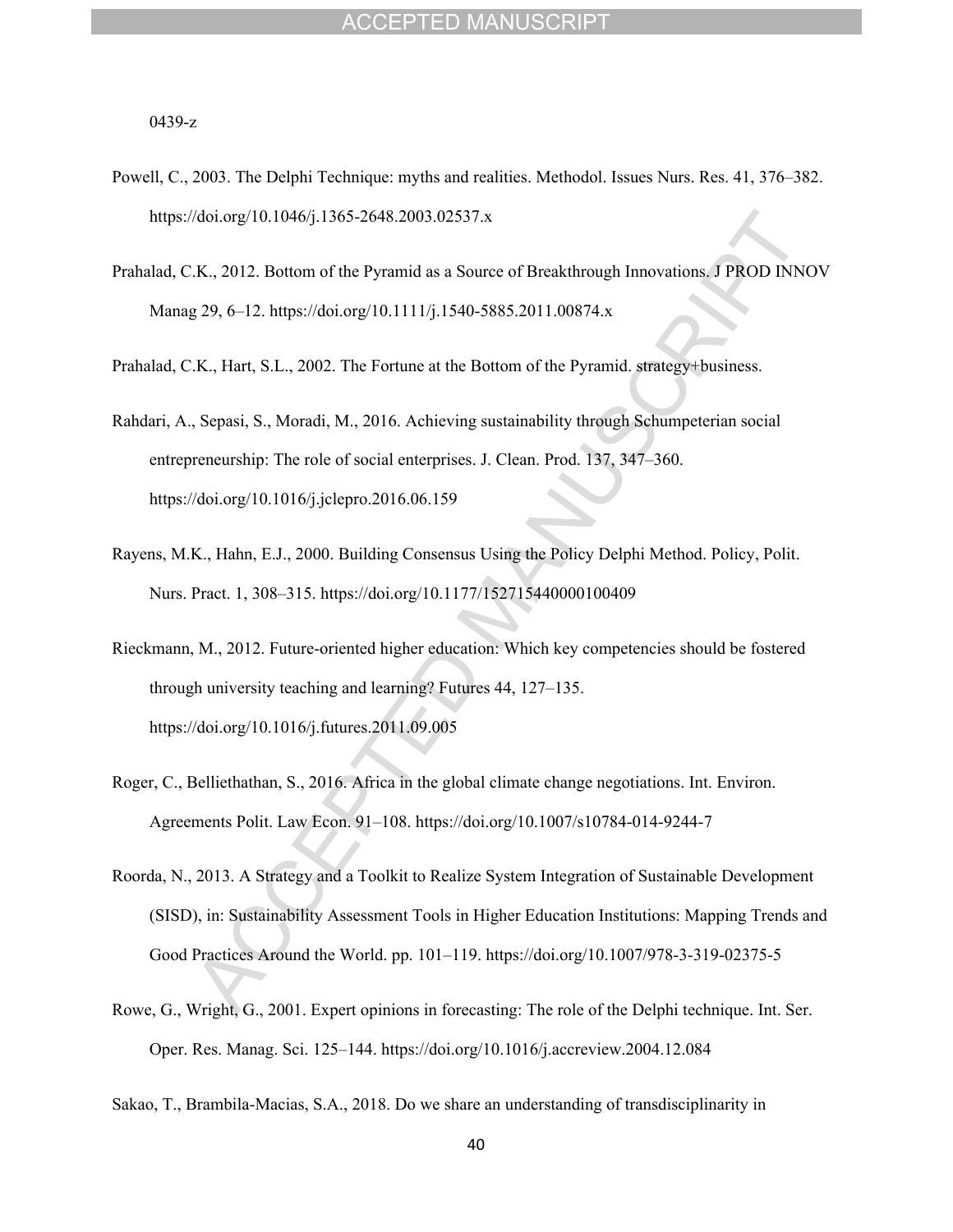0439-z

- Powell, C., 2003. The Delphi Technique: myths and realities. Methodol. Issues Nurs. Res. 41, 376–382. https://doi.org/10.1046/j.1365-2648.2003.02537.x
- Prahalad, C.K., 2012. Bottom of the Pyramid as a Source of Breakthrough Innovations. J PROD INNOV Manag 29, 6–12. https://doi.org/10.1111/j.1540-5885.2011.00874.x

Prahalad, C.K., Hart, S.L., 2002. The Fortune at the Bottom of the Pyramid. strategy+business.

- Rahdari, A., Sepasi, S., Moradi, M., 2016. Achieving sustainability through Schumpeterian social entrepreneurship: The role of social enterprises. J. Clean. Prod. 137, 347–360. https://doi.org/10.1016/j.jclepro.2016.06.159
- Rayens, M.K., Hahn, E.J., 2000. Building Consensus Using the Policy Delphi Method. Policy, Polit. Nurs. Pract. 1, 308–315. https://doi.org/10.1177/152715440000100409
- Rieckmann, M., 2012. Future-oriented higher education: Which key competencies should be fostered through university teaching and learning? Futures 44, 127–135. https://doi.org/10.1016/j.futures.2011.09.005
- Roger, C., Belliethathan, S., 2016. Africa in the global climate change negotiations. Int. Environ. Agreements Polit. Law Econ. 91–108. https://doi.org/10.1007/s10784-014-9244-7
- Roorda, N., 2013. A Strategy and a Toolkit to Realize System Integration of Sustainable Development (SISD), in: Sustainability Assessment Tools in Higher Education Institutions: Mapping Trends and Good Practices Around the World. pp. 101–119. https://doi.org/10.1007/978-3-319-02375-5
- Rowe, G., Wright, G., 2001. Expert opinions in forecasting: The role of the Delphi technique. Int. Ser. Oper. Res. Manag. Sci. 125–144. https://doi.org/10.1016/j.accreview.2004.12.084
- Sakao, T., Brambila-Macias, S.A., 2018. Do we share an understanding of transdisciplinarity in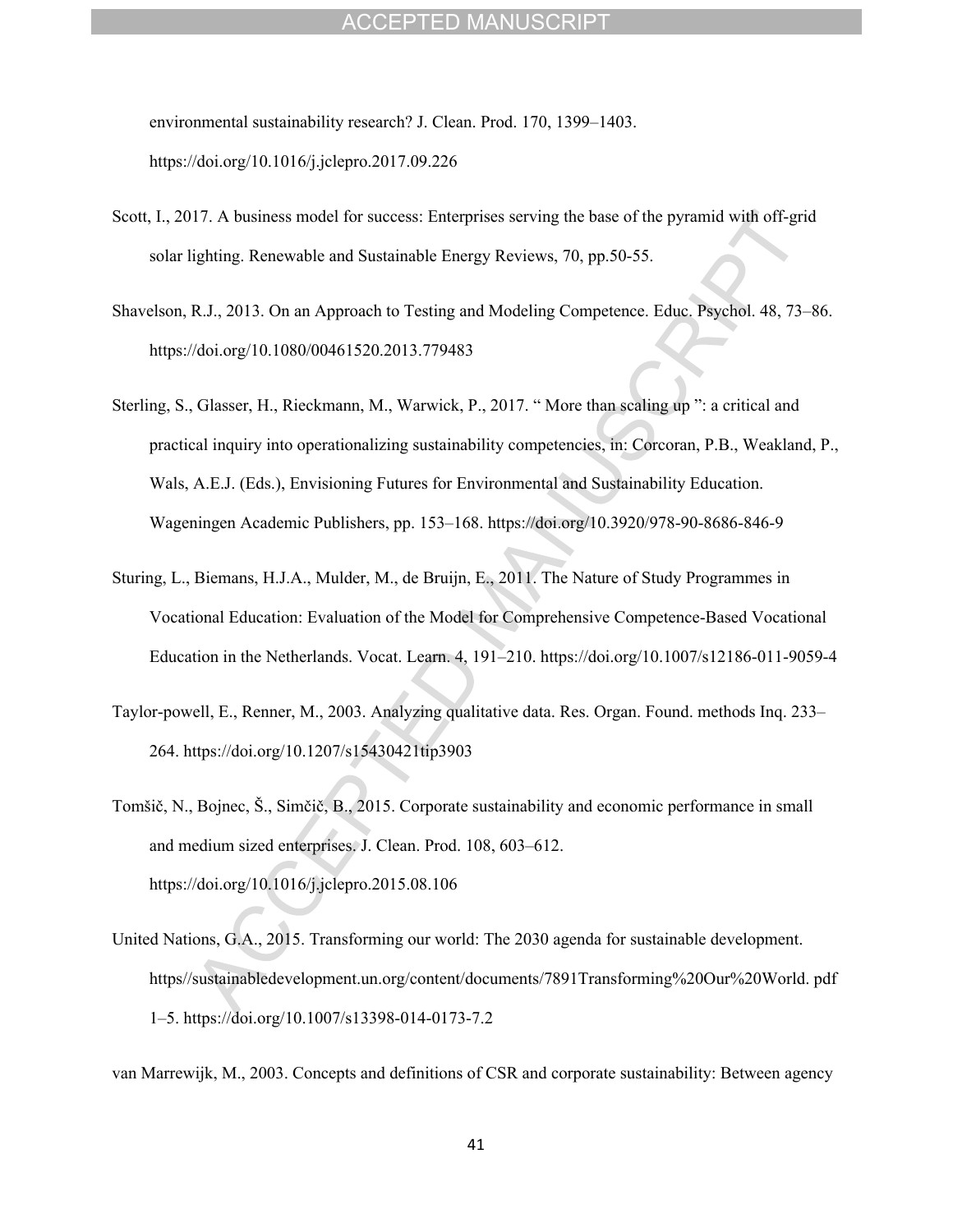environmental sustainability research? J. Clean. Prod. 170, 1399–1403. https://doi.org/10.1016/j.jclepro.2017.09.226

- Scott, I., 2017. A business model for success: Enterprises serving the base of the pyramid with off-grid solar lighting. Renewable and Sustainable Energy Reviews, 70, pp.50-55.
- Shavelson, R.J., 2013. On an Approach to Testing and Modeling Competence. Educ. Psychol. 48, 73–86. https://doi.org/10.1080/00461520.2013.779483
- Sterling, S., Glasser, H., Rieckmann, M., Warwick, P., 2017. " More than scaling up ": a critical and practical inquiry into operationalizing sustainability competencies, in: Corcoran, P.B., Weakland, P., Wals, A.E.J. (Eds.), Envisioning Futures for Environmental and Sustainability Education. Wageningen Academic Publishers, pp. 153–168. https://doi.org/10.3920/978-90-8686-846-9
- Sturing, L., Biemans, H.J.A., Mulder, M., de Bruijn, E., 2011. The Nature of Study Programmes in Vocational Education: Evaluation of the Model for Comprehensive Competence-Based Vocational Education in the Netherlands. Vocat. Learn. 4, 191–210. https://doi.org/10.1007/s12186-011-9059-4
- Taylor-powell, E., Renner, M., 2003. Analyzing qualitative data. Res. Organ. Found. methods Inq. 233– 264. https://doi.org/10.1207/s15430421tip3903
- Tomšič, N., Bojnec, Š., Simčič, B., 2015. Corporate sustainability and economic performance in small and medium sized enterprises. J. Clean. Prod. 108, 603–612. https://doi.org/10.1016/j.jclepro.2015.08.106
- United Nations, G.A., 2015. Transforming our world: The 2030 agenda for sustainable development. https//sustainabledevelopment.un.org/content/documents/7891Transforming%20Our%20World. pdf 1–5. https://doi.org/10.1007/s13398-014-0173-7.2

van Marrewijk, M., 2003. Concepts and definitions of CSR and corporate sustainability: Between agency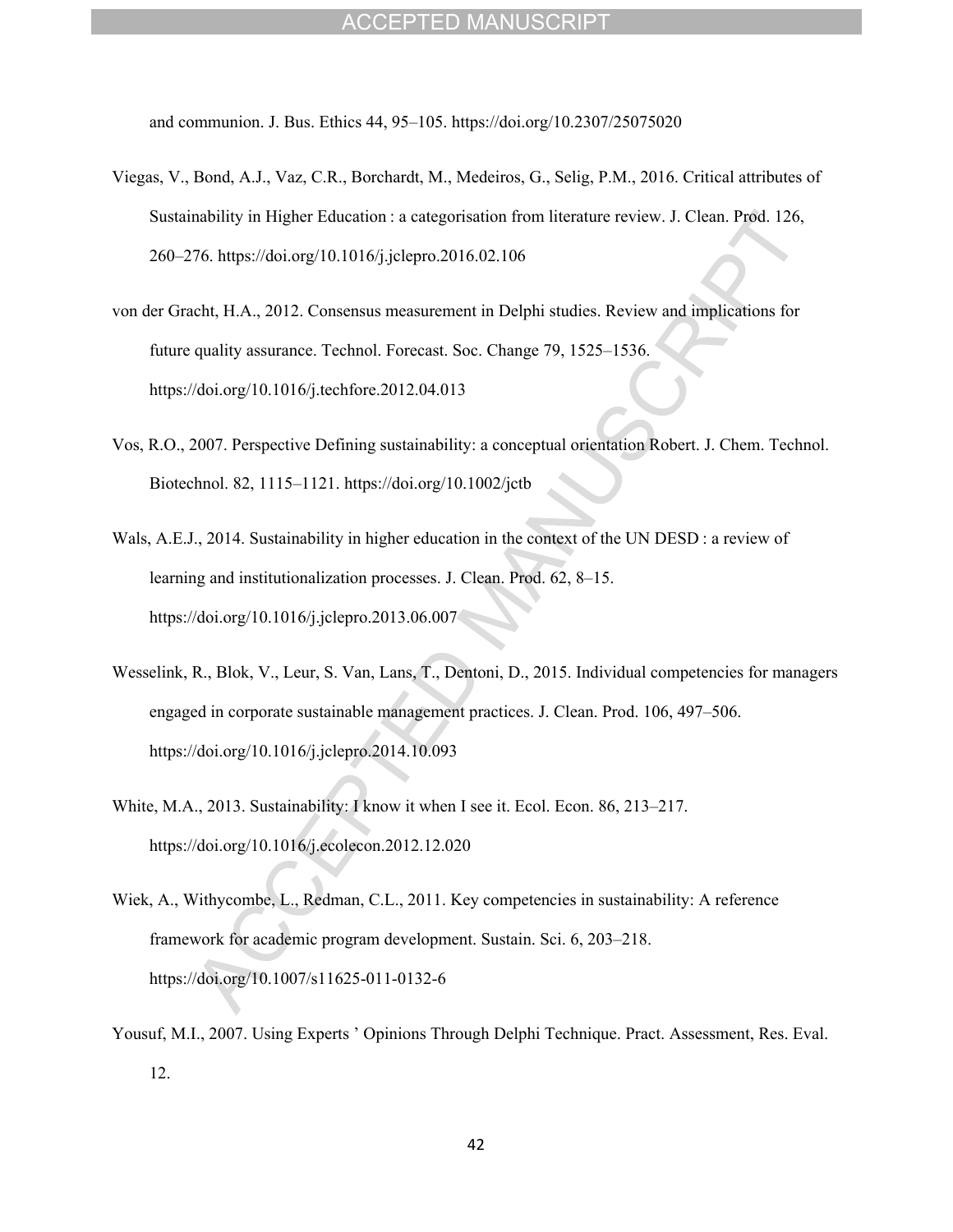and communion. J. Bus. Ethics 44, 95–105. https://doi.org/10.2307/25075020

- Viegas, V., Bond, A.J., Vaz, C.R., Borchardt, M., Medeiros, G., Selig, P.M., 2016. Critical attributes of Sustainability in Higher Education : a categorisation from literature review. J. Clean. Prod. 126, 260–276. https://doi.org/10.1016/j.jclepro.2016.02.106
- von der Gracht, H.A., 2012. Consensus measurement in Delphi studies. Review and implications for future quality assurance. Technol. Forecast. Soc. Change 79, 1525–1536. https://doi.org/10.1016/j.techfore.2012.04.013
- Vos, R.O., 2007. Perspective Defining sustainability: a conceptual orientation Robert. J. Chem. Technol. Biotechnol. 82, 1115–1121. https://doi.org/10.1002/jctb
- Wals, A.E.J., 2014. Sustainability in higher education in the context of the UN DESD : a review of learning and institutionalization processes. J. Clean. Prod. 62, 8–15. https://doi.org/10.1016/j.jclepro.2013.06.007
- Wesselink, R., Blok, V., Leur, S. Van, Lans, T., Dentoni, D., 2015. Individual competencies for managers engaged in corporate sustainable management practices. J. Clean. Prod. 106, 497–506. https://doi.org/10.1016/j.jclepro.2014.10.093
- White, M.A., 2013. Sustainability: I know it when I see it. Ecol. Econ. 86, 213–217. https://doi.org/10.1016/j.ecolecon.2012.12.020
- Wiek, A., Withycombe, L., Redman, C.L., 2011. Key competencies in sustainability: A reference framework for academic program development. Sustain. Sci. 6, 203–218. https://doi.org/10.1007/s11625-011-0132-6
- Yousuf, M.I., 2007. Using Experts ' Opinions Through Delphi Technique. Pract. Assessment, Res. Eval. 12.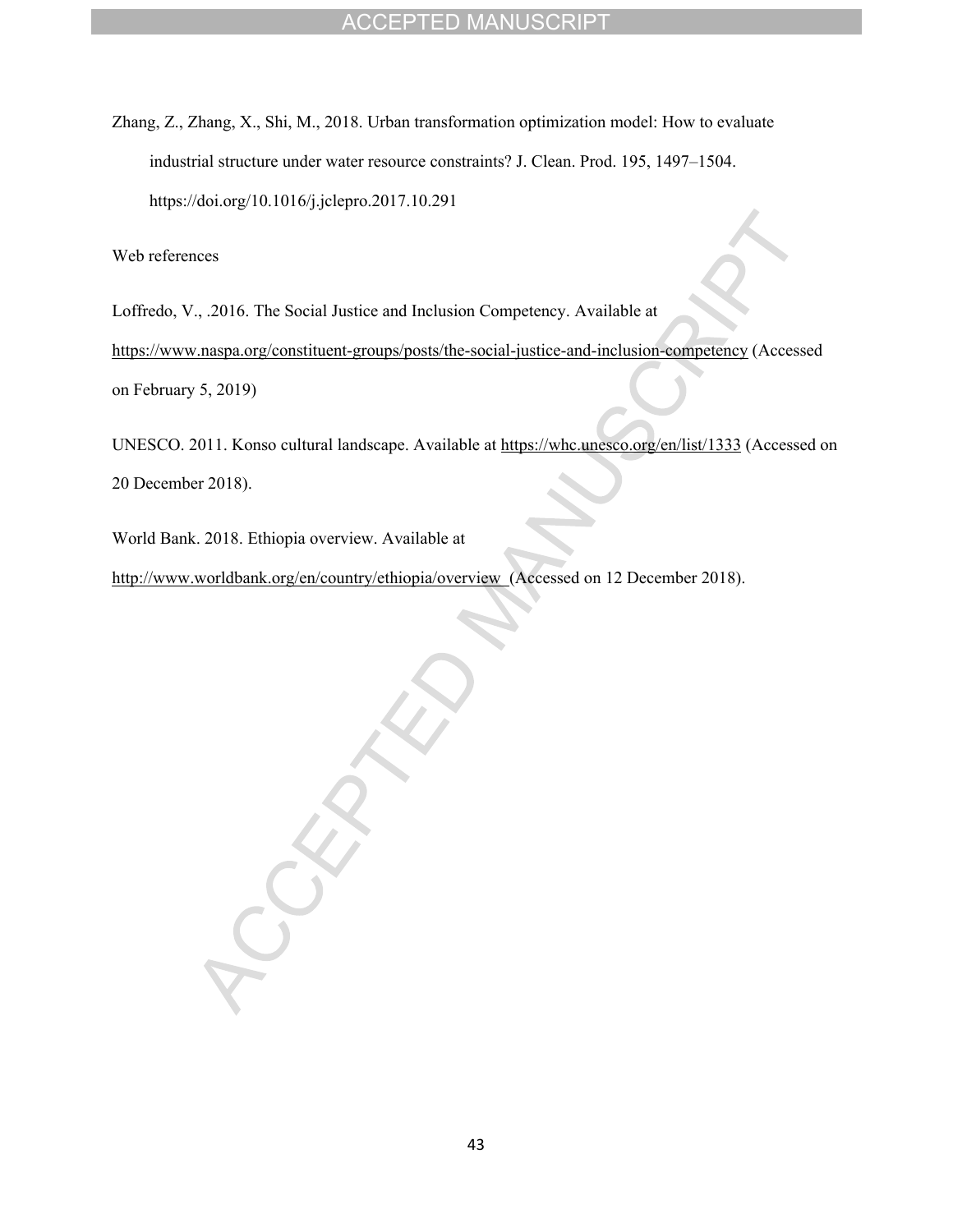Zhang, Z., Zhang, X., Shi, M., 2018. Urban transformation optimization model: How to evaluate industrial structure under water resource constraints? J. Clean. Prod. 195, 1497–1504. https://doi.org/10.1016/j.jclepro.2017.10.291

Web references

Loffredo, V., .2016. The Social Justice and Inclusion Competency. Available at <https://www.naspa.org/constituent-groups/posts/the-social-justice-and-inclusion-competency>(Accessed on February 5, 2019)

UNESCO. 2011. Konso cultural landscape. Available at <https://whc.unesco.org/en/list/1333> (Accessed on 20 December 2018).

World Bank. 2018. Ethiopia overview. Available at

<http://www.worldbank.org/en/country/ethiopia/overview>(Accessed on 12 December 2018).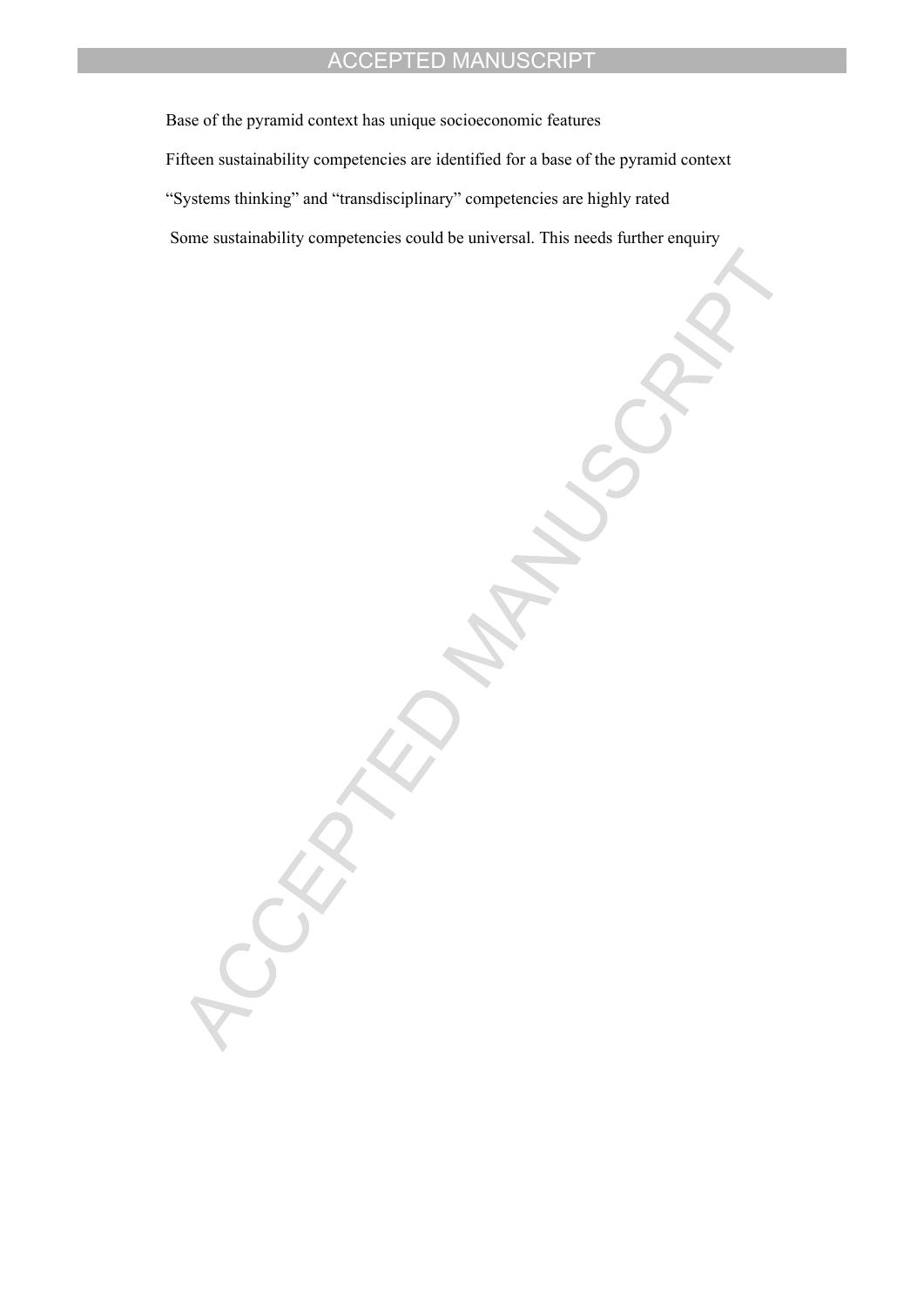Base of the pyramid context has unique socioeconomic features Fifteen sustainability competencies are identified for a base of the pyramid context "Systems thinking" and "transdisciplinary" competencies are highly rated Some sustainability competencies could be universal. This needs further enquiry